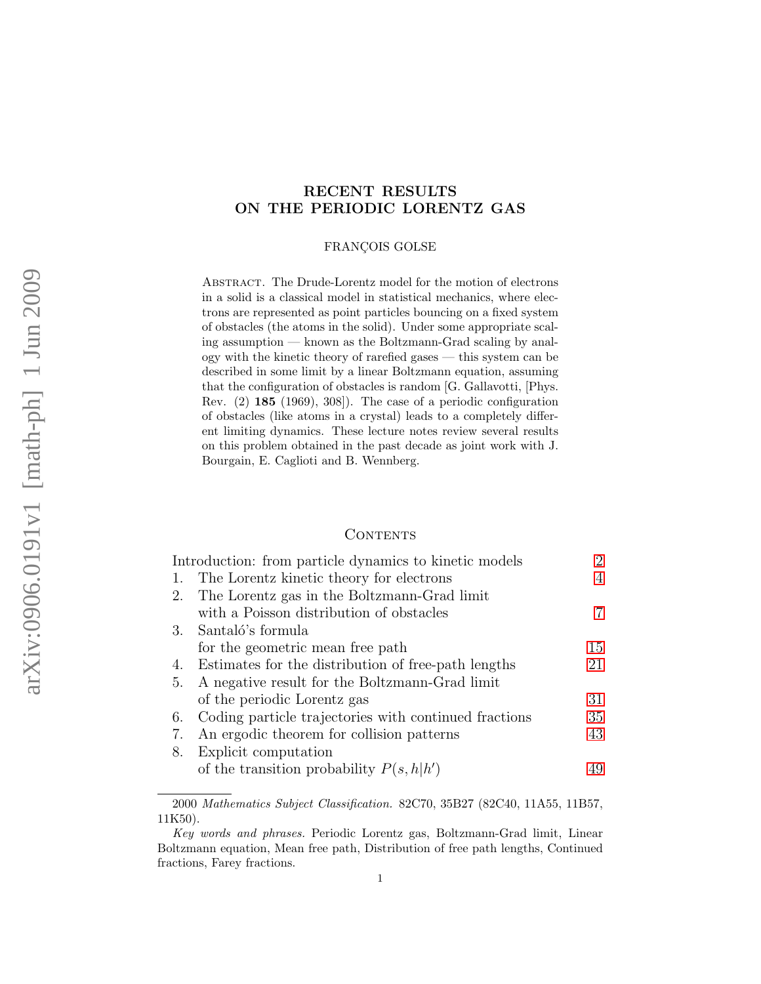# RECENT RESULTS ON THE PERIODIC LORENTZ GAS

#### FRANÇOIS GOLSE

ABSTRACT. The Drude-Lorentz model for the motion of electrons in a solid is a classical model in statistical mechanics, where electrons are represented as point particles bouncing on a fixed system of obstacles (the atoms in the solid). Under some appropriate scaling assumption — known as the Boltzmann-Grad scaling by analogy with the kinetic theory of rarefied gases — this system can be described in some limit by a linear Boltzmann equation, assuming that the configuration of obstacles is random [G. Gallavotti, [Phys. Rev. (2) 185 (1969), 308]). The case of a periodic configuration of obstacles (like atoms in a crystal) leads to a completely different limiting dynamics. These lecture notes review several results on this problem obtained in the past decade as joint work with J. Bourgain, E. Caglioti and B. Wennberg.

## **CONTENTS**

|    | Introduction: from particle dynamics to kinetic models | $\overline{2}$ |
|----|--------------------------------------------------------|----------------|
|    | The Lorentz kinetic theory for electrons               | 4              |
| 2. | The Lorentz gas in the Boltzmann-Grad limit            |                |
|    | with a Poisson distribution of obstacles               | 7              |
|    | 3. Santaló's formula                                   |                |
|    | for the geometric mean free path                       | 15             |
| 4. | Estimates for the distribution of free-path lengths    | 21             |
| 5. | A negative result for the Boltzmann-Grad limit         |                |
|    | of the periodic Lorentz gas                            | 31             |
| 6. | Coding particle trajectories with continued fractions  | 35             |
| 7. | An ergodic theorem for collision patterns              | 43             |
| 8. | Explicit computation                                   |                |
|    | of the transition probability $P(s,h h')$              | 49             |
|    |                                                        |                |

<sup>2000</sup> Mathematics Subject Classification. 82C70, 35B27 (82C40, 11A55, 11B57, 11K50).

Key words and phrases. Periodic Lorentz gas, Boltzmann-Grad limit, Linear Boltzmann equation, Mean free path, Distribution of free path lengths, Continued fractions, Farey fractions.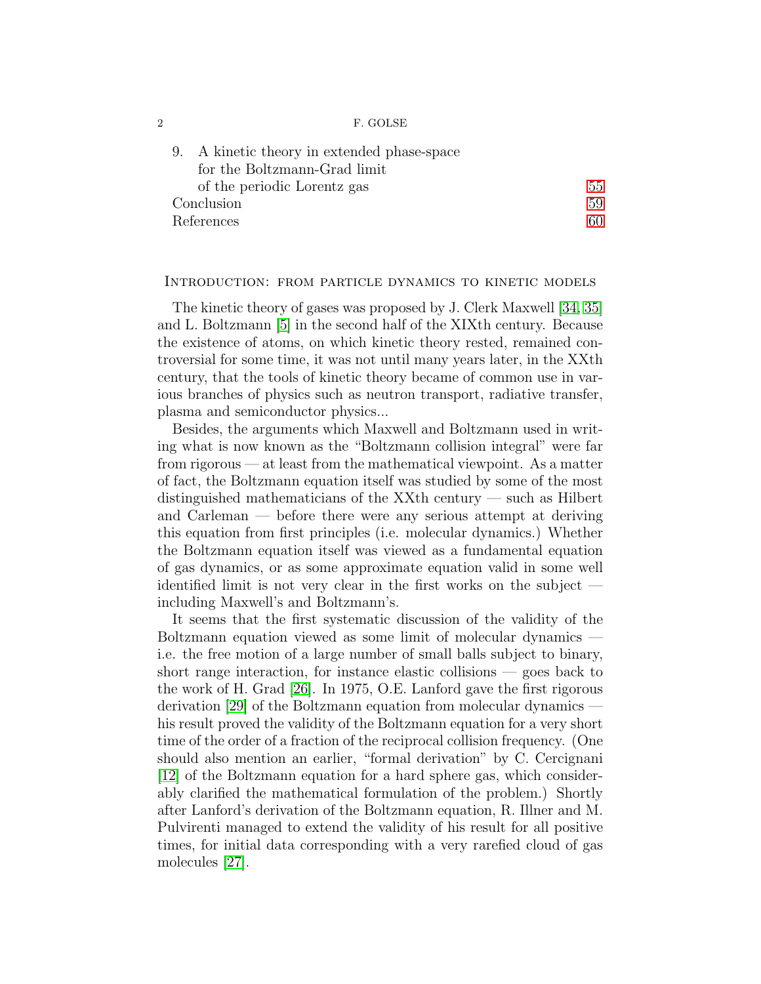| ົ | F. GOLSE |
|---|----------|
|---|----------|

| A kinetic theory in extended phase-space |    |
|------------------------------------------|----|
| for the Boltzmann-Grad limit             |    |
| of the periodic Lorentz gas              | 55 |
| Conclusion                               | 59 |
| References                               | 60 |

#### Introduction: from particle dynamics to kinetic models

<span id="page-1-0"></span>The kinetic theory of gases was proposed by J. Clerk Maxwell [\[34,](#page-61-0) [35\]](#page-61-1) and L. Boltzmann [\[5\]](#page-59-1) in the second half of the XIXth century. Because the existence of atoms, on which kinetic theory rested, remained controversial for some time, it was not until many years later, in the XXth century, that the tools of kinetic theory became of common use in various branches of physics such as neutron transport, radiative transfer, plasma and semiconductor physics...

Besides, the arguments which Maxwell and Boltzmann used in writing what is now known as the "Boltzmann collision integral" were far from rigorous — at least from the mathematical viewpoint. As a matter of fact, the Boltzmann equation itself was studied by some of the most distinguished mathematicians of the XXth century — such as Hilbert and Carleman — before there were any serious attempt at deriving this equation from first principles (i.e. molecular dynamics.) Whether the Boltzmann equation itself was viewed as a fundamental equation of gas dynamics, or as some approximate equation valid in some well identified limit is not very clear in the first works on the subject including Maxwell's and Boltzmann's.

It seems that the first systematic discussion of the validity of the Boltzmann equation viewed as some limit of molecular dynamics i.e. the free motion of a large number of small balls subject to binary, short range interaction, for instance elastic collisions — goes back to the work of H. Grad [\[26\]](#page-60-0). In 1975, O.E. Lanford gave the first rigorous derivation [\[29\]](#page-61-2) of the Boltzmann equation from molecular dynamics his result proved the validity of the Boltzmann equation for a very short time of the order of a fraction of the reciprocal collision frequency. (One should also mention an earlier, "formal derivation" by C. Cercignani [\[12\]](#page-60-1) of the Boltzmann equation for a hard sphere gas, which considerably clarified the mathematical formulation of the problem.) Shortly after Lanford's derivation of the Boltzmann equation, R. Illner and M. Pulvirenti managed to extend the validity of his result for all positive times, for initial data corresponding with a very rarefied cloud of gas molecules [\[27\]](#page-60-2).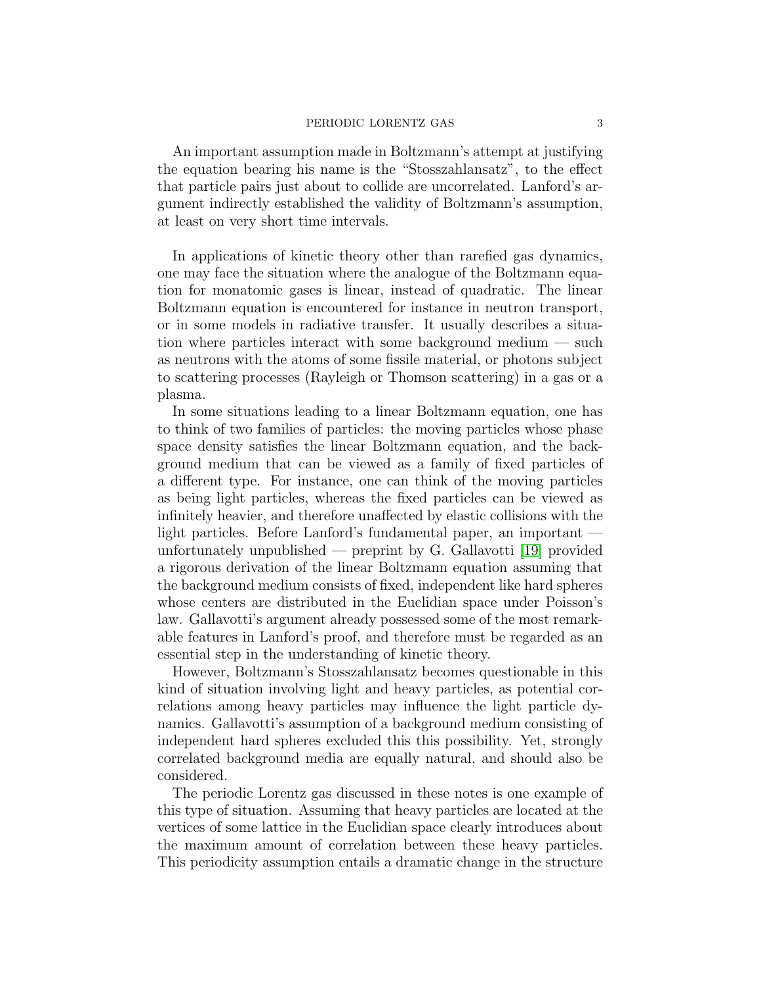An important assumption made in Boltzmann's attempt at justifying the equation bearing his name is the "Stosszahlansatz", to the effect that particle pairs just about to collide are uncorrelated. Lanford's argument indirectly established the validity of Boltzmann's assumption, at least on very short time intervals.

In applications of kinetic theory other than rarefied gas dynamics, one may face the situation where the analogue of the Boltzmann equation for monatomic gases is linear, instead of quadratic. The linear Boltzmann equation is encountered for instance in neutron transport, or in some models in radiative transfer. It usually describes a situation where particles interact with some background medium — such as neutrons with the atoms of some fissile material, or photons subject to scattering processes (Rayleigh or Thomson scattering) in a gas or a plasma.

In some situations leading to a linear Boltzmann equation, one has to think of two families of particles: the moving particles whose phase space density satisfies the linear Boltzmann equation, and the background medium that can be viewed as a family of fixed particles of a different type. For instance, one can think of the moving particles as being light particles, whereas the fixed particles can be viewed as infinitely heavier, and therefore unaffected by elastic collisions with the light particles. Before Lanford's fundamental paper, an important unfortunately unpublished — preprint by G. Gallavotti [\[19\]](#page-60-3) provided a rigorous derivation of the linear Boltzmann equation assuming that the background medium consists of fixed, independent like hard spheres whose centers are distributed in the Euclidian space under Poisson's law. Gallavotti's argument already possessed some of the most remarkable features in Lanford's proof, and therefore must be regarded as an essential step in the understanding of kinetic theory.

However, Boltzmann's Stosszahlansatz becomes questionable in this kind of situation involving light and heavy particles, as potential correlations among heavy particles may influence the light particle dynamics. Gallavotti's assumption of a background medium consisting of independent hard spheres excluded this this possibility. Yet, strongly correlated background media are equally natural, and should also be considered.

The periodic Lorentz gas discussed in these notes is one example of this type of situation. Assuming that heavy particles are located at the vertices of some lattice in the Euclidian space clearly introduces about the maximum amount of correlation between these heavy particles. This periodicity assumption entails a dramatic change in the structure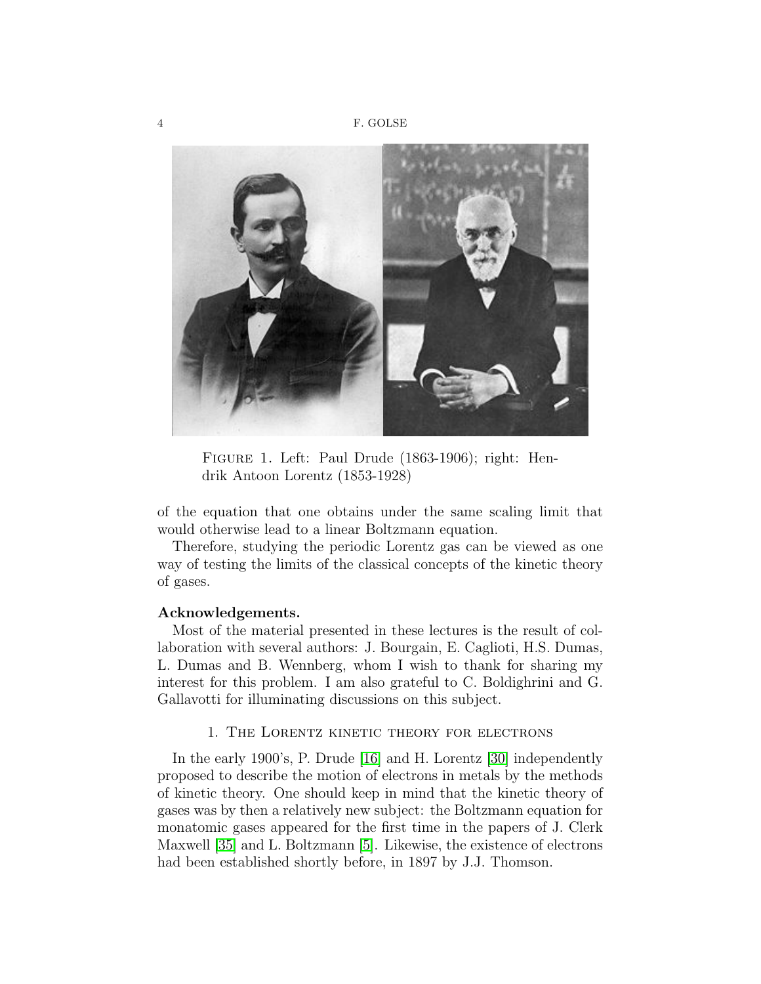4 F. GOLSE



Figure 1. Left: Paul Drude (1863-1906); right: Hendrik Antoon Lorentz (1853-1928)

of the equation that one obtains under the same scaling limit that would otherwise lead to a linear Boltzmann equation.

Therefore, studying the periodic Lorentz gas can be viewed as one way of testing the limits of the classical concepts of the kinetic theory of gases.

#### Acknowledgements.

Most of the material presented in these lectures is the result of collaboration with several authors: J. Bourgain, E. Caglioti, H.S. Dumas, L. Dumas and B. Wennberg, whom I wish to thank for sharing my interest for this problem. I am also grateful to C. Boldighrini and G. Gallavotti for illuminating discussions on this subject.

## 1. The Lorentz kinetic theory for electrons

<span id="page-3-0"></span>In the early 1900's, P. Drude [\[16\]](#page-60-4) and H. Lorentz [\[30\]](#page-61-3) independently proposed to describe the motion of electrons in metals by the methods of kinetic theory. One should keep in mind that the kinetic theory of gases was by then a relatively new subject: the Boltzmann equation for monatomic gases appeared for the first time in the papers of J. Clerk Maxwell [\[35\]](#page-61-1) and L. Boltzmann [\[5\]](#page-59-1). Likewise, the existence of electrons had been established shortly before, in 1897 by J.J. Thomson.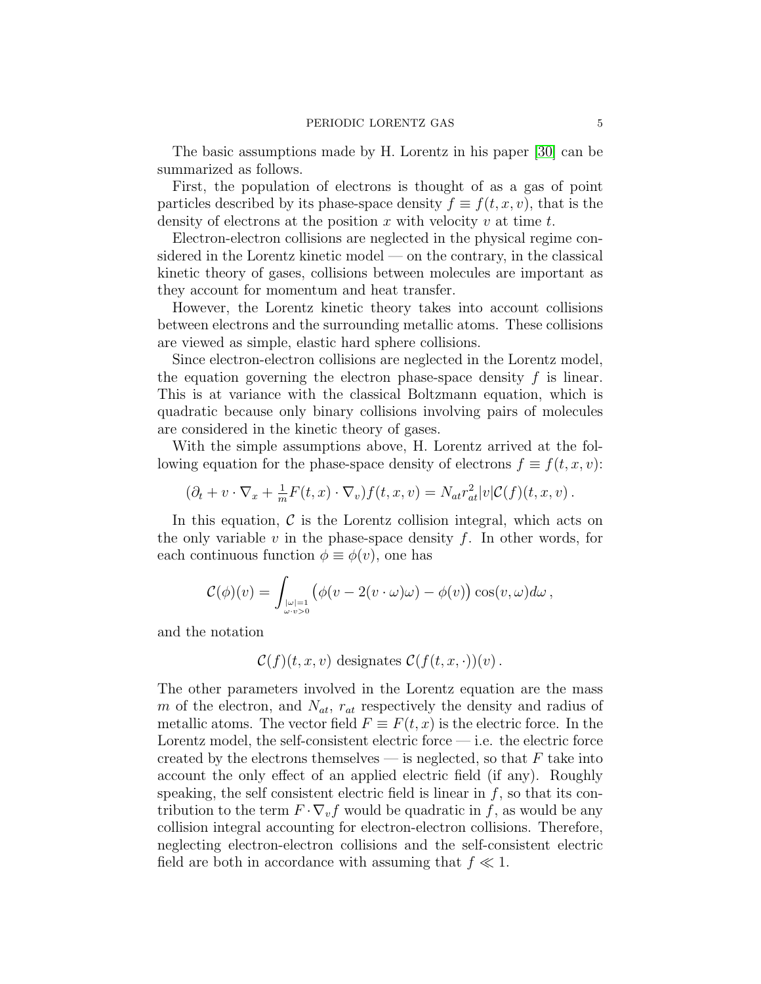The basic assumptions made by H. Lorentz in his paper [\[30\]](#page-61-3) can be summarized as follows.

First, the population of electrons is thought of as a gas of point particles described by its phase-space density  $f \equiv f(t, x, v)$ , that is the density of electrons at the position x with velocity v at time t.

Electron-electron collisions are neglected in the physical regime considered in the Lorentz kinetic model — on the contrary, in the classical kinetic theory of gases, collisions between molecules are important as they account for momentum and heat transfer.

However, the Lorentz kinetic theory takes into account collisions between electrons and the surrounding metallic atoms. These collisions are viewed as simple, elastic hard sphere collisions.

Since electron-electron collisions are neglected in the Lorentz model, the equation governing the electron phase-space density  $f$  is linear. This is at variance with the classical Boltzmann equation, which is quadratic because only binary collisions involving pairs of molecules are considered in the kinetic theory of gases.

With the simple assumptions above, H. Lorentz arrived at the following equation for the phase-space density of electrons  $f \equiv f(t, x, v)$ :

$$
(\partial_t + v \cdot \nabla_x + \frac{1}{m} F(t, x) \cdot \nabla_v) f(t, x, v) = N_{at} r_{at}^2 |v| \mathcal{C}(f)(t, x, v).
$$

In this equation,  $\mathcal C$  is the Lorentz collision integral, which acts on the only variable  $v$  in the phase-space density  $f$ . In other words, for each continuous function  $\phi \equiv \phi(v)$ , one has

$$
\mathcal{C}(\phi)(v) = \int_{\substack{|\omega|=1 \ \omega \cdot v > 0}} (\phi(v - 2(v \cdot \omega)\omega) - \phi(v)) \cos(v, \omega) d\omega,
$$

and the notation

 $\mathcal{C}(f)(t, x, v)$  designates  $\mathcal{C}(f(t, x, \cdot))(v)$ .

The other parameters involved in the Lorentz equation are the mass  $m$  of the electron, and  $N_{at}$ ,  $r_{at}$  respectively the density and radius of metallic atoms. The vector field  $F \equiv F(t, x)$  is the electric force. In the Lorentz model, the self-consistent electric force — i.e. the electric force created by the electrons themselves  $-$  is neglected, so that  $F$  take into account the only effect of an applied electric field (if any). Roughly speaking, the self consistent electric field is linear in  $f$ , so that its contribution to the term  $F \cdot \nabla_v f$  would be quadratic in f, as would be any collision integral accounting for electron-electron collisions. Therefore, neglecting electron-electron collisions and the self-consistent electric field are both in accordance with assuming that  $f \ll 1$ .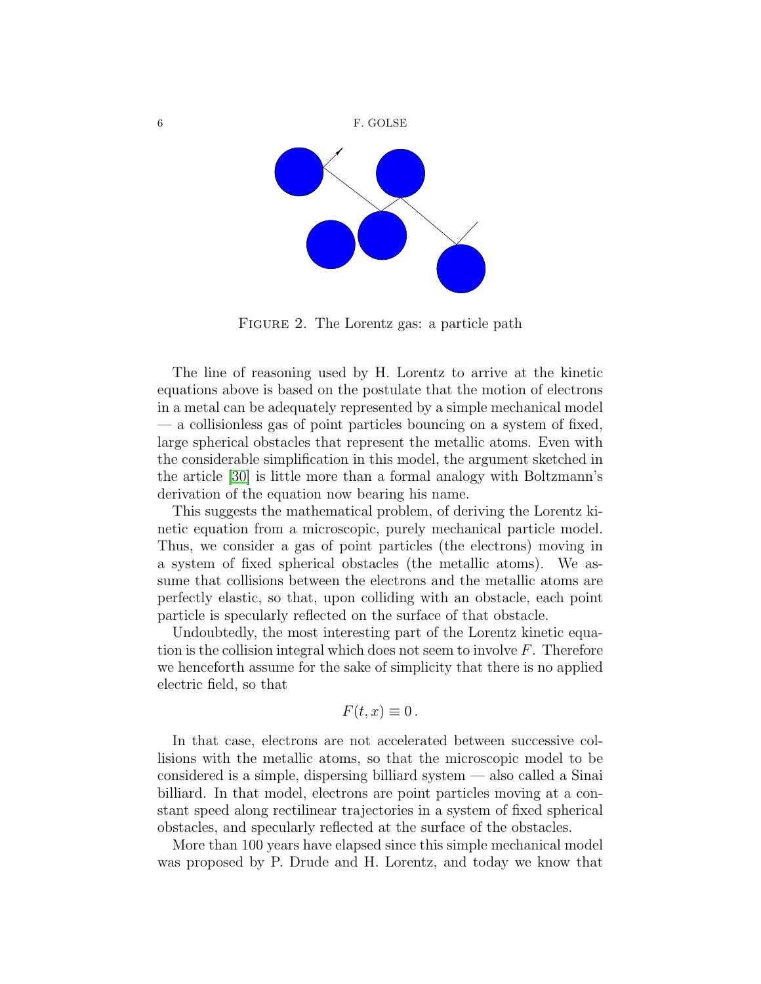

Figure 2. The Lorentz gas: a particle path

The line of reasoning used by H. Lorentz to arrive at the kinetic equations above is based on the postulate that the motion of electrons in a metal can be adequately represented by a simple mechanical model — a collisionless gas of point particles bouncing on a system of fixed, large spherical obstacles that represent the metallic atoms. Even with the considerable simplification in this model, the argument sketched in the article [\[30\]](#page-61-3) is little more than a formal analogy with Boltzmann's derivation of the equation now bearing his name.

This suggests the mathematical problem, of deriving the Lorentz kinetic equation from a microscopic, purely mechanical particle model. Thus, we consider a gas of point particles (the electrons) moving in a system of fixed spherical obstacles (the metallic atoms). We assume that collisions between the electrons and the metallic atoms are perfectly elastic, so that, upon colliding with an obstacle, each point particle is specularly reflected on the surface of that obstacle.

Undoubtedly, the most interesting part of the Lorentz kinetic equation is the collision integral which does not seem to involve  $F$ . Therefore we henceforth assume for the sake of simplicity that there is no applied electric field, so that

$$
F(t,x)\equiv 0.
$$

In that case, electrons are not accelerated between successive collisions with the metallic atoms, so that the microscopic model to be considered is a simple, dispersing billiard system — also called a Sinai billiard. In that model, electrons are point particles moving at a constant speed along rectilinear trajectories in a system of fixed spherical obstacles, and specularly reflected at the surface of the obstacles.

More than 100 years have elapsed since this simple mechanical model was proposed by P. Drude and H. Lorentz, and today we know that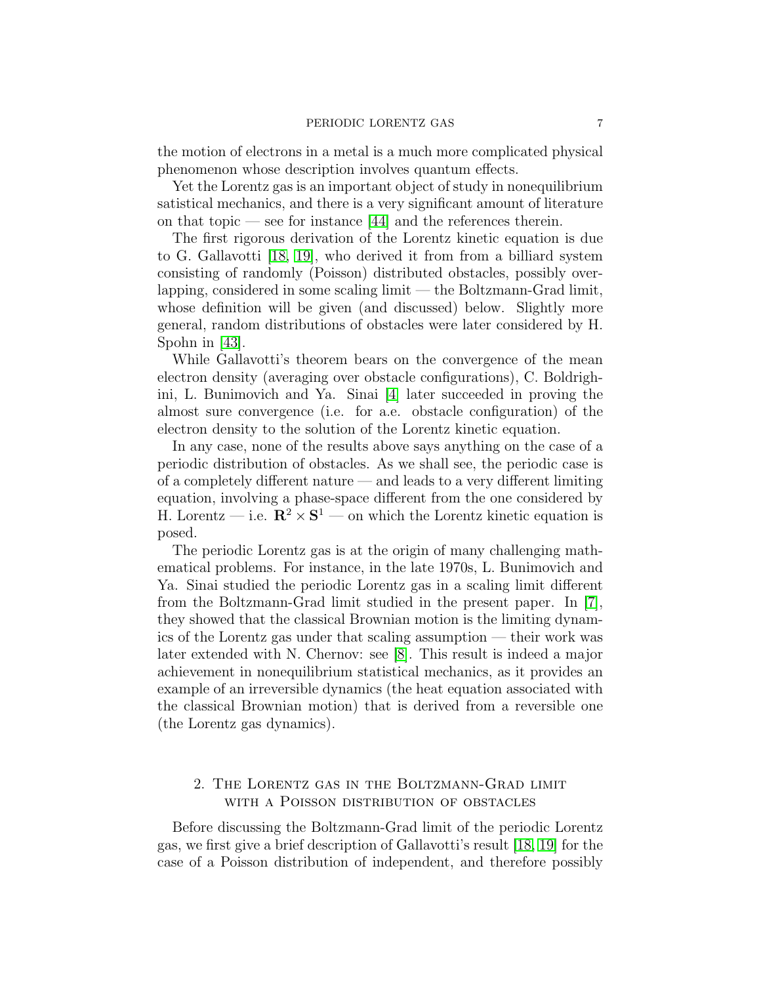the motion of electrons in a metal is a much more complicated physical phenomenon whose description involves quantum effects.

Yet the Lorentz gas is an important object of study in nonequilibrium satistical mechanics, and there is a very significant amount of literature on that topic — see for instance  $[44]$  and the references therein.

The first rigorous derivation of the Lorentz kinetic equation is due to G. Gallavotti [\[18,](#page-60-5) [19\]](#page-60-3), who derived it from from a billiard system consisting of randomly (Poisson) distributed obstacles, possibly overlapping, considered in some scaling limit — the Boltzmann-Grad limit, whose definition will be given (and discussed) below. Slightly more general, random distributions of obstacles were later considered by H. Spohn in [\[43\]](#page-61-5).

While Gallavotti's theorem bears on the convergence of the mean electron density (averaging over obstacle configurations), C. Boldrighini, L. Bunimovich and Ya. Sinai [\[4\]](#page-59-2) later succeeded in proving the almost sure convergence (i.e. for a.e. obstacle configuration) of the electron density to the solution of the Lorentz kinetic equation.

In any case, none of the results above says anything on the case of a periodic distribution of obstacles. As we shall see, the periodic case is of a completely different nature — and leads to a very different limiting equation, involving a phase-space different from the one considered by H. Lorentz — i.e.  $\mathbb{R}^2 \times \mathbb{S}^1$  — on which the Lorentz kinetic equation is posed.

The periodic Lorentz gas is at the origin of many challenging mathematical problems. For instance, in the late 1970s, L. Bunimovich and Ya. Sinai studied the periodic Lorentz gas in a scaling limit different from the Boltzmann-Grad limit studied in the present paper. In [\[7\]](#page-59-3), they showed that the classical Brownian motion is the limiting dynamics of the Lorentz gas under that scaling assumption — their work was later extended with N. Chernov: see [\[8\]](#page-60-6). This result is indeed a major achievement in nonequilibrium statistical mechanics, as it provides an example of an irreversible dynamics (the heat equation associated with the classical Brownian motion) that is derived from a reversible one (the Lorentz gas dynamics).

## <span id="page-6-0"></span>2. The Lorentz gas in the Boltzmann-Grad limit WITH A POISSON DISTRIBUTION OF OBSTACLES

Before discussing the Boltzmann-Grad limit of the periodic Lorentz gas, we first give a brief description of Gallavotti's result [\[18,](#page-60-5) [19\]](#page-60-3) for the case of a Poisson distribution of independent, and therefore possibly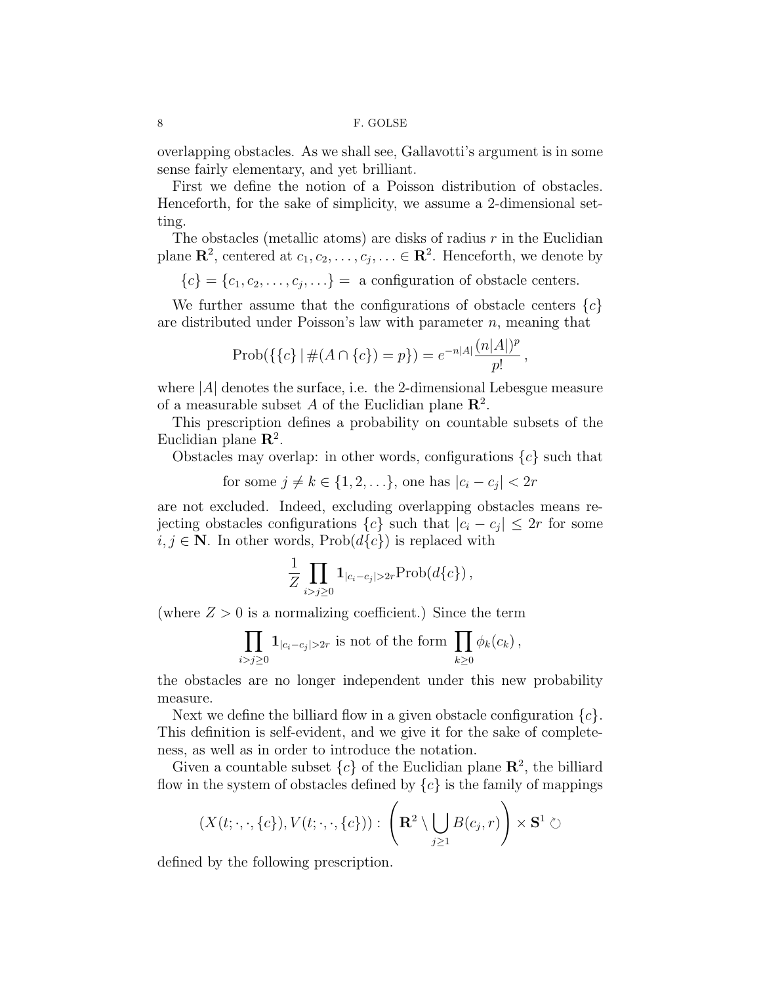overlapping obstacles. As we shall see, Gallavotti's argument is in some sense fairly elementary, and yet brilliant.

First we define the notion of a Poisson distribution of obstacles. Henceforth, for the sake of simplicity, we assume a 2-dimensional setting.

The obstacles (metallic atoms) are disks of radius  $r$  in the Euclidian plane  $\mathbb{R}^2$ , centered at  $c_1, c_2, \ldots, c_j, \ldots \in \mathbb{R}^2$ . Henceforth, we denote by

 ${c} = {c_1, c_2, \ldots, c_j, \ldots} =$  a configuration of obstacle centers.

We further assume that the configurations of obstacle centers  $\{c\}$ are distributed under Poisson's law with parameter  $n$ , meaning that

Prob(
$$
\{c\} | \#(A \cap \{c\}) = p\} ) = e^{-n|A|} \frac{(n|A|)^p}{p!}
$$
,

where  $|A|$  denotes the surface, i.e. the 2-dimensional Lebesgue measure of a measurable subset A of the Euclidian plane  $\mathbb{R}^2$ .

This prescription defines a probability on countable subsets of the Euclidian plane  $\mathbb{R}^2$ .

Obstacles may overlap: in other words, configurations  $\{c\}$  such that

for some  $j \neq k \in \{1, 2, ...\}$ , one has  $|c_i - c_j| < 2r$ 

are not excluded. Indeed, excluding overlapping obstacles means rejecting obstacles configurations  $\{c\}$  such that  $|c_i - c_j| \leq 2r$  for some  $i, j \in \mathbb{N}$ . In other words, Prob $(d\{c\})$  is replaced with

$$
\frac{1}{Z}\prod_{i>j\geq 0} \mathbf{1}_{|c_i-c_j|>2r} \text{Prob}(d\{c\}),
$$

(where  $Z > 0$  is a normalizing coefficient.) Since the term

$$
\prod_{i>j\geq 0} \mathbf{1}_{|c_i-c_j|>2r}
$$
 is not of the form 
$$
\prod_{k\geq 0} \phi_k(c_k),
$$

the obstacles are no longer independent under this new probability measure.

Next we define the billiard flow in a given obstacle configuration  $\{c\}$ . This definition is self-evident, and we give it for the sake of completeness, as well as in order to introduce the notation.

Given a countable subset  $\{c\}$  of the Euclidian plane  $\mathbb{R}^2$ , the billiard flow in the system of obstacles defined by  $\{c\}$  is the family of mappings

$$
(X(t; \cdot, \cdot, \{c\}), V(t; \cdot, \cdot, \{c\})) : \left(\mathbf{R}^2 \setminus \bigcup_{j \geq 1} B(c_j, r)\right) \times \mathbf{S}^1 \circlearrowright
$$

defined by the following prescription.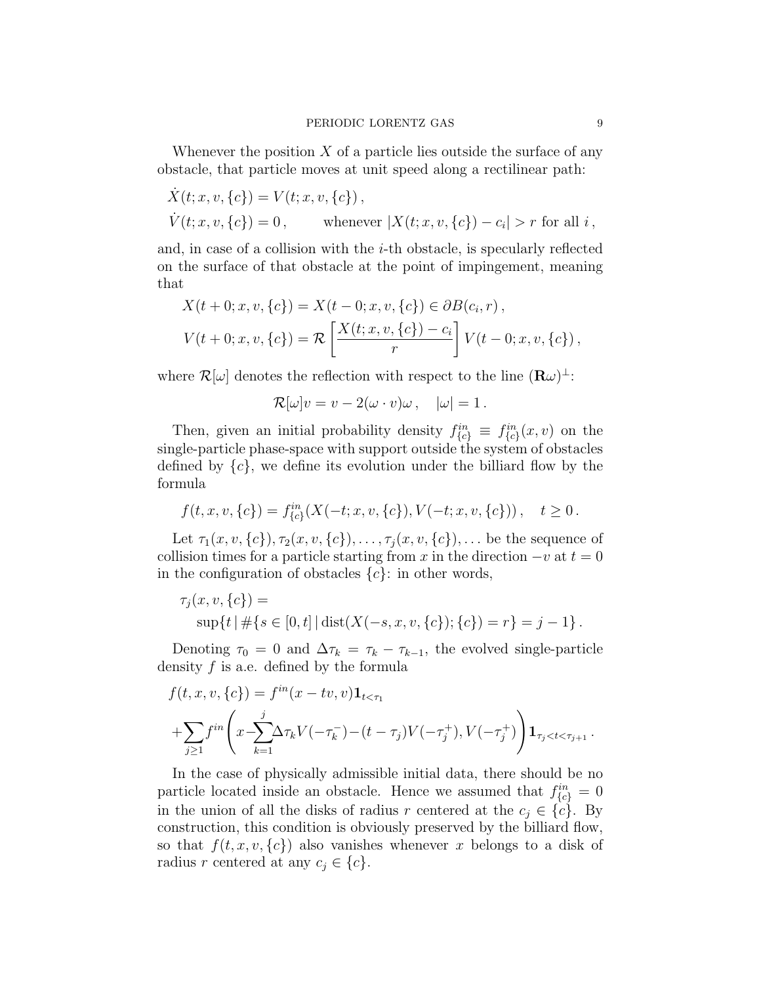Whenever the position  $X$  of a particle lies outside the surface of any obstacle, that particle moves at unit speed along a rectilinear path:

$$
\dot{X}(t; x, v, \{c\}) = V(t; x, v, \{c\}),
$$
  
\n
$$
\dot{V}(t; x, v, \{c\}) = 0, \qquad \text{whenever } |X(t; x, v, \{c\}) - c_i| > r \text{ for all } i,
$$

and, in case of a collision with the  $i$ -th obstacle, is specularly reflected on the surface of that obstacle at the point of impingement, meaning that

$$
X(t+0; x, v, \{c\}) = X(t-0; x, v, \{c\}) \in \partial B(c_i, r),
$$
  

$$
V(t+0; x, v, \{c\}) = \mathcal{R}\left[\frac{X(t; x, v, \{c\}) - c_i}{r}\right] V(t-0; x, v, \{c\}),
$$

where  $\mathcal{R}[\omega]$  denotes the reflection with respect to the line  $(\mathbf{R}\omega)^{\perp}$ :

$$
\mathcal{R}[\omega]v = v - 2(\omega \cdot v)\omega \,, \quad |\omega| = 1 \,.
$$

Then, given an initial probability density  $f_{\{c\}}^{in} \equiv f_{\{c\}}^{in}(x,v)$  on the single-particle phase-space with support outside the system of obstacles defined by  $\{c\}$ , we define its evolution under the billiard flow by the formula

$$
f(t, x, v, \{c\}) = f_{\{c\}}^{in}(X(-t; x, v, \{c\}), V(-t; x, v, \{c\})), \quad t \ge 0.
$$

Let  $\tau_1(x, v, \{c\}), \tau_2(x, v, \{c\}), \ldots, \tau_j(x, v, \{c\}), \ldots$  be the sequence of collision times for a particle starting from x in the direction  $-v$  at  $t = 0$ in the configuration of obstacles  ${c}$ : in other words,

$$
\tau_j(x, v, \{c\}) = \sup\{t \mid \#\{s \in [0, t] \mid \text{dist}(X(-s, x, v, \{c\}); \{c\}) = r\} = j - 1\}.
$$

Denoting  $\tau_0 = 0$  and  $\Delta \tau_k = \tau_k - \tau_{k-1}$ , the evolved single-particle density  $f$  is a.e. defined by the formula

$$
f(t, x, v, \{c\}) = f^{in}(x - tv, v) \mathbf{1}_{t < \tau_1}
$$
  
+ 
$$
\sum_{j \ge 1} f^{in} \left( x - \sum_{k=1}^j \Delta \tau_k V(-\tau_k^-) - (t - \tau_j) V(-\tau_j^+), V(-\tau_j^+) \right) \mathbf{1}_{\tau_j < t < \tau_{j+1}}.
$$

In the case of physically admissible initial data, there should be no particle located inside an obstacle. Hence we assumed that  $f_{\{c\}}^{in} = 0$ in the union of all the disks of radius r centered at the  $c_j \in \{c\}$ . By construction, this condition is obviously preserved by the billiard flow, so that  $f(t, x, v, \{c\})$  also vanishes whenever x belongs to a disk of radius r centered at any  $c_j \in \{c\}.$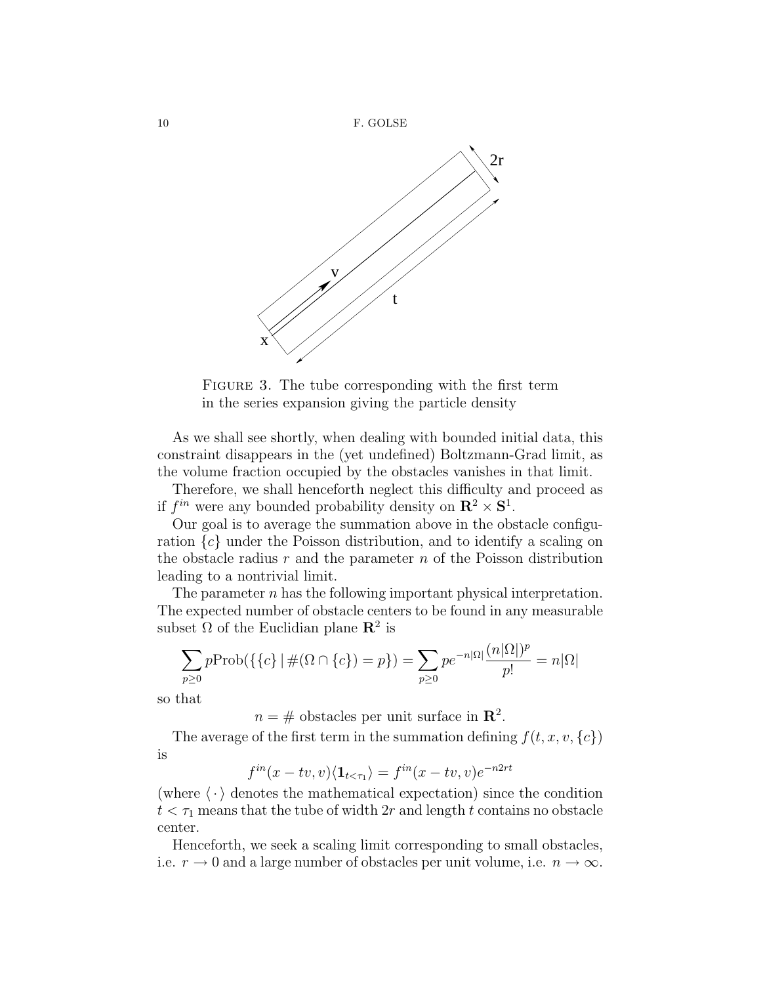

FIGURE 3. The tube corresponding with the first term in the series expansion giving the particle density

As we shall see shortly, when dealing with bounded initial data, this constraint disappears in the (yet undefined) Boltzmann-Grad limit, as the volume fraction occupied by the obstacles vanishes in that limit.

Therefore, we shall henceforth neglect this difficulty and proceed as if  $f^{in}$  were any bounded probability density on  $\mathbb{R}^2 \times \mathbb{S}^1$ .

Our goal is to average the summation above in the obstacle configuration  $\{c\}$  under the Poisson distribution, and to identify a scaling on the obstacle radius  $r$  and the parameter  $n$  of the Poisson distribution leading to a nontrivial limit.

The parameter  $n$  has the following important physical interpretation. The expected number of obstacle centers to be found in any measurable subset  $\Omega$  of the Euclidian plane  $\mathbb{R}^2$  is

$$
\sum_{p\geq 0} p \text{Prob}(\{\{c\} \mid \#(\Omega \cap \{c\}) = p\}) = \sum_{p\geq 0} p e^{-n|\Omega|} \frac{(n|\Omega|)^p}{p!} = n|\Omega|
$$

so that

 $n = #$  obstacles per unit surface in  $\mathbb{R}^2$ .

The average of the first term in the summation defining  $f(t, x, v, \{c\})$ is

$$
f^{in}(x - tv, v) \langle \mathbf{1}_{t < \tau_1} \rangle = f^{in}(x - tv, v)e^{-n2\tau t}
$$

(where  $\langle \cdot \rangle$  denotes the mathematical expectation) since the condition  $t < \tau_1$  means that the tube of width 2r and length t contains no obstacle center.

Henceforth, we seek a scaling limit corresponding to small obstacles, i.e.  $r \to 0$  and a large number of obstacles per unit volume, i.e.  $n \to \infty$ .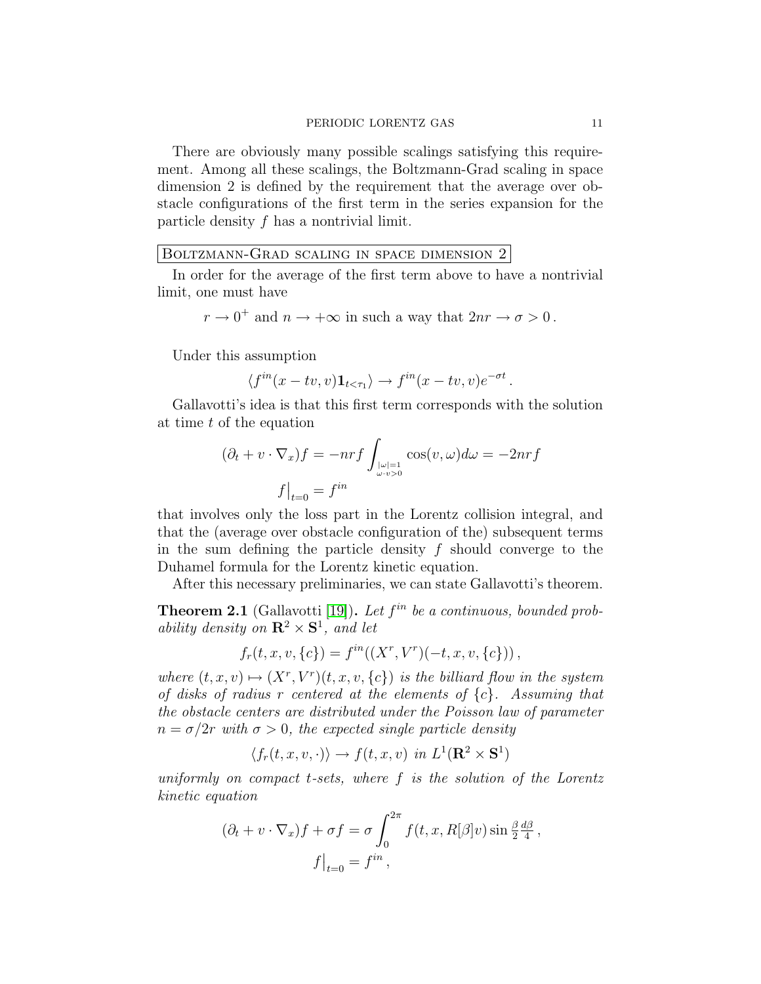There are obviously many possible scalings satisfying this requirement. Among all these scalings, the Boltzmann-Grad scaling in space dimension 2 is defined by the requirement that the average over obstacle configurations of the first term in the series expansion for the particle density f has a nontrivial limit.

## Boltzmann-Grad scaling in space dimension 2

In order for the average of the first term above to have a nontrivial limit, one must have

 $r \to 0^+$  and  $n \to +\infty$  in such a way that  $2nr \to \sigma > 0$ .

Under this assumption

$$
\langle f^{in}(x-tv,v)\mathbf{1}_{t<\tau_1}\rangle \to f^{in}(x-tv,v)e^{-\sigma t}.
$$

Gallavotti's idea is that this first term corresponds with the solution at time t of the equation

$$
(\partial_t + v \cdot \nabla_x) f = -n r f \int_{\substack{|\omega|=1 \ \omega \cdot v > 0}} \cos(v, \omega) d\omega = -2n r f
$$

$$
f \Big|_{t=0} = f^{in}
$$

that involves only the loss part in the Lorentz collision integral, and that the (average over obstacle configuration of the) subsequent terms in the sum defining the particle density  $f$  should converge to the Duhamel formula for the Lorentz kinetic equation.

After this necessary preliminaries, we can state Gallavotti's theorem.

**Theorem 2.1** (Gallavotti [\[19\]](#page-60-3)). Let  $f^{in}$  be a continuous, bounded probability density on  $\mathbb{R}^2 \times \mathbb{S}^1$ , and let

$$
f_r(t, x, v, \{c\}) = f^{in}((X^r, V^r)(-t, x, v, \{c\})),
$$

where  $(t, x, v) \mapsto (X^r, V^r)(t, x, v, \{c\})$  is the billiard flow in the system of disks of radius r centered at the elements of  $\{c\}$ . Assuming that the obstacle centers are distributed under the Poisson law of parameter  $n = \sigma/2r$  with  $\sigma > 0$ , the expected single particle density

$$
\langle f_r(t, x, v, \cdot) \rangle \to f(t, x, v) \text{ in } L^1(\mathbf{R}^2 \times \mathbf{S}^1)
$$

uniformly on compact t-sets, where f is the solution of the Lorentz kinetic equation

$$
(\partial_t + v \cdot \nabla_x) f + \sigma f = \sigma \int_0^{2\pi} f(t, x, R[\beta]v) \sin \frac{\beta}{2} \frac{d\beta}{4},
$$

$$
f\Big|_{t=0} = f^{in},
$$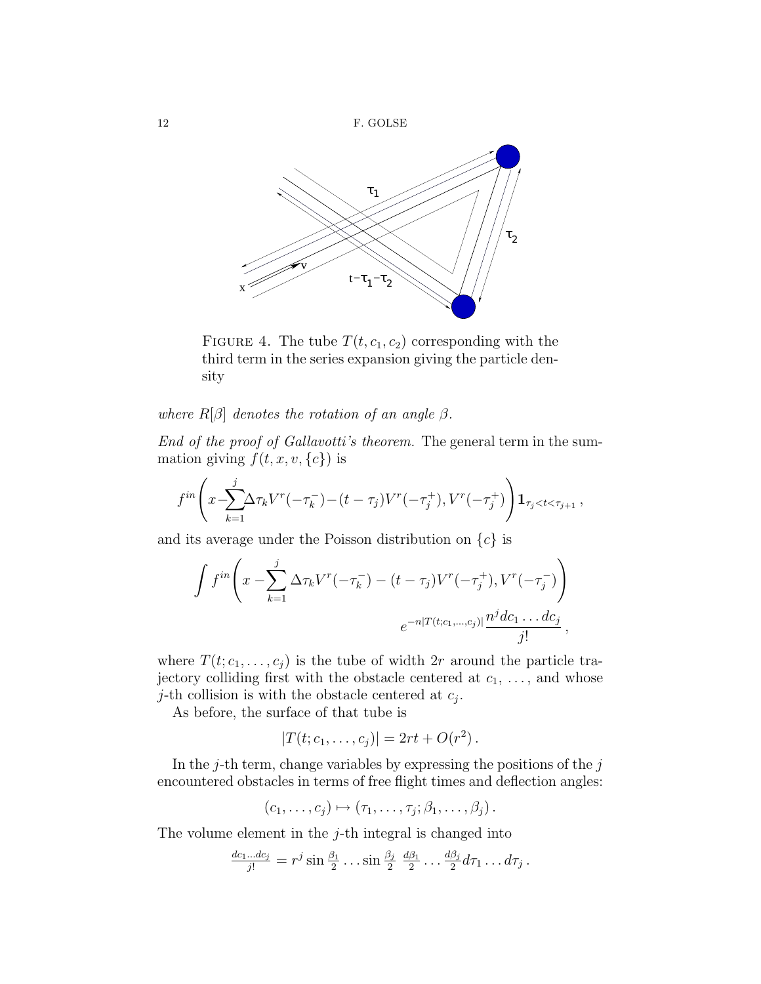12 F. GOLSE



FIGURE 4. The tube  $T(t, c_1, c_2)$  corresponding with the third term in the series expansion giving the particle density

where  $R[\beta]$  denotes the rotation of an angle  $\beta$ .

End of the proof of Gallavotti's theorem. The general term in the summation giving  $f(t, x, v, \{c\})$  is

$$
f^{in}\left(x-\sum_{k=1}^j \Delta \tau_k V^r(-\tau_k^-) - (t-\tau_j)V^r(-\tau_j^+), V^r(-\tau_j^+) \right) {\bf 1}_{\tau_j < t < \tau_{j+1}},
$$

and its average under the Poisson distribution on  $\{c\}$  is

$$
\int f^{in} \left( x - \sum_{k=1}^{j} \Delta \tau_k V^r(-\tau_k^-) - (t - \tau_j) V^r(-\tau_j^+), V^r(-\tau_j^-) \right)
$$
  

$$
e^{-n|T(t;c_1,...,c_j)|} \frac{n^j dc_1 \dots dc_j}{j!},
$$

where  $T(t; c_1, \ldots, c_j)$  is the tube of width 2r around the particle trajectory colliding first with the obstacle centered at  $c_1, \ldots$ , and whose *j*-th collision is with the obstacle centered at  $c_j$ .

As before, the surface of that tube is

$$
|T(t; c_1, \ldots, c_j)| = 2rt + O(r^2).
$$

In the  $j$ -th term, change variables by expressing the positions of the  $j$ encountered obstacles in terms of free flight times and deflection angles:

$$
(c_1,\ldots,c_j)\mapsto (\tau_1,\ldots,\tau_j;\beta_1,\ldots,\beta_j).
$$

The volume element in the  $j$ -th integral is changed into

$$
\frac{dc_1...dc_j}{j!} = r^j \sin \frac{\beta_1}{2} \dots \sin \frac{\beta_j}{2} \frac{d\beta_1}{2} \dots \frac{d\beta_j}{2} d\tau_1 \dots d\tau_j.
$$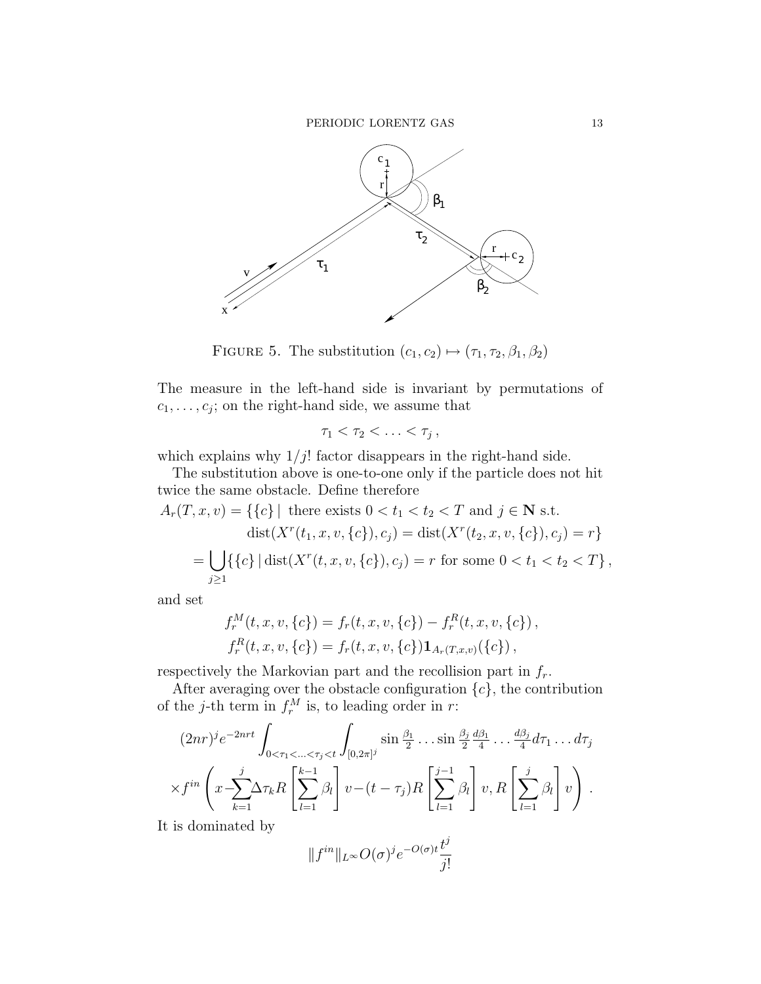

FIGURE 5. The substitution  $(c_1, c_2) \mapsto (\tau_1, \tau_2, \beta_1, \beta_2)$ 

The measure in the left-hand side is invariant by permutations of  $c_1, \ldots, c_j$ ; on the right-hand side, we assume that

$$
\tau_1 < \tau_2 < \ldots < \tau_j,
$$

which explains why  $1/j!$  factor disappears in the right-hand side.

The substitution above is one-to-one only if the particle does not hit twice the same obstacle. Define therefore

$$
A_r(T, x, v) = \{ \{c\} \mid \text{ there exists } 0 < t_1 < t_2 < T \text{ and } j \in \mathbb{N} \text{ s.t.}
$$
\n
$$
\text{dist}(X^r(t_1, x, v, \{c\}), c_j) = \text{dist}(X^r(t_2, x, v, \{c\}), c_j) = r \}
$$
\n
$$
= \bigcup_{j \ge 1} \{ \{c\} \mid \text{dist}(X^r(t, x, v, \{c\}), c_j) = r \text{ for some } 0 < t_1 < t_2 < T \},
$$

and set

$$
f_r^M(t, x, v, \{c\}) = f_r(t, x, v, \{c\}) - f_r^R(t, x, v, \{c\}),
$$
  

$$
f_r^R(t, x, v, \{c\}) = f_r(t, x, v, \{c\}) \mathbf{1}_{A_r(T, x, v)}(\{c\}),
$$

respectively the Markovian part and the recollision part in  $f_r$ .

After averaging over the obstacle configuration  $\{c\}$ , the contribution of the *j*-th term in  $f_r^M$  is, to leading order in r:

$$
(2nr)^{j}e^{-2nrt} \int_{0 < \tau_1 < ... < \tau_j < t} \int_{[0,2\pi]^{j}} \sin \frac{\beta_1}{2} ... \sin \frac{\beta_j}{2} \frac{d\beta_1}{4} ... \frac{d\beta_j}{4} d\tau_1 ... d\tau_j
$$
  
 
$$
\times f^{in} \left( x - \sum_{k=1}^{j} \Delta \tau_k R \left[ \sum_{l=1}^{k-1} \beta_l \right] v - (t - \tau_j) R \left[ \sum_{l=1}^{j-1} \beta_l \right] v, R \left[ \sum_{l=1}^{j} \beta_l \right] v \right).
$$

It is dominated by

$$
||f^{in}||_{L^{\infty}}O(\sigma)^{j}e^{-O(\sigma)t}\frac{t^{j}}{j!}
$$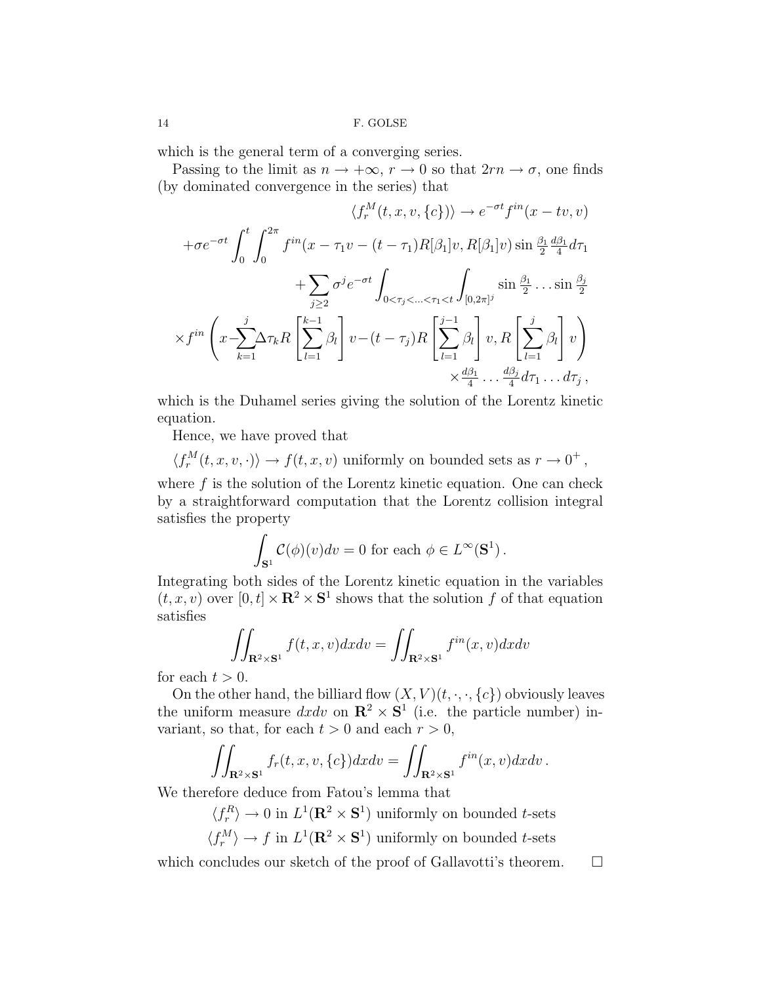which is the general term of a converging series.

Passing to the limit as  $n \to +\infty$ ,  $r \to 0$  so that  $2rn \to \sigma$ , one finds (by dominated convergence in the series) that

$$
\langle f_r^M(t, x, v, \{c\}) \rangle \to e^{-\sigma t} f^{in}(x - tv, v)
$$

$$
+ \sigma e^{-\sigma t} \int_0^t \int_0^{2\pi} f^{in}(x - \tau_1 v - (t - \tau_1) R[\beta_1] v, R[\beta_1] v) \sin \frac{\beta_1}{2} \frac{d\beta_1}{4} d\tau_1
$$

$$
+ \sum_{j \ge 2} \sigma^j e^{-\sigma t} \int_{0 < \tau_j < \dots < \tau_1 < t} \int_{[0, 2\pi]^j} \sin \frac{\beta_1}{2} \dots \sin \frac{\beta_j}{2}
$$

$$
\times f^{in} \left( x - \sum_{k=1}^j \Delta \tau_k R \left[ \sum_{l=1}^{k-1} \beta_l \right] v - (t - \tau_j) R \left[ \sum_{l=1}^{j-1} \beta_l \right] v, R \left[ \sum_{l=1}^j \beta_l \right] v \right)
$$

$$
\times \frac{d\beta_1}{4} \dots \frac{d\beta_j}{4} d\tau_1 \dots d\tau_j,
$$

which is the Duhamel series giving the solution of the Lorentz kinetic equation.

Hence, we have proved that

 $\langle f_r^M(t, x, v, \cdot) \rangle \to f(t, x, v)$  uniformly on bounded sets as  $r \to 0^+$ ,

where  $f$  is the solution of the Lorentz kinetic equation. One can check by a straightforward computation that the Lorentz collision integral satisfies the property

$$
\int_{\mathbf{S}^1} \mathcal{C}(\phi)(v) dv = 0 \text{ for each } \phi \in L^{\infty}(\mathbf{S}^1).
$$

Integrating both sides of the Lorentz kinetic equation in the variables  $(t, x, v)$  over  $[0, t] \times \mathbb{R}^2 \times \mathbb{S}^1$  shows that the solution f of that equation satisfies

$$
\iint_{\mathbf{R}^2 \times \mathbf{S}^1} f(t, x, v) dx dv = \iint_{\mathbf{R}^2 \times \mathbf{S}^1} f^{in}(x, v) dx dv
$$

for each  $t > 0$ .

On the other hand, the billiard flow  $(X, V)(t, \cdot, \cdot, \{c\})$  obviously leaves the uniform measure  $dx dv$  on  $\mathbb{R}^2 \times \mathbb{S}^1$  (i.e. the particle number) invariant, so that, for each  $t > 0$  and each  $r > 0$ ,

$$
\iint_{\mathbf{R}^2 \times \mathbf{S}^1} f_r(t, x, v, \{c\}) dx dv = \iint_{\mathbf{R}^2 \times \mathbf{S}^1} f^{in}(x, v) dx dv.
$$

We therefore deduce from Fatou's lemma that

 $\langle f_r^R \rangle \to 0$  in  $L^1(\mathbf{R}^2 \times \mathbf{S}^1)$  uniformly on bounded t-sets  $\langle f_r^M \rangle \to f$  in  $L^1(\mathbf{R}^2 \times \mathbf{S}^1)$  uniformly on bounded t-sets

which concludes our sketch of the proof of Gallavotti's theorem.  $\Box$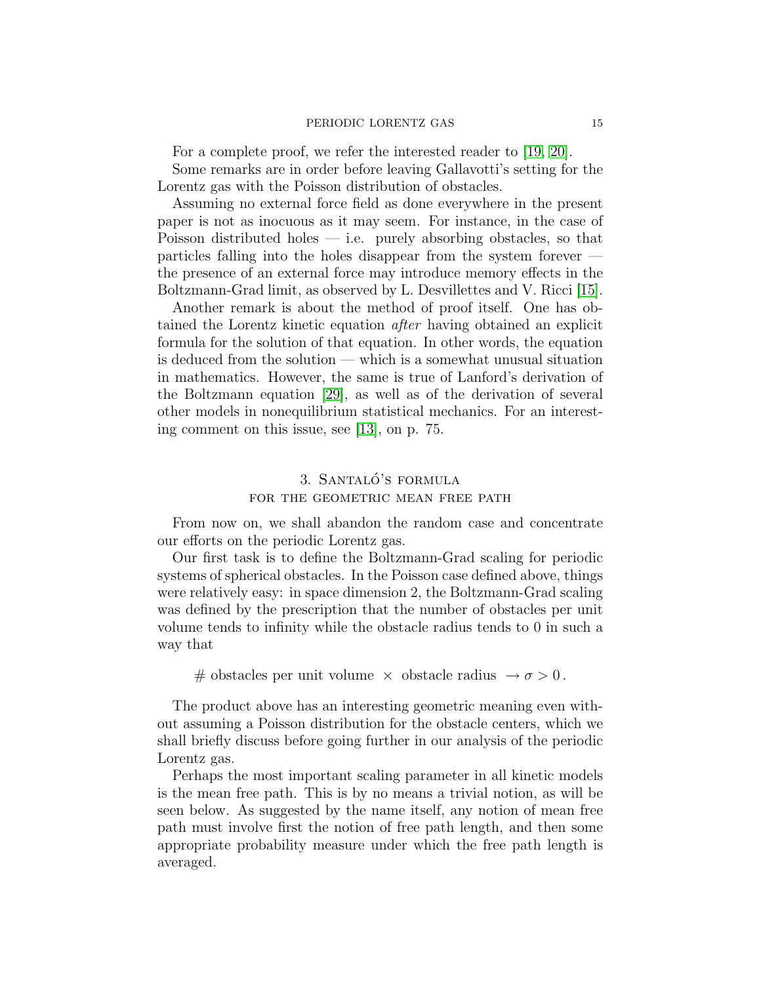For a complete proof, we refer the interested reader to [\[19,](#page-60-3) [20\]](#page-60-7).

Some remarks are in order before leaving Gallavotti's setting for the Lorentz gas with the Poisson distribution of obstacles.

Assuming no external force field as done everywhere in the present paper is not as inocuous as it may seem. For instance, in the case of Poisson distributed holes  $-$  i.e. purely absorbing obstacles, so that particles falling into the holes disappear from the system forever the presence of an external force may introduce memory effects in the Boltzmann-Grad limit, as observed by L. Desvillettes and V. Ricci [\[15\]](#page-60-8).

Another remark is about the method of proof itself. One has obtained the Lorentz kinetic equation after having obtained an explicit formula for the solution of that equation. In other words, the equation is deduced from the solution — which is a somewhat unusual situation in mathematics. However, the same is true of Lanford's derivation of the Boltzmann equation [\[29\]](#page-61-2), as well as of the derivation of several other models in nonequilibrium statistical mechanics. For an interesting comment on this issue, see [\[13\]](#page-60-9), on p. 75.

# 3. SANTALÓ'S FORMULA FOR THE GEOMETRIC MEAN FREE PATH

<span id="page-14-0"></span>From now on, we shall abandon the random case and concentrate our efforts on the periodic Lorentz gas.

Our first task is to define the Boltzmann-Grad scaling for periodic systems of spherical obstacles. In the Poisson case defined above, things were relatively easy: in space dimension 2, the Boltzmann-Grad scaling was defined by the prescription that the number of obstacles per unit volume tends to infinity while the obstacle radius tends to 0 in such a way that

# obstacles per unit volume  $\times$  obstacle radius  $\rightarrow \sigma > 0$ .

The product above has an interesting geometric meaning even without assuming a Poisson distribution for the obstacle centers, which we shall briefly discuss before going further in our analysis of the periodic Lorentz gas.

Perhaps the most important scaling parameter in all kinetic models is the mean free path. This is by no means a trivial notion, as will be seen below. As suggested by the name itself, any notion of mean free path must involve first the notion of free path length, and then some appropriate probability measure under which the free path length is averaged.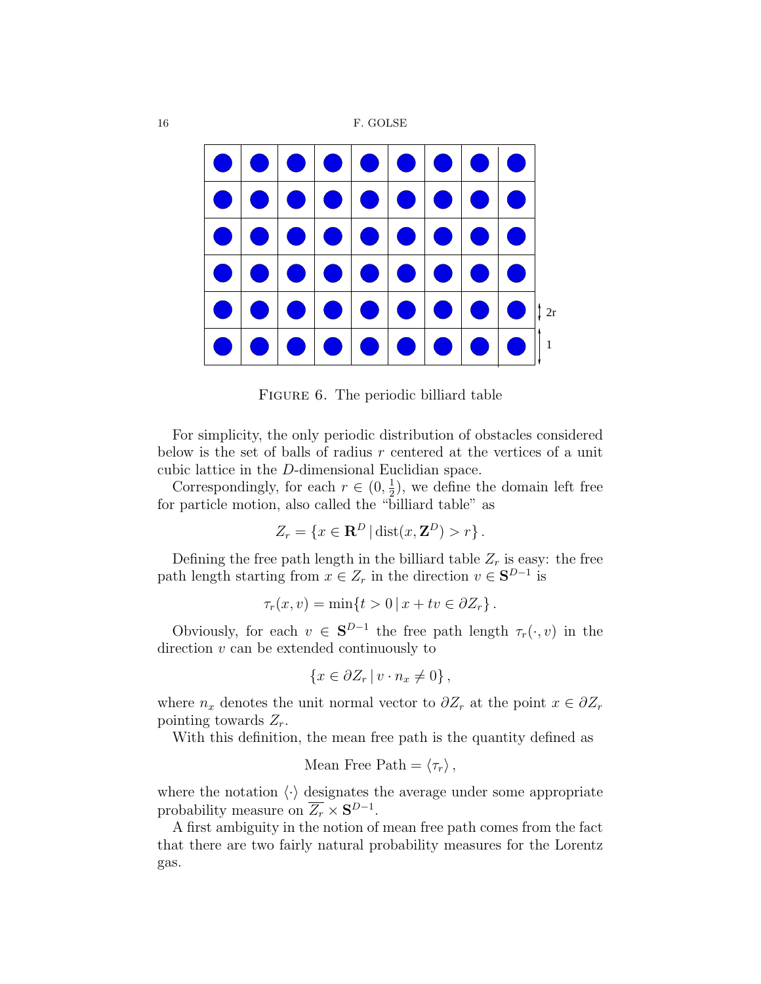16 F. GOLSE



Figure 6. The periodic billiard table

For simplicity, the only periodic distribution of obstacles considered below is the set of balls of radius r centered at the vertices of a unit cubic lattice in the D-dimensional Euclidian space.

Correspondingly, for each  $r \in (0, \frac{1}{2})$  $(\frac{1}{2})$ , we define the domain left free for particle motion, also called the "billiard table" as

$$
Z_r = \{ x \in \mathbf{R}^D \, | \, \text{dist}(x, \mathbf{Z}^D) > r \} \, .
$$

Defining the free path length in the billiard table  $Z_r$  is easy: the free path length starting from  $x \in Z_r$  in the direction  $v \in S^{D-1}$  is

$$
\tau_r(x, v) = \min\{t > 0 \,|\, x + tv \in \partial Z_r\}.
$$

Obviously, for each  $v \in S^{D-1}$  the free path length  $\tau_r(\cdot, v)$  in the direction  $v$  can be extended continuously to

$$
\{x \in \partial Z_r \, | \, v \cdot n_x \neq 0\},\
$$

where  $n_x$  denotes the unit normal vector to  $\partial Z_r$  at the point  $x \in \partial Z_r$ pointing towards  $Z_r$ .

With this definition, the mean free path is the quantity defined as

Mean Free Path = 
$$
\langle \tau_r \rangle
$$
,

where the notation  $\langle \cdot \rangle$  designates the average under some appropriate probability measure on  $\overline{Z_r} \times S^{D-1}$ .

A first ambiguity in the notion of mean free path comes from the fact that there are two fairly natural probability measures for the Lorentz gas.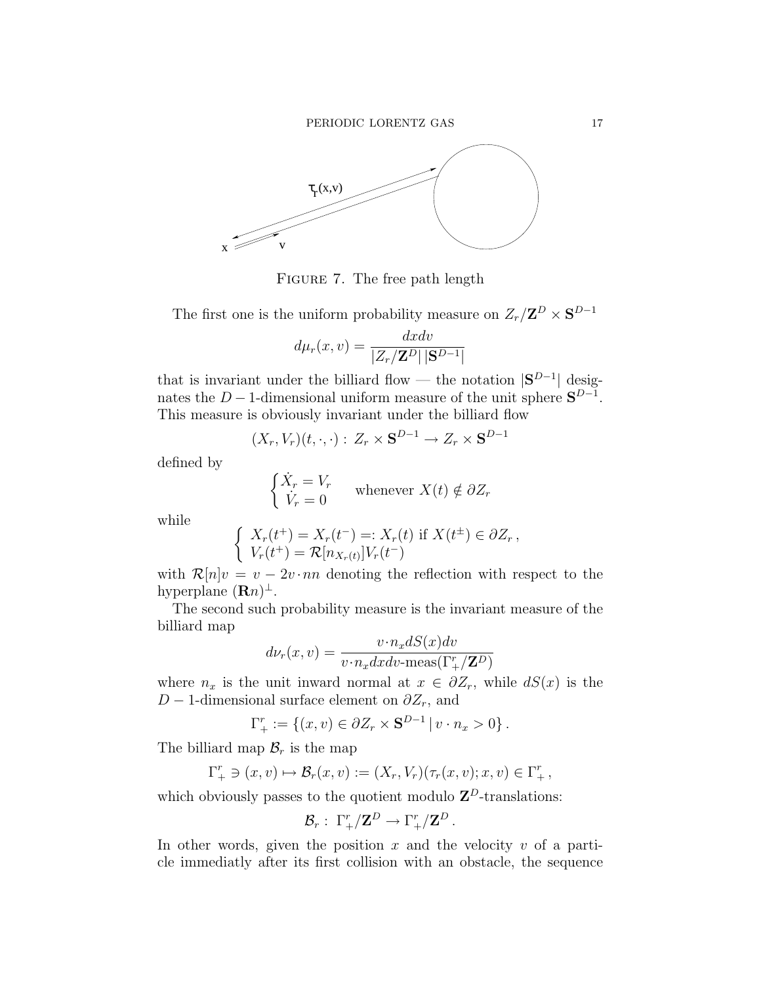

Figure 7. The free path length

The first one is the uniform probability measure on  $Z_r/\mathbf{Z}^D \times \mathbf{S}^{D-1}$ 

$$
d\mu_r(x,v) = \frac{dx dv}{|Z_r/\mathbf{Z}^D| |\mathbf{S}^{D-1}|}
$$

that is invariant under the billiard flow — the notation  $|S^{D-1}|$  designates the  $D-1$ -dimensional uniform measure of the unit sphere  $S^{D-1}$ . This measure is obviously invariant under the billiard flow

$$
(X_r, V_r)(t, \cdot, \cdot): Z_r \times \mathbf{S}^{D-1} \to Z_r \times \mathbf{S}^{D-1}
$$

defined by

$$
\begin{cases} \dot{X}_r = V_r \\ \dot{V}_r = 0 \end{cases}
$$
 whenever  $X(t) \notin \partial Z_r$ 

while

$$
\begin{cases}\nX_r(t^+) = X_r(t^-) =: X_r(t) \text{ if } X(t^{\pm}) \in \partial Z_r, \\
V_r(t^+) = \mathcal{R}[n_{X_r(t)}] V_r(t^-)\n\end{cases}
$$

with  $\mathcal{R}[n]v = v - 2v \cdot nn$  denoting the reflection with respect to the hyperplane  $(\mathbf{R}n)^{\perp}$ .

The second such probability measure is the invariant measure of the billiard map

$$
d\nu_r(x,v) = \frac{v \cdot n_x dS(x) dv}{v \cdot n_x dxdv \cdot \text{meas}(\Gamma_+^r / \mathbf{Z}^D)}
$$

where  $n_x$  is the unit inward normal at  $x \in \partial Z_r$ , while  $dS(x)$  is the D – 1-dimensional surface element on  $\partial Z_r$ , and

$$
\Gamma_+^r := \{(x,v) \in \partial Z_r \times \mathbf{S}^{D-1} \mid v \cdot n_x > 0\}.
$$

The billiard map  $\mathcal{B}_r$  is the map

$$
\Gamma_+^r \ni (x,v) \mapsto \mathcal{B}_r(x,v) := (X_r, V_r)(\tau_r(x,v); x, v) \in \Gamma_+^r,
$$

which obviously passes to the quotient modulo  $\mathbf{Z}^D$ -translations:

$$
\mathcal{B}_r: \; \Gamma_+^r/{\bf Z}^D \to \Gamma_+^r/{\bf Z}^D \, .
$$

In other words, given the position  $x$  and the velocity  $v$  of a particle immediatly after its first collision with an obstacle, the sequence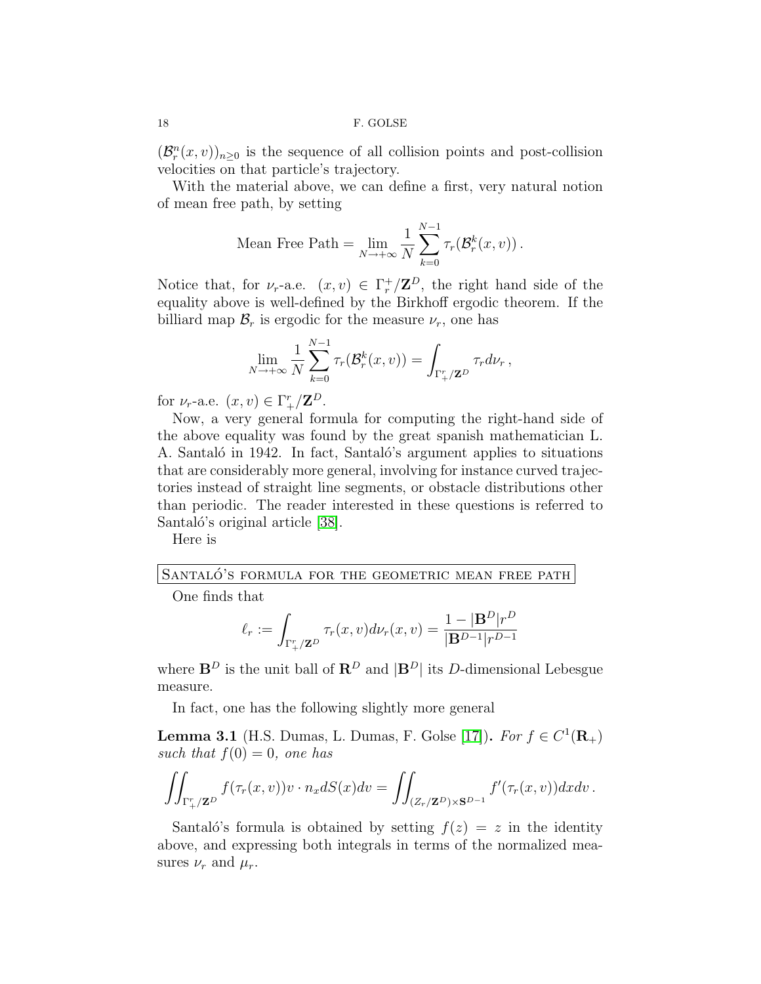18 F. GOLSE

 $(\mathcal{B}_r^n(x,v))_{n\geq 0}$  is the sequence of all collision points and post-collision velocities on that particle's trajectory.

With the material above, we can define a first, very natural notion of mean free path, by setting

Mean Free Path = 
$$
\lim_{N \to +\infty} \frac{1}{N} \sum_{k=0}^{N-1} \tau_r(\mathcal{B}_r^k(x, v))
$$
.

Notice that, for  $\nu_r$ -a.e.  $(x, v) \in \Gamma_r^+ / \mathbb{Z}^D$ , the right hand side of the equality above is well-defined by the Birkhoff ergodic theorem. If the billiard map  $\mathcal{B}_r$  is ergodic for the measure  $\nu_r$ , one has

$$
\lim_{N \to +\infty} \frac{1}{N} \sum_{k=0}^{N-1} \tau_r(\mathcal{B}_r^k(x,v)) = \int_{\Gamma_+^r/\mathbf{Z}^D} \tau_r d\nu_r,
$$

for  $\nu_r$ -a.e.  $(x, v) \in \Gamma^r_+/ \mathbf{Z}^D$ .

Now, a very general formula for computing the right-hand side of the above equality was found by the great spanish mathematician L. A. Santaló in 1942. In fact, Santaló's argument applies to situations that are considerably more general, involving for instance curved trajectories instead of straight line segments, or obstacle distributions other than periodic. The reader interested in these questions is referred to Santaló's original article [\[38\]](#page-61-6).

Here is

SANTALÓ'S FORMULA FOR THE GEOMETRIC MEAN FREE PATH

One finds that

$$
\ell_r := \int_{\Gamma_+^r/\mathbf{Z}^D} \tau_r(x, v) d\nu_r(x, v) = \frac{1 - |\mathbf{B}^D| r^D}{|\mathbf{B}^{D-1}| r^{D-1}}
$$

where  $\mathbf{B}^D$  is the unit ball of  $\mathbf{R}^D$  and  $|\mathbf{B}^D|$  its D-dimensional Lebesgue measure.

In fact, one has the following slightly more general

**Lemma 3.1** (H.S. Dumas, L. Dumas, F. Golse [\[17\]](#page-60-10)). For  $f \in C^1(\mathbf{R}_+)$ such that  $f(0) = 0$ , one has

$$
\iint_{\Gamma_+^r/\mathbf{Z}^D} f(\tau_r(x,v))v \cdot n_x dS(x) dv = \iint_{(Z_r/\mathbf{Z}^D)\times \mathbf{S}^{D-1}} f'(\tau_r(x,v)) dxdv.
$$

Santaló's formula is obtained by setting  $f(z) = z$  in the identity above, and expressing both integrals in terms of the normalized measures  $\nu_r$  and  $\mu_r$ .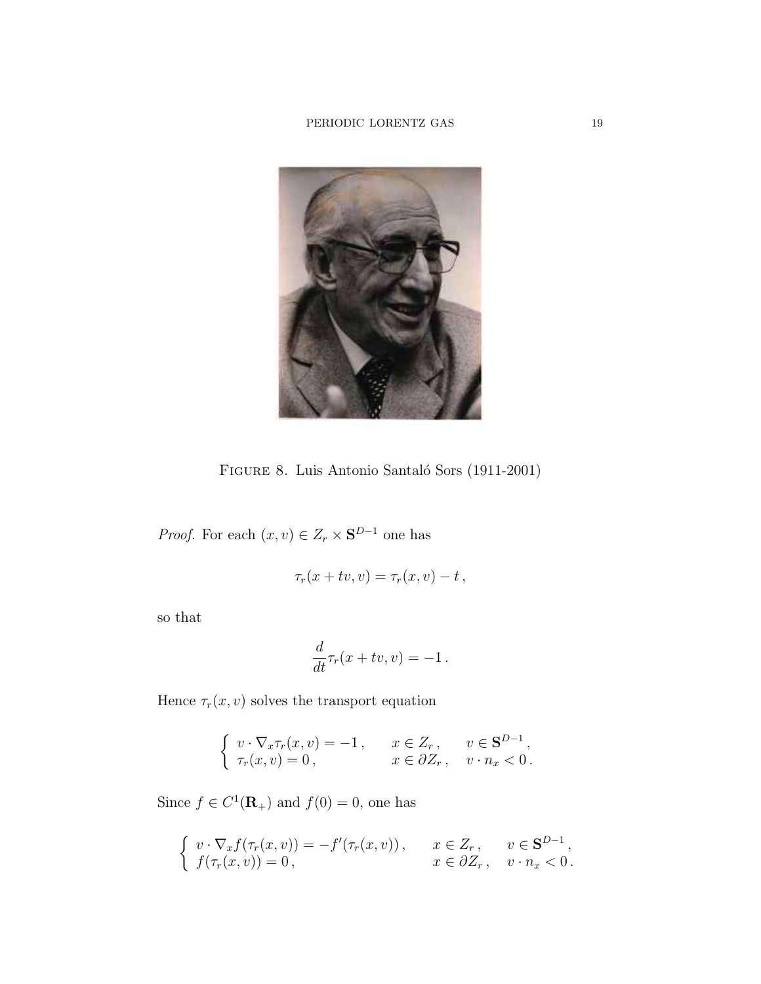## PERIODIC LORENTZ GAS  $\hfill$  19



FIGURE 8. Luis Antonio Santaló Sors (1911-2001)

*Proof.* For each  $(x, v) \in Z_r \times S^{D-1}$  one has

$$
\tau_r(x+tv,v)=\tau_r(x,v)-t\,,
$$

so that

$$
\frac{d}{dt}\tau_r(x+tv,v) = -1\,.
$$

Hence  $\tau_r(x,v)$  solves the transport equation

$$
\begin{cases}\nv \cdot \nabla_x \tau_r(x, v) = -1, & x \in Z_r, \quad v \in \mathbf{S}^{D-1}, \\
\tau_r(x, v) = 0, & x \in \partial Z_r, \quad v \cdot n_x < 0.\n\end{cases}
$$

Since  $f \in C^1(\mathbf{R}_+)$  and  $f(0) = 0$ , one has

$$
\begin{cases}\nv \cdot \nabla_x f(\tau_r(x,v)) = -f'(\tau_r(x,v)), & x \in Z_r, \quad v \in \mathbf{S}^{D-1}, \\
f(\tau_r(x,v)) = 0, & x \in \partial Z_r, \quad v \cdot n_x < 0.\n\end{cases}
$$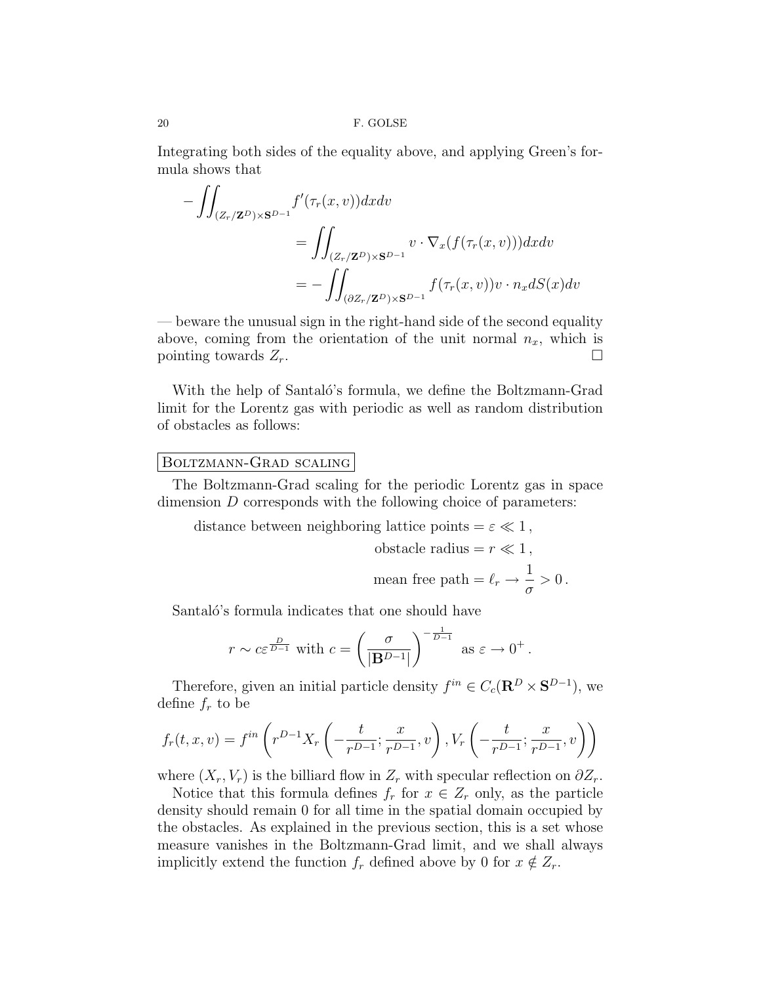Integrating both sides of the equality above, and applying Green's formula shows that

$$
-\iint_{(Z_r/\mathbf{Z}^D)\times\mathbf{S}^{D-1}} f'(\tau_r(x,v)) dx dv
$$
  
= 
$$
\iint_{(Z_r/\mathbf{Z}^D)\times\mathbf{S}^{D-1}} v \cdot \nabla_x (f(\tau_r(x,v))) dx dv
$$
  
= 
$$
-\iint_{(\partial Z_r/\mathbf{Z}^D)\times\mathbf{S}^{D-1}} f(\tau_r(x,v)) v \cdot n_x dS(x) dv
$$

— beware the unusual sign in the right-hand side of the second equality above, coming from the orientation of the unit normal  $n_x$ , which is pointing towards  $Z_r$ .

With the help of Santaló's formula, we define the Boltzmann-Grad limit for the Lorentz gas with periodic as well as random distribution of obstacles as follows:

### Boltzmann-Grad scaling

The Boltzmann-Grad scaling for the periodic Lorentz gas in space dimension D corresponds with the following choice of parameters:

distance between neighboring lattice points = 
$$
\varepsilon \ll 1
$$
,  
obstacle radius =  $r \ll 1$ ,  
mean free path =  $\ell_r \to \frac{1}{\sigma} > 0$ .

Santaló's formula indicates that one should have

$$
r \sim c \varepsilon^{\frac{D}{D-1}}
$$
 with  $c = \left(\frac{\sigma}{|\mathbf{B}^{D-1}|}\right)^{-\frac{1}{D-1}}$  as  $\varepsilon \to 0^+$ .

Therefore, given an initial particle density  $f^{in} \in C_c(\mathbf{R}^D \times \mathbf{S}^{D-1})$ , we define  $f_r$  to be

$$
f_r(t, x, v) = f^{in} \left( r^{D-1} X_r \left( -\frac{t}{r^{D-1}}; \frac{x}{r^{D-1}}, v \right), V_r \left( -\frac{t}{r^{D-1}}; \frac{x}{r^{D-1}}, v \right) \right)
$$

where  $(X_r, V_r)$  is the billiard flow in  $Z_r$  with specular reflection on  $\partial Z_r$ .

Notice that this formula defines  $f_r$  for  $x \in Z_r$  only, as the particle density should remain 0 for all time in the spatial domain occupied by the obstacles. As explained in the previous section, this is a set whose measure vanishes in the Boltzmann-Grad limit, and we shall always implicitly extend the function  $f_r$  defined above by 0 for  $x \notin Z_r$ .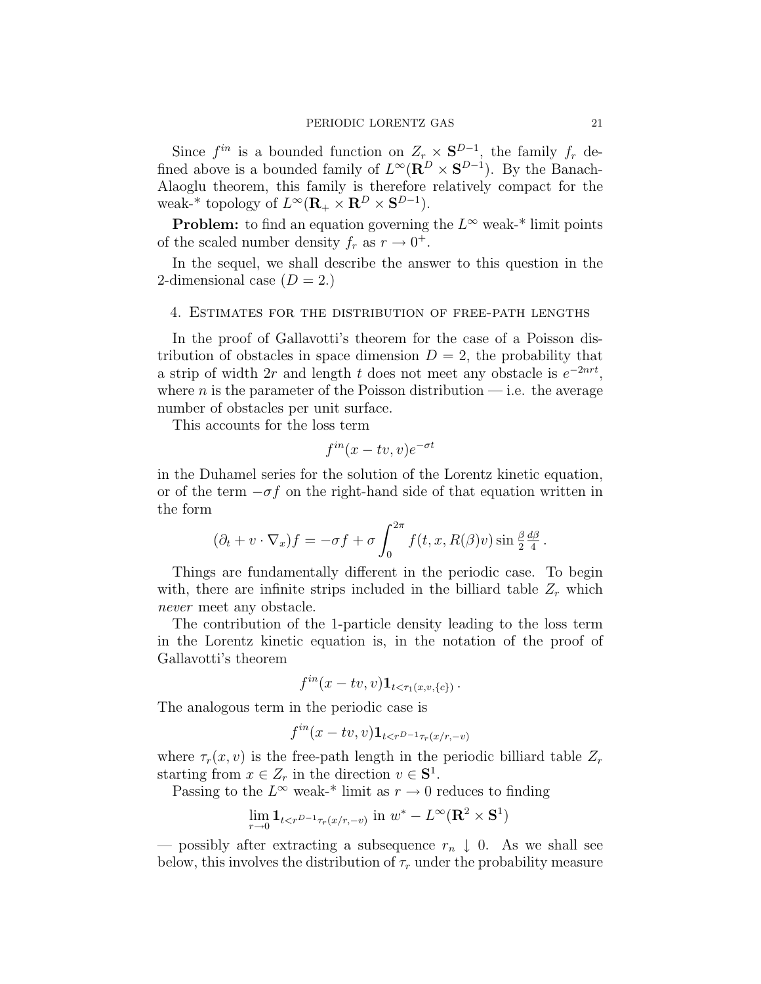Since  $f^{in}$  is a bounded function on  $Z_r \times S^{D-1}$ , the family  $f_r$  defined above is a bounded family of  $L^{\infty}(\mathbf{R}^D \times \mathbf{S}^{D-1})$ . By the Banach-Alaoglu theorem, this family is therefore relatively compact for the weak-\* topology of  $L^{\infty}(\mathbf{R}_{+}\times\mathbf{R}^{D}\times\mathbf{S}^{D-1}).$ 

**Problem:** to find an equation governing the  $L^{\infty}$  weak-\* limit points of the scaled number density  $f_r$  as  $r \to 0^+$ .

In the sequel, we shall describe the answer to this question in the 2-dimensional case  $(D = 2)$ .

### <span id="page-20-0"></span>4. Estimates for the distribution of free-path lengths

In the proof of Gallavotti's theorem for the case of a Poisson distribution of obstacles in space dimension  $D = 2$ , the probability that a strip of width 2r and length t does not meet any obstacle is  $e^{-2nrt}$ , where *n* is the parameter of the Poisson distribution  $\frac{d}{dx}$  i.e. the average number of obstacles per unit surface.

This accounts for the loss term

$$
f^{in}(x - tv, v)e^{-\sigma t}
$$

in the Duhamel series for the solution of the Lorentz kinetic equation, or of the term  $-\sigma f$  on the right-hand side of that equation written in the form

$$
(\partial_t + v \cdot \nabla_x) f = -\sigma f + \sigma \int_0^{2\pi} f(t, x, R(\beta)v) \sin \frac{\beta}{2} \frac{d\beta}{4}.
$$

Things are fundamentally different in the periodic case. To begin with, there are infinite strips included in the billiard table  $Z_r$  which never meet any obstacle.

The contribution of the 1-particle density leading to the loss term in the Lorentz kinetic equation is, in the notation of the proof of Gallavotti's theorem

$$
f^{in}(x - tv, v) \mathbf{1}_{t < \tau_1(x, v, \{c\})}.
$$

The analogous term in the periodic case is

$$
f^{in}(x - tv, v) \mathbf{1}_{t < r^{D-1}\tau_r(x/r, -v)}
$$

where  $\tau_r(x, v)$  is the free-path length in the periodic billiard table  $Z_r$ starting from  $x \in Z_r$  in the direction  $v \in \mathbf{S}^1$ .

Passing to the  $L^{\infty}$  weak-\* limit as  $r \to 0$  reduces to finding

$$
\lim_{r \to 0} \mathbf{1}_{t < r^{D-1}\tau_r(x/r, -v)} \text{ in } w^* - L^{\infty}(\mathbf{R}^2 \times \mathbf{S}^1)
$$

— possibly after extracting a subsequence  $r_n \downarrow 0$ . As we shall see below, this involves the distribution of  $\tau_r$  under the probability measure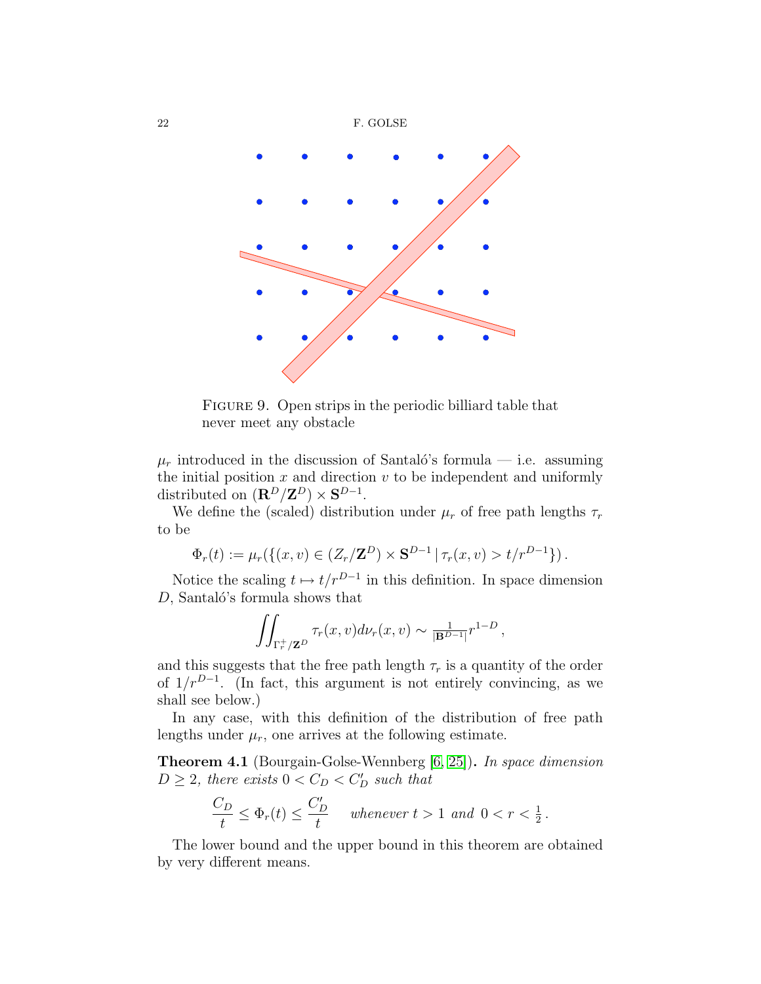

FIGURE 9. Open strips in the periodic billiard table that never meet any obstacle

 $\mu_r$  introduced in the discussion of Santaló's formula — i.e. assuming the initial position  $x$  and direction  $v$  to be independent and uniformly distributed on  $(\mathbf{R}^D/\mathbf{Z}^D) \times \mathbf{S}^{D-1}$ .

We define the (scaled) distribution under  $\mu_r$  of free path lengths  $\tau_r$ to be

$$
\Phi_r(t) := \mu_r(\{(x,v) \in (Z_r/\mathbf{Z}^D) \times \mathbf{S}^{D-1} | \tau_r(x,v) > t/r^{D-1}\}).
$$

Notice the scaling  $t \mapsto t/r^{D-1}$  in this definition. In space dimension  $D$ , Santaló's formula shows that

$$
\iint_{\Gamma_r^+/Z^D} \tau_r(x,v) d\nu_r(x,v) \sim \frac{1}{|\mathbf{B}^{D-1}|} r^{1-D},
$$

and this suggests that the free path length  $\tau_r$  is a quantity of the order of  $1/r^{D-1}$ . (In fact, this argument is not entirely convincing, as we shall see below.)

In any case, with this definition of the distribution of free path lengths under  $\mu_r$ , one arrives at the following estimate.

Theorem 4.1 (Bourgain-Golse-Wennberg [\[6,](#page-59-4) [25\]](#page-60-11)). In space dimension  $D \geq 2$ , there exists  $0 < C_D < C'_D$  such that

$$
\frac{C_D}{t} \le \Phi_r(t) \le \frac{C'_D}{t} \quad \text{ whenever } t > 1 \text{ and } 0 < r < \frac{1}{2} \, .
$$

The lower bound and the upper bound in this theorem are obtained by very different means.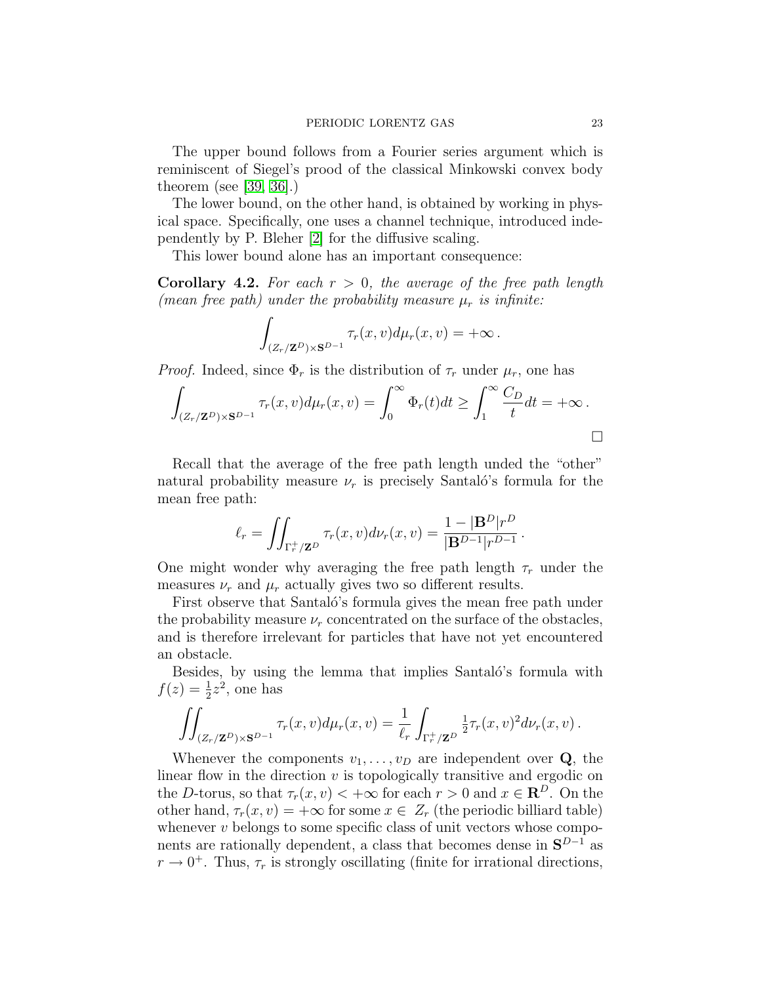The upper bound follows from a Fourier series argument which is reminiscent of Siegel's prood of the classical Minkowski convex body theorem (see [\[39,](#page-61-7) [36\]](#page-61-8).)

The lower bound, on the other hand, is obtained by working in physical space. Specifically, one uses a channel technique, introduced independently by P. Bleher [\[2\]](#page-59-5) for the diffusive scaling.

This lower bound alone has an important consequence:

**Corollary 4.2.** For each  $r > 0$ , the average of the free path length (mean free path) under the probability measure  $\mu_r$  is infinite:

$$
\int_{(Z_r/\mathbf{Z}^D)\times\mathbf{S}^{D-1}} \tau_r(x,v) d\mu_r(x,v) = +\infty.
$$

*Proof.* Indeed, since  $\Phi_r$  is the distribution of  $\tau_r$  under  $\mu_r$ , one has

$$
\int_{(Z_r/\mathbf{Z}^D)\times\mathbf{S}^{D-1}} \tau_r(x,v) d\mu_r(x,v) = \int_0^\infty \Phi_r(t) dt \ge \int_1^\infty \frac{C_D}{t} dt = +\infty.
$$

Recall that the average of the free path length unded the "other" natural probability measure  $\nu_r$  is precisely Santaló's formula for the mean free path:

$$
\ell_r = \iint_{\Gamma_r^+/\mathbf{Z}^D} \tau_r(x, v) d\nu_r(x, v) = \frac{1 - |\mathbf{B}^D| r^D}{|\mathbf{B}^{D-1}| r^{D-1}}.
$$

One might wonder why averaging the free path length  $\tau_r$  under the measures  $\nu_r$  and  $\mu_r$  actually gives two so different results.

First observe that Santaló's formula gives the mean free path under the probability measure  $\nu_r$  concentrated on the surface of the obstacles, and is therefore irrelevant for particles that have not yet encountered an obstacle.

Besides, by using the lemma that implies Santaló's formula with  $f(z) = \frac{1}{2}z^2$ , one has

$$
\iint_{(Z_r/\mathbf{Z}^D)\times\mathbf{S}^{D-1}} \tau_r(x,v) d\mu_r(x,v) = \frac{1}{\ell_r} \int_{\Gamma_r^+/\mathbf{Z}^D} \frac{1}{2} \tau_r(x,v)^2 d\nu_r(x,v).
$$

Whenever the components  $v_1, \ldots, v_D$  are independent over **Q**, the linear flow in the direction  $v$  is topologically transitive and ergodic on the D-torus, so that  $\tau_r(x, v) < +\infty$  for each  $r > 0$  and  $x \in \mathbb{R}^D$ . On the other hand,  $\tau_r(x, v) = +\infty$  for some  $x \in Z_r$  (the periodic billiard table) whenever  $v$  belongs to some specific class of unit vectors whose components are rationally dependent, a class that becomes dense in  $S^{D-1}$  as  $r \to 0^+$ . Thus,  $\tau_r$  is strongly oscillating (finite for irrational directions,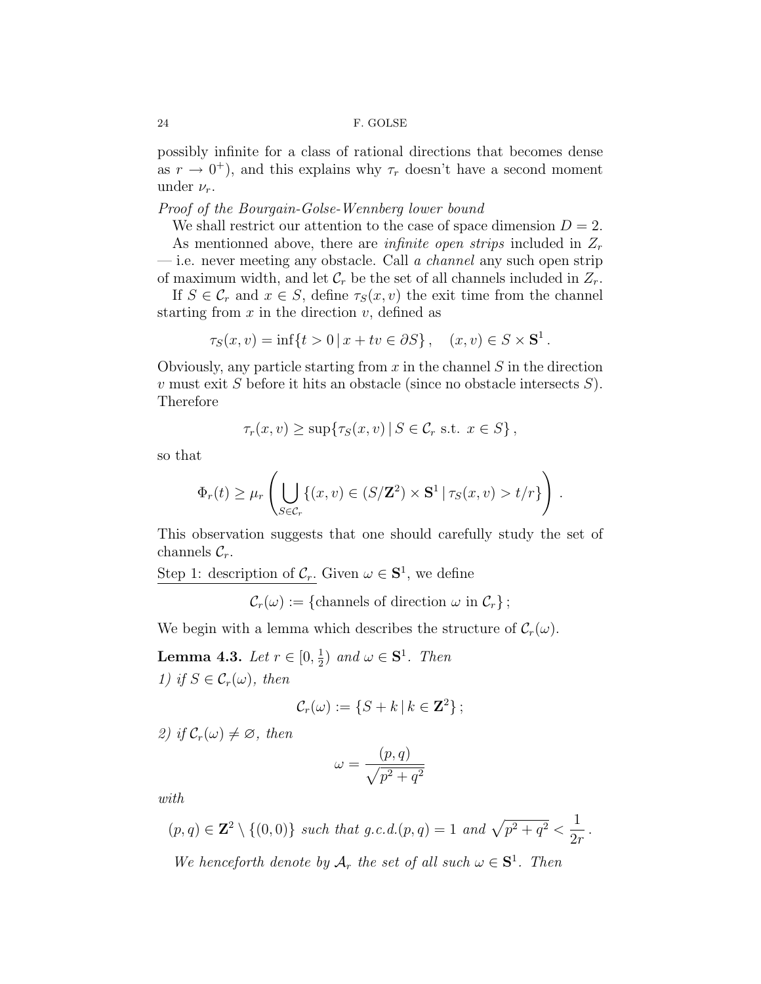possibly infinite for a class of rational directions that becomes dense as  $r \to 0^+$ ), and this explains why  $\tau_r$  doesn't have a second moment under  $\nu_r$ .

### Proof of the Bourgain-Golse-Wennberg lower bound

We shall restrict our attention to the case of space dimension  $D = 2$ .

As mentionned above, there are *infinite open strips* included in  $Z_r$  $-$  i.e. never meeting any obstacle. Call a *channel* any such open strip of maximum width, and let  $\mathcal{C}_r$  be the set of all channels included in  $Z_r$ .

If  $S \in \mathcal{C}_r$  and  $x \in S$ , define  $\tau_S(x, v)$  the exit time from the channel starting from  $x$  in the direction  $v$ , defined as

$$
\tau_S(x, v) = \inf\{t > 0 \mid x + tv \in \partial S\}, \quad (x, v) \in S \times \mathbf{S}^1.
$$

Obviously, any particle starting from  $x$  in the channel  $S$  in the direction v must exit S before it hits an obstacle (since no obstacle intersects  $S$ ). Therefore

$$
\tau_r(x,v) \ge \sup\{\tau_S(x,v) \,|\, S \in \mathcal{C}_r \text{ s.t. } x \in S\},\
$$

so that

$$
\Phi_r(t) \geq \mu_r \left( \bigcup_{S \in \mathcal{C}_r} \{ (x, v) \in (S/\mathbf{Z}^2) \times \mathbf{S}^1 \mid \tau_S(x, v) > t/r \} \right).
$$

This observation suggests that one should carefully study the set of channels  $\mathcal{C}_r$ .

Step 1: description of  $\mathcal{C}_r$ . Given  $\omega \in \mathbf{S}^1$ , we define

 $\mathcal{C}_r(\omega) := \{$ channels of direction  $\omega$  in  $\mathcal{C}_r$ };

We begin with a lemma which describes the structure of  $\mathcal{C}_r(\omega)$ .

**Lemma 4.3.** Let  $r \in [0, \frac{1}{2}]$  $(\frac{1}{2})$  and  $\omega \in \mathbf{S}^1$ . Then 1) if  $S \in \mathcal{C}_r(\omega)$ , then

$$
\mathcal{C}_r(\omega) := \{ S + k \, | \, k \in \mathbb{Z}^2 \} ;
$$

2) if  $C_r(\omega) \neq \emptyset$ , then

$$
\omega = \frac{(p, q)}{\sqrt{p^2 + q^2}}
$$

with

$$
(p,q) \in \mathbb{Z}^2 \setminus \{(0,0)\}\
$$
 such that  $g.c.d.(p,q) = 1$  and  $\sqrt{p^2 + q^2} < \frac{1}{2r}$ .

We henceforth denote by  $A_r$  the set of all such  $\omega \in \mathbf{S}^1$ . Then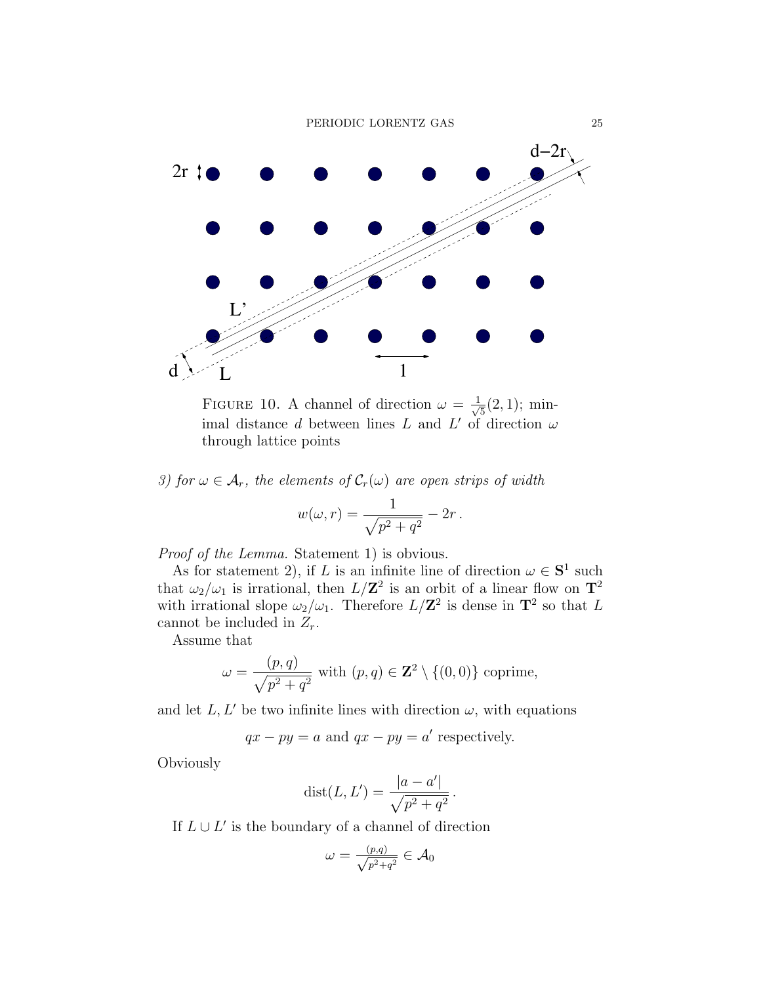

FIGURE 10. A channel of direction  $\omega = \frac{1}{\sqrt{2}}$  $\frac{1}{5}(2,1);$  minimal distance d between lines L and L' of direction  $\omega$ through lattice points

3) for  $\omega \in A_r$ , the elements of  $\mathcal{C}_r(\omega)$  are open strips of width

$$
w(\omega, r) = \frac{1}{\sqrt{p^2 + q^2}} - 2r.
$$

Proof of the Lemma. Statement 1) is obvious.

As for statement 2), if L is an infinite line of direction  $\omega \in S^1$  such that  $\omega_2/\omega_1$  is irrational, then  $L/\mathbf{Z}^2$  is an orbit of a linear flow on  $\mathbf{T}^2$ with irrational slope  $\omega_2/\omega_1$ . Therefore  $L/\mathbb{Z}^2$  is dense in  $\mathbb{T}^2$  so that L cannot be included in  $Z_r$ .

Assume that

$$
\omega = \frac{(p,q)}{\sqrt{p^2 + q^2}} \text{ with } (p,q) \in \mathbf{Z}^2 \setminus \{(0,0)\} \text{ coprime},
$$

and let  $L, L'$  be two infinite lines with direction  $\omega$ , with equations

$$
qx - py = a
$$
 and  $qx - py = a'$  respectively.

Obviously

$$
dist(L, L') = \frac{|a - a'|}{\sqrt{p^2 + q^2}}.
$$

If  $L \cup L'$  is the boundary of a channel of direction

$$
\omega = \frac{(p,q)}{\sqrt{p^2+q^2}} \in \mathcal{A}_0
$$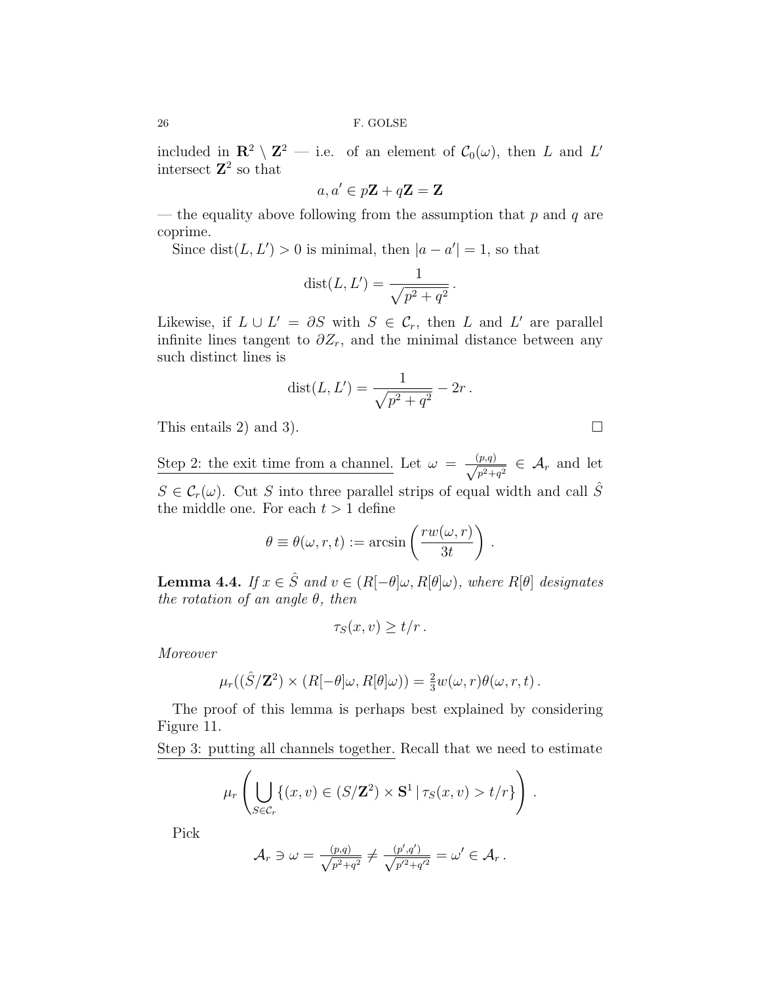included in  $\mathbb{R}^2 \setminus \mathbb{Z}^2$  — i.e. of an element of  $\mathcal{C}_0(\omega)$ , then L and L' intersect  $\mathbb{Z}^2$  so that

$$
a, a' \in p\mathbf{Z} + q\mathbf{Z} = \mathbf{Z}
$$

— the equality above following from the assumption that  $p$  and  $q$  are coprime.

Since  $dist(L, L') > 0$  is minimal, then  $|a - a'| = 1$ , so that

$$
dist(L, L') = \frac{1}{\sqrt{p^2 + q^2}}.
$$

Likewise, if  $L \cup L' = \partial S$  with  $S \in \mathcal{C}_r$ , then L and L' are parallel infinite lines tangent to  $\partial Z_r$ , and the minimal distance between any such distinct lines is

$$
dist(L, L') = \frac{1}{\sqrt{p^2 + q^2}} - 2r.
$$

This entails 2) and 3).

Step 2: the exit time from a channel. Let  $\omega = \frac{(p,q)}{\sqrt{2m}}$  $\frac{p,q}{p^2+q^2} \in \mathcal{A}_r$  and let  $S \in \mathcal{C}_r(\omega)$ . Cut S into three parallel strips of equal width and call  $\hat{S}$ the middle one. For each  $t > 1$  define

$$
\theta \equiv \theta(\omega, r, t) := \arcsin\left(\frac{rw(\omega, r)}{3t}\right)
$$

.

**Lemma 4.4.** If  $x \in \hat{S}$  and  $v \in (R[-\theta]\omega, R[\theta]\omega)$ , where  $R[\theta]$  designates the rotation of an angle  $\theta$ , then

$$
\tau_S(x,v) \geq t/r.
$$

Moreover

$$
\mu_r((\hat{S}/\mathbf{Z}^2) \times (R[-\theta]\omega, R[\theta]\omega)) = \frac{2}{3}w(\omega, r)\theta(\omega, r, t).
$$

The proof of this lemma is perhaps best explained by considering Figure 11.

Step 3: putting all channels together. Recall that we need to estimate

$$
\mu_r\left(\bigcup_{S\in\mathcal{C}_r} \{(x,v)\in (S/\mathbf{Z}^2)\times \mathbf{S}^1\,|\,\tau_S(x,v)>t/r\}\right)\,.
$$

Pick

$$
\mathcal{A}_r \ni \omega = \frac{(p,q)}{\sqrt{p^2+q^2}} \neq \frac{(p',q')}{\sqrt{p'^2+q'^2}} = \omega' \in \mathcal{A}_r.
$$

| _ |  |  |
|---|--|--|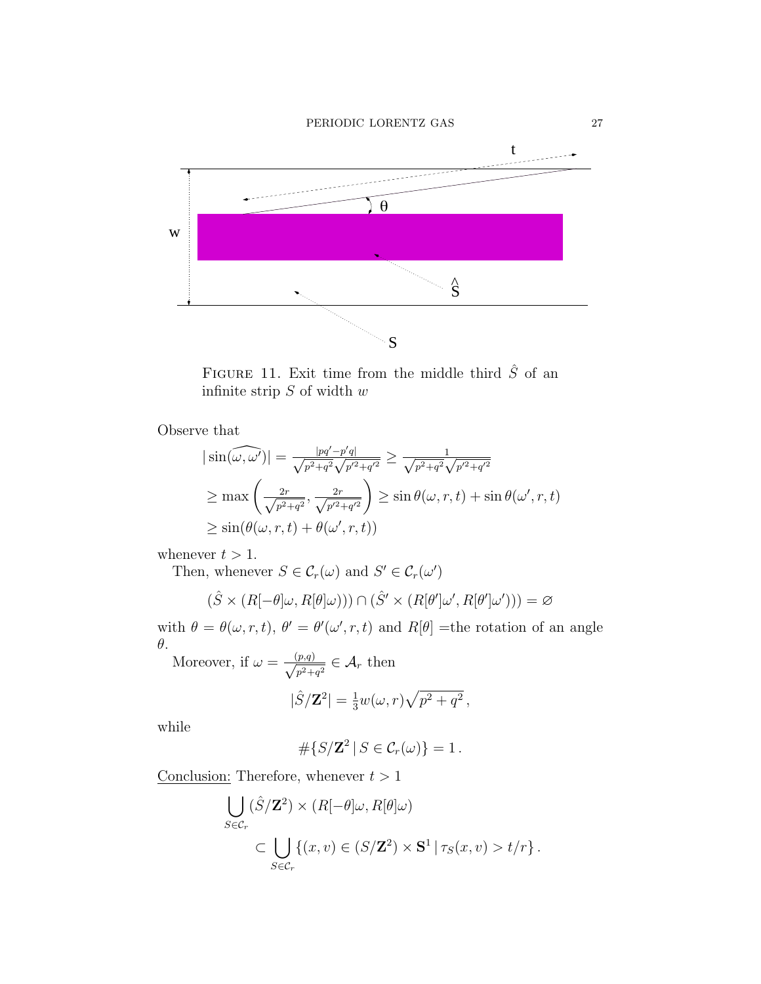

FIGURE 11. Exit time from the middle third  $\hat{S}$  of an infinite strip  $S$  of width  $w$ 

Observe that

$$
|\sin(\widehat{\omega}, \widehat{\omega'})| = \frac{|pq'-p'q|}{\sqrt{p^2+q^2}\sqrt{p'^2+q'^2}} \ge \frac{1}{\sqrt{p^2+q^2}\sqrt{p'^2+q'^2}}
$$
  
\n
$$
\ge \max\left(\frac{2r}{\sqrt{p^2+q^2}}, \frac{2r}{\sqrt{p'^2+q'^2}}\right) \ge \sin\theta(\omega, r, t) + \sin\theta(\omega', r, t)
$$
  
\n
$$
\ge \sin(\theta(\omega, r, t) + \theta(\omega', r, t))
$$

whenever  $t > 1$ .

Then, whenever  $S \in \mathcal{C}_r(\omega)$  and  $S' \in \mathcal{C}_r(\omega')$ 

$$
(\hat{S} \times (R[-\theta]\omega, R[\theta]\omega))) \cap (\hat{S}' \times (R[\theta']\omega', R[\theta']\omega')) = \varnothing
$$

with  $\theta = \theta(\omega, r, t)$ ,  $\theta' = \theta'(\omega', r, t)$  and  $R[\theta]$  =the rotation of an angle θ.

Moreover, if  $\omega = \frac{(p,q)}{\sqrt{2\pi}}$  $\frac{p,q}{p^2+q^2} \in \mathcal{A}_r$  then

$$
|\hat{S}/\mathbf{Z}^2| = \frac{1}{3}w(\omega, r)\sqrt{p^2 + q^2},
$$

while

$$
\#\{S/\mathbf{Z}^2\,|\,S\in\mathcal{C}_r(\omega)\}=1\,.
$$

Conclusion: Therefore, whenever  $t > 1$ 

$$
\bigcup_{S \in \mathcal{C}_r} (\hat{S}/\mathbf{Z}^2) \times (R[-\theta]\omega, R[\theta]\omega)
$$
  

$$
\subset \bigcup_{S \in \mathcal{C}_r} \{ (x, v) \in (S/\mathbf{Z}^2) \times \mathbf{S}^1 \mid \tau_S(x, v) > t/r \}.
$$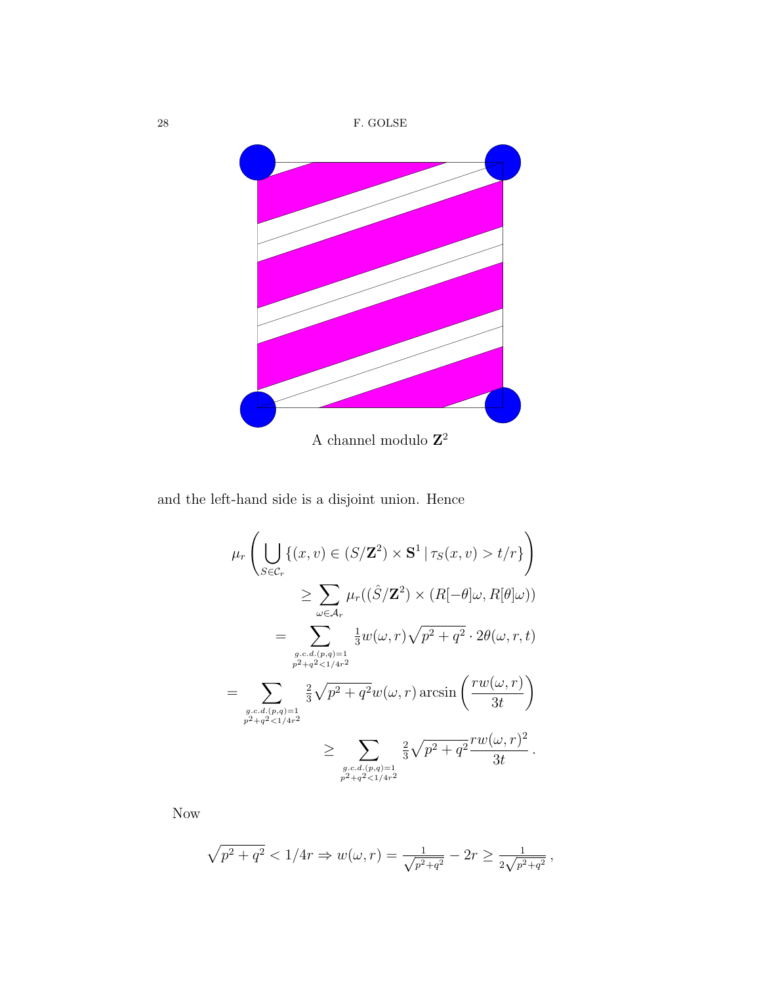

A channel modulo  $\mathbf{Z}^2$ 

and the left-hand side is a disjoint union. Hence

$$
\mu_r \left( \bigcup_{S \in \mathcal{C}_r} \{ (x, v) \in (S/\mathbf{Z}^2) \times \mathbf{S}^1 \mid \tau_S(x, v) > t/r \} \right)
$$
\n
$$
\geq \sum_{\omega \in \mathcal{A}_r} \mu_r((\hat{S}/\mathbf{Z}^2) \times (R[-\theta]\omega, R[\theta]\omega))
$$
\n
$$
= \sum_{\substack{g.c.d.(p,q)=1 \\ p^2+q^2 < 1/4r^2}} \frac{1}{3} w(\omega, r) \sqrt{p^2 + q^2} \cdot 2\theta(\omega, r, t)
$$
\n
$$
= \sum_{\substack{g.c.d.(p,q)=1 \\ p^2+q^2 < 1/4r^2}} \frac{2}{3} \sqrt{p^2 + q^2} w(\omega, r) \arcsin\left(\frac{rw(\omega, r)}{3t}\right)
$$
\n
$$
\geq \sum_{\substack{g.c.d.(p,q)=1 \\ p^2+q^2 < 1/4r^2}} \frac{2}{3} \sqrt{p^2 + q^2} \frac{rw(\omega, r)^2}{3t}.
$$

Now

$$
\sqrt{p^2 + q^2} < 1/4r \Rightarrow w(\omega, r) = \frac{1}{\sqrt{p^2 + q^2}} - 2r \ge \frac{1}{2\sqrt{p^2 + q^2}},
$$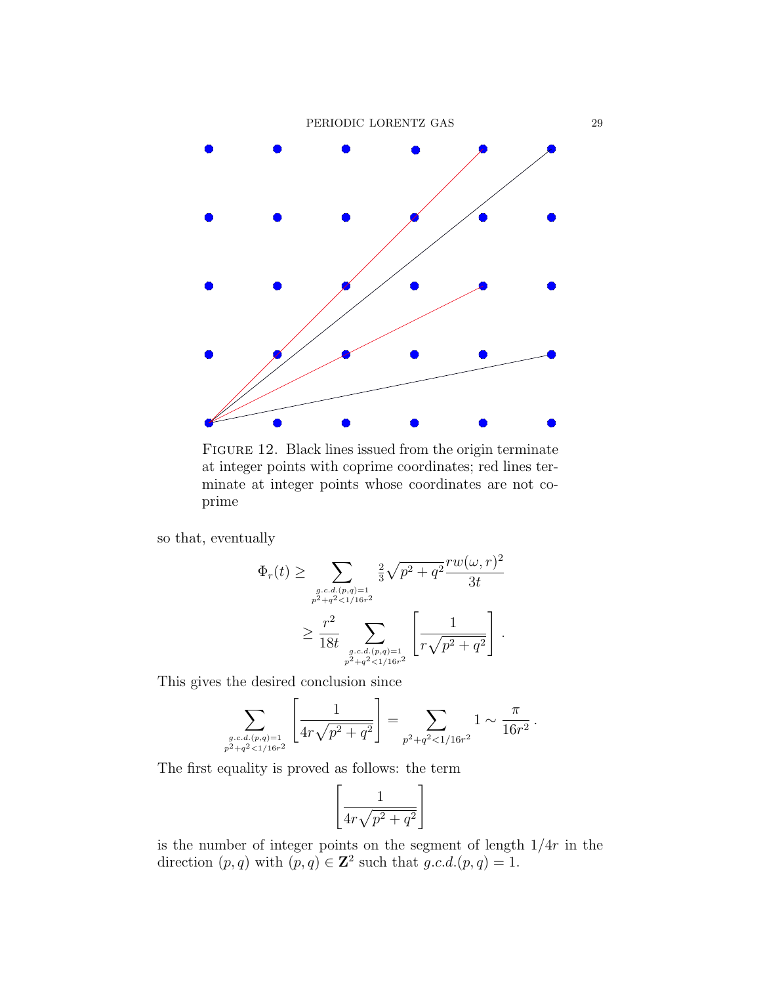

FIGURE 12. Black lines issued from the origin terminate at integer points with coprime coordinates; red lines terminate at integer points whose coordinates are not coprime

so that, eventually

$$
\Phi_r(t) \ge \sum_{\substack{g.c.d.(p,q)=1\\p^2+q^2 < 1/16r^2}} \frac{\frac{2}{3}\sqrt{p^2+q^2} \frac{rw(\omega, r)^2}{3t}}{3t}
$$
\n
$$
\ge \frac{r^2}{18t} \sum_{\substack{g.c.d.(p,q)=1\\p^2+q^2 < 1/16r^2}} \left[ \frac{1}{r\sqrt{p^2+q^2}} \right].
$$

This gives the desired conclusion since

$$
\sum_{\substack{g.c.d.(p,q)=1\\p^2+q^2<1/16r^2}}\left[\frac{1}{4r\sqrt{p^2+q^2}}\right] = \sum_{p^2+q^2<1/16r^2}1\sim \frac{\pi}{16r^2}.
$$

The first equality is proved as follows: the term

$$
\left[\frac{1}{4r\sqrt{p^2+q^2}}\right]
$$

is the number of integer points on the segment of length  $1/4r$  in the direction  $(p, q)$  with  $(p, q) \in \mathbb{Z}^2$  such that  $g.c.d.(p, q) = 1$ .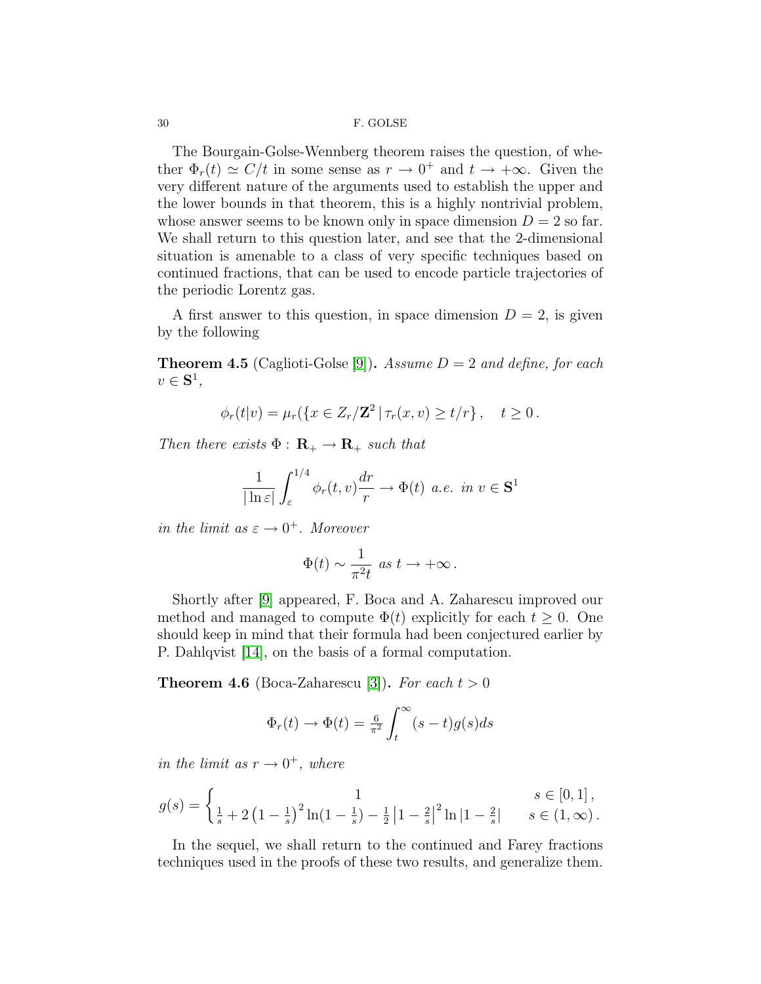30 F. GOLSE

The Bourgain-Golse-Wennberg theorem raises the question, of whether  $\Phi_r(t) \simeq C/t$  in some sense as  $r \to 0^+$  and  $t \to +\infty$ . Given the very different nature of the arguments used to establish the upper and the lower bounds in that theorem, this is a highly nontrivial problem, whose answer seems to be known only in space dimension  $D = 2$  so far. We shall return to this question later, and see that the 2-dimensional situation is amenable to a class of very specific techniques based on continued fractions, that can be used to encode particle trajectories of the periodic Lorentz gas.

A first answer to this question, in space dimension  $D = 2$ , is given by the following

**Theorem 4.5** (Caglioti-Golse [\[9\]](#page-60-12)). Assume  $D = 2$  and define, for each  $v \in \mathbf{S}^1$ ,

$$
\phi_r(t|v) = \mu_r(\{x \in Z_r/\mathbf{Z}^2 \,|\, \tau_r(x,v) \ge t/r\}, \quad t \ge 0\,.
$$

Then there exists  $\Phi : \mathbf{R}_{+} \to \mathbf{R}_{+}$  such that

$$
\frac{1}{|\ln \varepsilon|} \int_{\varepsilon}^{1/4} \phi_r(t, v) \frac{dr}{r} \to \Phi(t) \ a.e. \ in \ v \in \mathbf{S}^1
$$

in the limit as  $\varepsilon \to 0^+$ . Moreover

$$
\Phi(t) \sim \frac{1}{\pi^2 t} \text{ as } t \to +\infty \, .
$$

Shortly after [\[9\]](#page-60-12) appeared, F. Boca and A. Zaharescu improved our method and managed to compute  $\Phi(t)$  explicitly for each  $t \geq 0$ . One should keep in mind that their formula had been conjectured earlier by P. Dahlqvist [\[14\]](#page-60-13), on the basis of a formal computation.

<span id="page-29-0"></span>**Theorem 4.6** (Boca-Zaharescu [\[3\]](#page-59-6)). For each  $t > 0$ 

$$
\Phi_r(t) \to \Phi(t) = \frac{6}{\pi^2} \int_t^{\infty} (s - t) g(s) ds
$$

in the limit as  $r \to 0^+$ , where

$$
g(s) = \begin{cases} 1 & s \in [0,1], \\ \frac{1}{s} + 2\left(1 - \frac{1}{s}\right)^2 \ln\left(1 - \frac{1}{s}\right) - \frac{1}{2} \left|1 - \frac{2}{s}\right|^2 \ln\left|1 - \frac{2}{s}\right| & s \in (1,\infty). \end{cases}
$$

In the sequel, we shall return to the continued and Farey fractions techniques used in the proofs of these two results, and generalize them.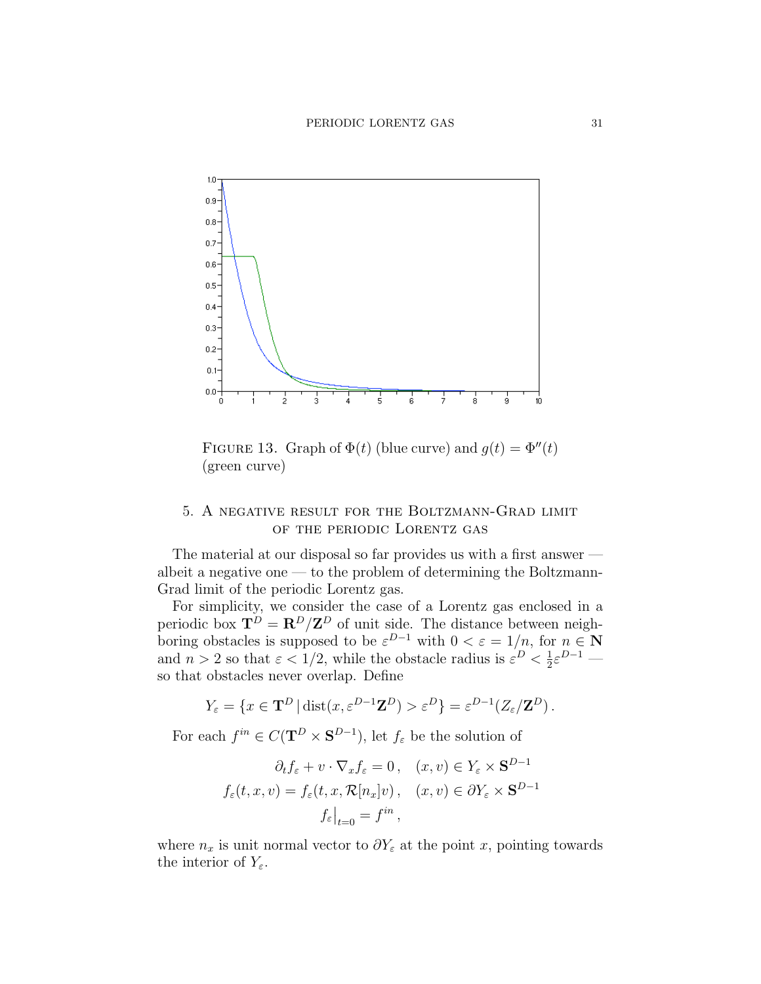

FIGURE 13. Graph of  $\Phi(t)$  (blue curve) and  $g(t) = \Phi''(t)$ (green curve)

## <span id="page-30-0"></span>5. A negative result for the Boltzmann-Grad limit of the periodic Lorentz gas

The material at our disposal so far provides us with a first answer albeit a negative one  $-$  to the problem of determining the Boltzmann-Grad limit of the periodic Lorentz gas.

For simplicity, we consider the case of a Lorentz gas enclosed in a periodic box  $\mathbf{T}^D = \mathbf{R}^D / \mathbf{Z}^D$  of unit side. The distance between neighboring obstacles is supposed to be  $\varepsilon^{D-1}$  with  $0 < \varepsilon = 1/n$ , for  $n \in \mathbb{N}$ and  $n > 2$  so that  $\varepsilon < 1/2$ , while the obstacle radius is  $\varepsilon^D < \frac{1}{2}$  $\frac{1}{2} \varepsilon^{D-1}$  so that obstacles never overlap. Define

$$
Y_{\varepsilon} = \{ x \in \mathbf{T}^D \, | \, \text{dist}(x, \varepsilon^{D-1} \mathbf{Z}^D) > \varepsilon^D \} = \varepsilon^{D-1} (Z_{\varepsilon} / \mathbf{Z}^D) \, .
$$

For each  $f^{in} \in C(\mathbf{T}^D \times \mathbf{S}^{D-1})$ , let  $f_{\varepsilon}$  be the solution of

$$
\partial_t f_{\varepsilon} + v \cdot \nabla_x f_{\varepsilon} = 0, \quad (x, v) \in Y_{\varepsilon} \times \mathbf{S}^{D-1}
$$

$$
f_{\varepsilon}(t, x, v) = f_{\varepsilon}(t, x, \mathcal{R}[n_x]v), \quad (x, v) \in \partial Y_{\varepsilon} \times \mathbf{S}^{D-1}
$$

$$
f_{\varepsilon}|_{t=0} = f^{in},
$$

where  $n_x$  is unit normal vector to  $\partial Y_\varepsilon$  at the point x, pointing towards the interior of  $Y_{\varepsilon}$ .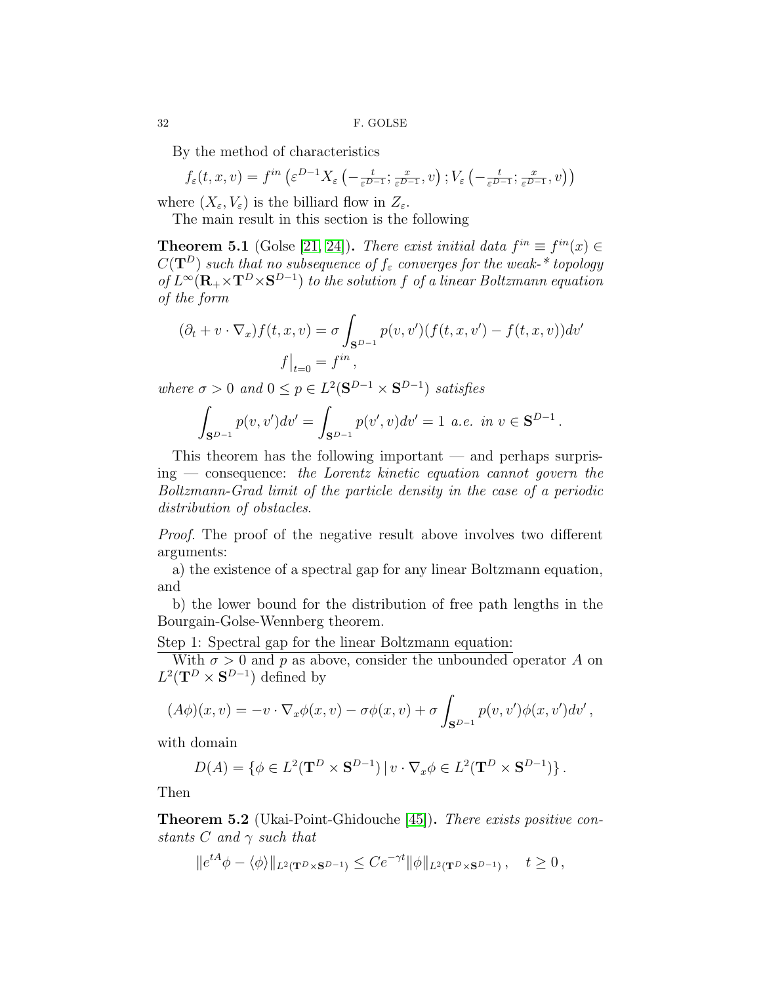By the method of characteristics

$$
f_{\varepsilon}(t, x, v) = f^{in} \left( \varepsilon^{D-1} X_{\varepsilon} \left( -\frac{t}{\varepsilon^{D-1}} ; \frac{x}{\varepsilon^{D-1}}, v \right) ; V_{\varepsilon} \left( -\frac{t}{\varepsilon^{D-1}} ; \frac{x}{\varepsilon^{D-1}}, v \right) \right)
$$

where  $(X_{\varepsilon}, V_{\varepsilon})$  is the billiard flow in  $Z_{\varepsilon}$ .

The main result in this section is the following

**Theorem 5.1** (Golse [\[21,](#page-60-14) [24\]](#page-60-15)). There exist initial data  $f^{in} \equiv f^{in}(x) \in$  $C(\mathbf{T}^D)$  such that no subsequence of  $f_{\varepsilon}$  converges for the weak-\* topology of  $L^{\infty}(\mathbf{R}_{+}\times\mathbf{T}^{D}\times\mathbf{S}^{D-1})$  to the solution f of a linear Boltzmann equation of the form

$$
(\partial_t + v \cdot \nabla_x) f(t, x, v) = \sigma \int_{\mathbf{S}^{D-1}} p(v, v') (f(t, x, v') - f(t, x, v)) dv'
$$

$$
f\Big|_{t=0} = f^{in},
$$

where  $\sigma > 0$  and  $0 \le p \in L^2(\mathbf{S}^{D-1} \times \mathbf{S}^{D-1})$  satisfies

$$
\int_{\mathbf{S}^{D-1}} p(v, v') dv' = \int_{\mathbf{S}^{D-1}} p(v', v) dv' = 1 \ a.e. \ in \ v \in \mathbf{S}^{D-1}.
$$

This theorem has the following important — and perhaps surpris $ing$  — consequence: the Lorentz kinetic equation cannot govern the Boltzmann-Grad limit of the particle density in the case of a periodic distribution of obstacles.

Proof. The proof of the negative result above involves two different arguments:

a) the existence of a spectral gap for any linear Boltzmann equation, and

b) the lower bound for the distribution of free path lengths in the Bourgain-Golse-Wennberg theorem.

Step 1: Spectral gap for the linear Boltzmann equation:

With  $\sigma > 0$  and p as above, consider the unbounded operator A on  $L^2(\mathbf{T}^D \times \mathbf{S}^{D-1})$  defined by

$$
(A\phi)(x,v) = -v \cdot \nabla_x \phi(x,v) - \sigma \phi(x,v) + \sigma \int_{\mathbf{S}^{D-1}} p(v,v')\phi(x,v')dv',
$$

with domain

$$
D(A) = \{ \phi \in L^2(\mathbf{T}^D \times \mathbf{S}^{D-1}) \mid v \cdot \nabla_x \phi \in L^2(\mathbf{T}^D \times \mathbf{S}^{D-1}) \}.
$$

Then

Theorem 5.2 (Ukai-Point-Ghidouche [\[45\]](#page-61-9)). There exists positive constants C and  $\gamma$  such that

$$
||e^{tA}\phi - \langle \phi \rangle||_{L^2(\mathbf{T}^D \times \mathbf{S}^{D-1})} \leq Ce^{-\gamma t} ||\phi||_{L^2(\mathbf{T}^D \times \mathbf{S}^{D-1})}, \quad t \geq 0,
$$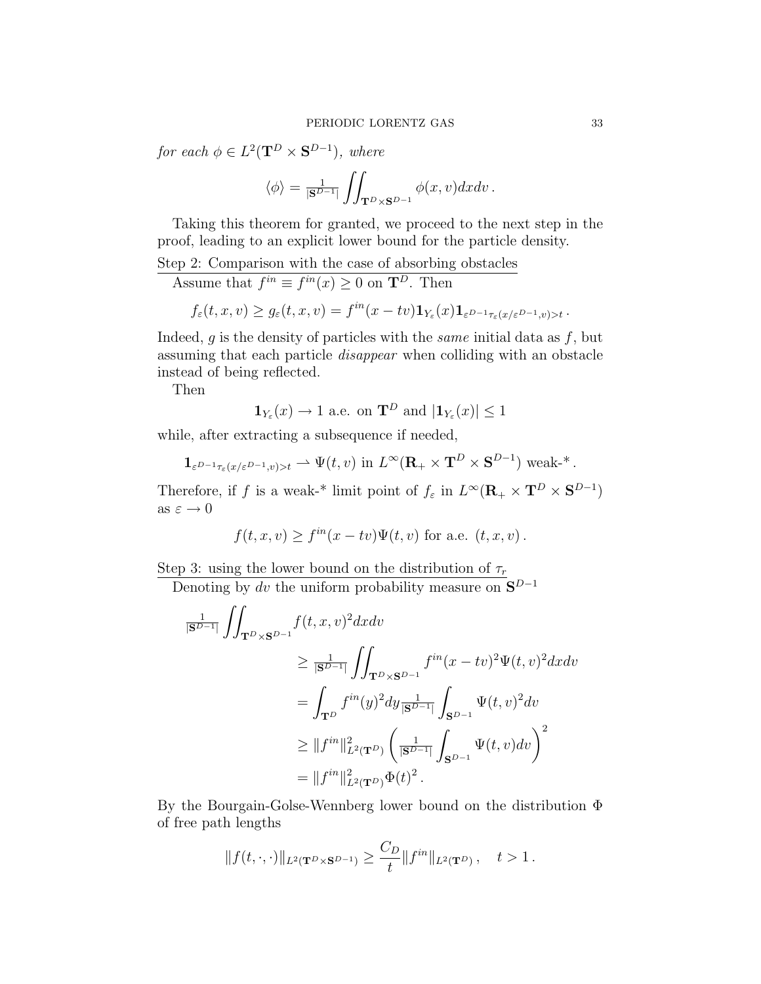for each  $\phi \in L^2(\mathbf{T}^D\times \mathbf{S}^{D-1})$ , where

$$
\langle \phi \rangle = \frac{1}{|\mathbf{S}^{D-1}|} \iint_{\mathbf{T}^D \times \mathbf{S}^{D-1}} \phi(x, v) dx dv.
$$

Taking this theorem for granted, we proceed to the next step in the proof, leading to an explicit lower bound for the particle density.

Step 2: Comparison with the case of absorbing obstacles

Assume that  $f^{in} \equiv f^{in}(x) \geq 0$  on  $\mathbf{T}^D$ . Then

$$
f_{\varepsilon}(t, x, v) \ge g_{\varepsilon}(t, x, v) = f^{in}(x - tv) \mathbf{1}_{Y_{\varepsilon}}(x) \mathbf{1}_{\varepsilon^{D-1} \tau_{\varepsilon}(x/\varepsilon^{D-1}, v) > t}.
$$

Indeed, q is the density of particles with the *same* initial data as  $f$ , but assuming that each particle disappear when colliding with an obstacle instead of being reflected.

Then

$$
\mathbf{1}_{Y_{\varepsilon}}(x) \to 1
$$
 a.e. on  $\mathbf{T}^D$  and  $|\mathbf{1}_{Y_{\varepsilon}}(x)| \leq 1$ 

while, after extracting a subsequence if needed,

$$
\mathbf{1}_{\varepsilon^{D-1}\tau_{\varepsilon}(x/\varepsilon^{D-1},v)>t}\rightharpoonup \Psi(t,v)\text{ in }L^{\infty}(\mathbf{R}_{+}\times\mathbf{T}^{D}\times\mathbf{S}^{D-1})\text{ weak-*}.
$$

Therefore, if f is a weak-\* limit point of  $f_{\varepsilon}$  in  $L^{\infty}(\mathbf{R}_{+}\times\mathbf{T}^{D}\times\mathbf{S}^{D-1})$ as  $\varepsilon\to 0$ 

$$
f(t, x, v) \ge f^{in}(x - tv)\Psi(t, v)
$$
 for a.e.  $(t, x, v)$ .

Step 3: using the lower bound on the distribution of  $\tau_r$ 

Denoting by dv the uniform probability measure on  $S^{D-1}$ 

$$
\frac{1}{|\mathbf{S}^{D-1}|} \iint_{\mathbf{T}^D \times \mathbf{S}^{D-1}} f(t, x, v)^2 dx dv
$$
  
\n
$$
\geq \frac{1}{|\mathbf{S}^{D-1}|} \iint_{\mathbf{T}^D \times \mathbf{S}^{D-1}} f^{in} (x - tv)^2 \Psi(t, v)^2 dx dv
$$
  
\n
$$
= \int_{\mathbf{T}^D} f^{in} (y)^2 dy \frac{1}{|\mathbf{S}^{D-1}|} \int_{\mathbf{S}^{D-1}} \Psi(t, v)^2 dv
$$
  
\n
$$
\geq ||f^{in}||^2_{L^2(\mathbf{T}^D)} \left(\frac{1}{|\mathbf{S}^{D-1}|} \int_{\mathbf{S}^{D-1}} \Psi(t, v) dv\right)^2
$$
  
\n
$$
= ||f^{in}||^2_{L^2(\mathbf{T}^D)} \Phi(t)^2.
$$

By the Bourgain-Golse-Wennberg lower bound on the distribution Φ of free path lengths

$$
||f(t,\cdot,\cdot)||_{L^2(\mathbf{T}^D\times\mathbf{S}^{D-1})}\geq \frac{C_D}{t}||f^{in}||_{L^2(\mathbf{T}^D)},\quad t>1.
$$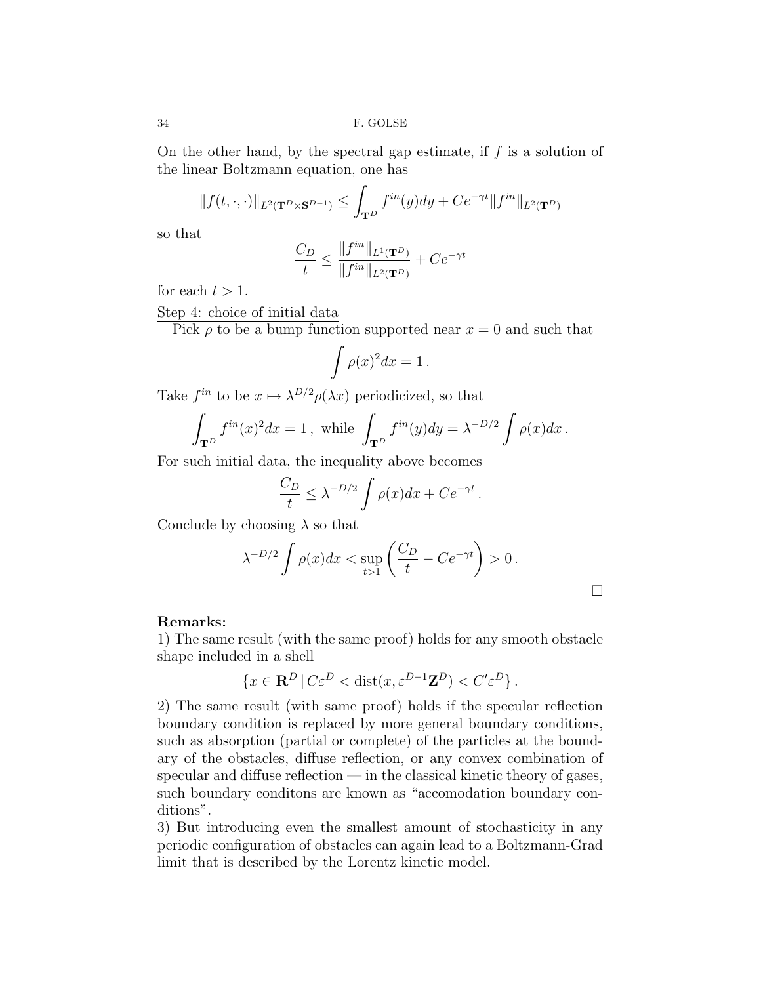34 F. GOLSE

On the other hand, by the spectral gap estimate, if  $f$  is a solution of the linear Boltzmann equation, one has

$$
||f(t,\cdot,\cdot)||_{L^2(\mathbf{T}^D\times\mathbf{S}^{D-1})}\leq \int_{\mathbf{T}^D}f^{in}(y)dy+Ce^{-\gamma t}||f^{in}||_{L^2(\mathbf{T}^D)}
$$

so that

$$
\frac{C_D}{t} \le \frac{\|f^{in}\|_{L^1(\mathbf{T}^D)}}{\|f^{in}\|_{L^2(\mathbf{T}^D)}} + Ce^{-\gamma t}
$$

for each  $t > 1$ .

Step 4: choice of initial data

Pick  $\rho$  to be a bump function supported near  $x = 0$  and such that

$$
\int \rho(x)^2 dx = 1.
$$

Take  $f^{in}$  to be  $x \mapsto \lambda^{D/2} \rho(\lambda x)$  periodicized, so that

$$
\int_{\mathbf{T}^D} f^{in}(x)^2 dx = 1, \text{ while } \int_{\mathbf{T}^D} f^{in}(y) dy = \lambda^{-D/2} \int \rho(x) dx.
$$

For such initial data, the inequality above becomes

$$
\frac{C_D}{t} \le \lambda^{-D/2} \int \rho(x) dx + Ce^{-\gamma t}
$$

Conclude by choosing  $\lambda$  so that

$$
\lambda^{-D/2} \int \rho(x) dx < \sup_{t > 1} \left( \frac{C_D}{t} - Ce^{-\gamma t} \right) > 0 \, .
$$

.

 $\Box$ 

## Remarks:

1) The same result (with the same proof) holds for any smooth obstacle shape included in a shell

$$
\{x\in{\bf R}^D\,|\,C\varepsilon^D<\mathrm{dist}(x,\varepsilon^{D-1}{\bf Z}^D)
$$

2) The same result (with same proof) holds if the specular reflection boundary condition is replaced by more general boundary conditions, such as absorption (partial or complete) of the particles at the boundary of the obstacles, diffuse reflection, or any convex combination of specular and diffuse reflection  $\frac{m}{n}$  in the classical kinetic theory of gases, such boundary conditons are known as "accomodation boundary conditions".

3) But introducing even the smallest amount of stochasticity in any periodic configuration of obstacles can again lead to a Boltzmann-Grad limit that is described by the Lorentz kinetic model.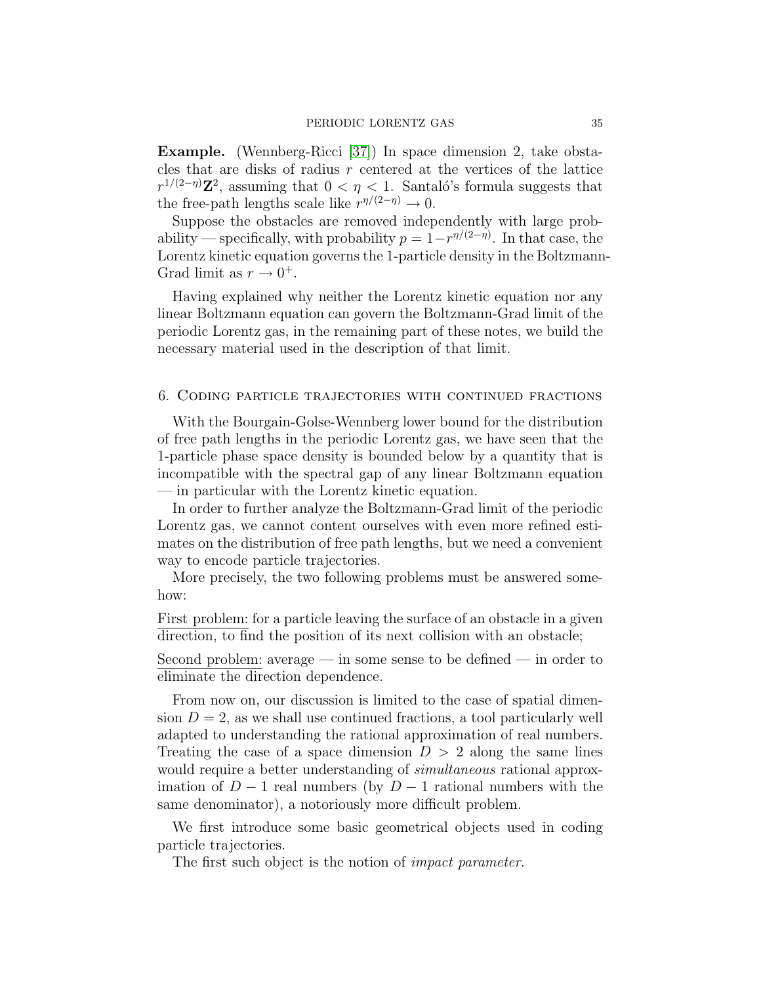Example. (Wennberg-Ricci [\[37\]](#page-61-10)) In space dimension 2, take obstacles that are disks of radius  $r$  centered at the vertices of the lattice  $r^{1/(2-\eta)}\mathbf{Z}^2$ , assuming that  $0 < \eta < 1$ . Santaló's formula suggests that the free-path lengths scale like  $r^{\eta/(2-\eta)} \to 0$ .

Suppose the obstacles are removed independently with large probability — specifically, with probability  $p = 1 - r^{\eta/(2-\eta)}$ . In that case, the Lorentz kinetic equation governs the 1-particle density in the Boltzmann-Grad limit as  $r \to 0^+$ .

Having explained why neither the Lorentz kinetic equation nor any linear Boltzmann equation can govern the Boltzmann-Grad limit of the periodic Lorentz gas, in the remaining part of these notes, we build the necessary material used in the description of that limit.

#### <span id="page-34-0"></span>6. Coding particle trajectories with continued fractions

With the Bourgain-Golse-Wennberg lower bound for the distribution of free path lengths in the periodic Lorentz gas, we have seen that the 1-particle phase space density is bounded below by a quantity that is incompatible with the spectral gap of any linear Boltzmann equation — in particular with the Lorentz kinetic equation.

In order to further analyze the Boltzmann-Grad limit of the periodic Lorentz gas, we cannot content ourselves with even more refined estimates on the distribution of free path lengths, but we need a convenient way to encode particle trajectories.

More precisely, the two following problems must be answered somehow:

First problem: for a particle leaving the surface of an obstacle in a given direction, to find the position of its next collision with an obstacle;

Second problem: average  $-$  in some sense to be defined  $-$  in order to eliminate the direction dependence.

From now on, our discussion is limited to the case of spatial dimension  $D = 2$ , as we shall use continued fractions, a tool particularly well adapted to understanding the rational approximation of real numbers. Treating the case of a space dimension  $D > 2$  along the same lines would require a better understanding of *simultaneous* rational approximation of  $D-1$  real numbers (by  $D-1$  rational numbers with the same denominator), a notoriously more difficult problem.

We first introduce some basic geometrical objects used in coding particle trajectories.

The first such object is the notion of *impact parameter*.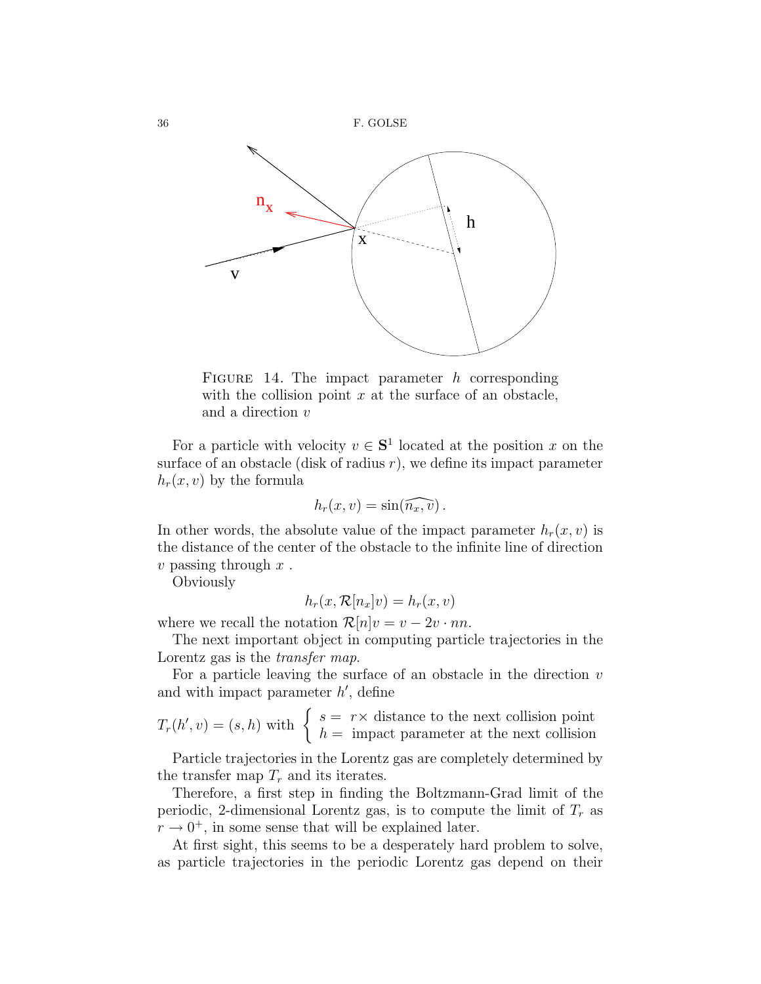



FIGURE 14. The impact parameter  $h$  corresponding with the collision point  $x$  at the surface of an obstacle, and a direction v

For a particle with velocity  $v \in S^1$  located at the position x on the surface of an obstacle (disk of radius  $r$ ), we define its impact parameter  $h_r(x, v)$  by the formula

$$
h_r(x,v)=\sin(\widehat{n_x,v})\,.
$$

In other words, the absolute value of the impact parameter  $h_r(x, v)$  is the distance of the center of the obstacle to the infinite line of direction v passing through  $x$ .

Obviously

$$
h_r(x, \mathcal{R}[n_x]v) = h_r(x, v)
$$

where we recall the notation  $\mathcal{R}[n]v = v - 2v \cdot nn$ .

The next important object in computing particle trajectories in the Lorentz gas is the *transfer map*.

For a particle leaving the surface of an obstacle in the direction  $v$ and with impact parameter  $h'$ , define

$$
T_r(h', v) = (s, h)
$$
 with  $\begin{cases} s = r \times \text{distance to the next collision point} \\ h = \text{impact parameter at the next collision} \end{cases}$ 

Particle trajectories in the Lorentz gas are completely determined by the transfer map  $T_r$  and its iterates.

Therefore, a first step in finding the Boltzmann-Grad limit of the periodic, 2-dimensional Lorentz gas, is to compute the limit of  $T_r$  as  $r \rightarrow 0^+$ , in some sense that will be explained later.

At first sight, this seems to be a desperately hard problem to solve, as particle trajectories in the periodic Lorentz gas depend on their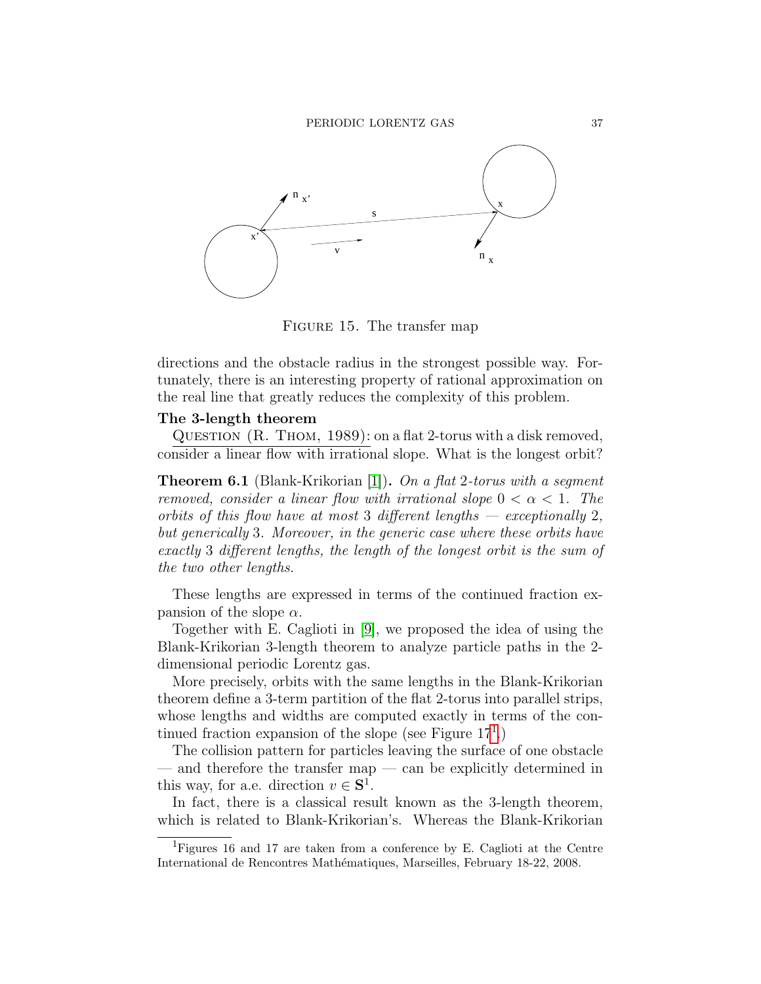

FIGURE 15. The transfer map

directions and the obstacle radius in the strongest possible way. Fortunately, there is an interesting property of rational approximation on the real line that greatly reduces the complexity of this problem.

#### The 3-length theorem

Question (R. Thom, 1989): on a flat 2-torus with a disk removed, consider a linear flow with irrational slope. What is the longest orbit?

**Theorem 6.1** (Blank-Krikorian [\[1\]](#page-59-0)). On a flat 2-torus with a seqment removed, consider a linear flow with irrational slope  $0 < \alpha < 1$ . The orbits of this flow have at most 3 different lengths  $-$  exceptionally 2, but generically 3. Moreover, in the generic case where these orbits have exactly 3 different lengths, the length of the longest orbit is the sum of the two other lengths.

These lengths are expressed in terms of the continued fraction expansion of the slope  $\alpha$ .

Together with E. Caglioti in [\[9\]](#page-60-12), we proposed the idea of using the Blank-Krikorian 3-length theorem to analyze particle paths in the 2 dimensional periodic Lorentz gas.

More precisely, orbits with the same lengths in the Blank-Krikorian theorem define a 3-term partition of the flat 2-torus into parallel strips, whose lengths and widths are computed exactly in terms of the continued fraction expansion of the slope (see Figure  $17<sup>1</sup>$  $17<sup>1</sup>$ .)

The collision pattern for particles leaving the surface of one obstacle — and therefore the transfer map — can be explicitly determined in this way, for a.e. direction  $v \in \mathbf{S}^1$ .

In fact, there is a classical result known as the 3-length theorem, which is related to Blank-Krikorian's. Whereas the Blank-Krikorian

<span id="page-36-0"></span><sup>1</sup>Figures 16 and 17 are taken from a conference by E. Caglioti at the Centre International de Rencontres Mathématiques, Marseilles, February 18-22, 2008.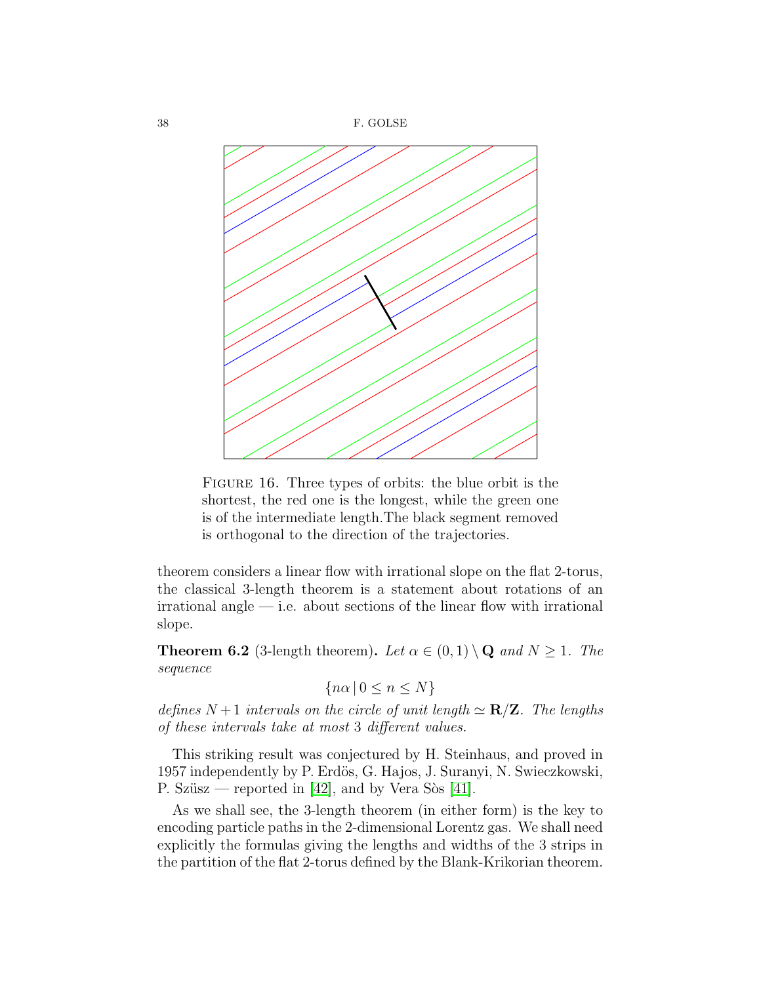38 F. GOLSE



FIGURE 16. Three types of orbits: the blue orbit is the shortest, the red one is the longest, while the green one is of the intermediate length.The black segment removed is orthogonal to the direction of the trajectories.

theorem considers a linear flow with irrational slope on the flat 2-torus, the classical 3-length theorem is a statement about rotations of an  $i$ irrational angle  $-i.e.$  about sections of the linear flow with irrational slope.

**Theorem 6.2** (3-length theorem). Let  $\alpha \in (0,1) \setminus \mathbf{Q}$  and  $N \geq 1$ . The sequence

$$
\{n\alpha \mid 0 \le n \le N\}
$$

defines  $N+1$  intervals on the circle of unit length  $\simeq \mathbf{R}/\mathbf{Z}$ . The lengths of these intervals take at most 3 different values.

This striking result was conjectured by H. Steinhaus, and proved in 1957 independently by P. Erdös, G. Hajos, J. Suranyi, N. Swieczkowski, P. Szüsz — reported in [\[42\]](#page-61-11), and by Vera Sòs [\[41\]](#page-61-12).

As we shall see, the 3-length theorem (in either form) is the key to encoding particle paths in the 2-dimensional Lorentz gas. We shall need explicitly the formulas giving the lengths and widths of the 3 strips in the partition of the flat 2-torus defined by the Blank-Krikorian theorem.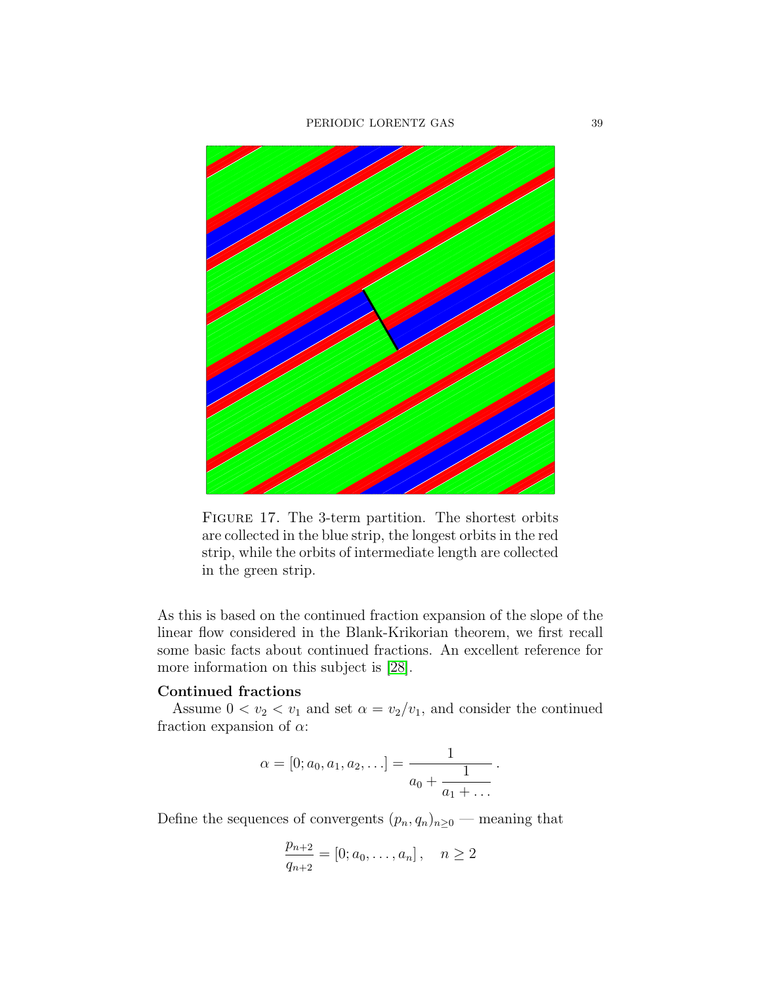### PERIODIC LORENTZ GAS 39



Figure 17. The 3-term partition. The shortest orbits are collected in the blue strip, the longest orbits in the red strip, while the orbits of intermediate length are collected in the green strip.

As this is based on the continued fraction expansion of the slope of the linear flow considered in the Blank-Krikorian theorem, we first recall some basic facts about continued fractions. An excellent reference for more information on this subject is [\[28\]](#page-61-13).

## Continued fractions

Assume  $0 < v_2 < v_1$  and set  $\alpha = v_2/v_1$ , and consider the continued fraction expansion of  $\alpha$ :

$$
\alpha = [0; a_0, a_1, a_2, \ldots] = \cfrac{1}{a_0 + \cfrac{1}{a_1 + \ldots}}.
$$

Define the sequences of convergents  $(p_n, q_n)_{n\geq 0}$  — meaning that

$$
\frac{p_{n+2}}{q_{n+2}} = [0; a_0, \dots, a_n], \quad n \ge 2
$$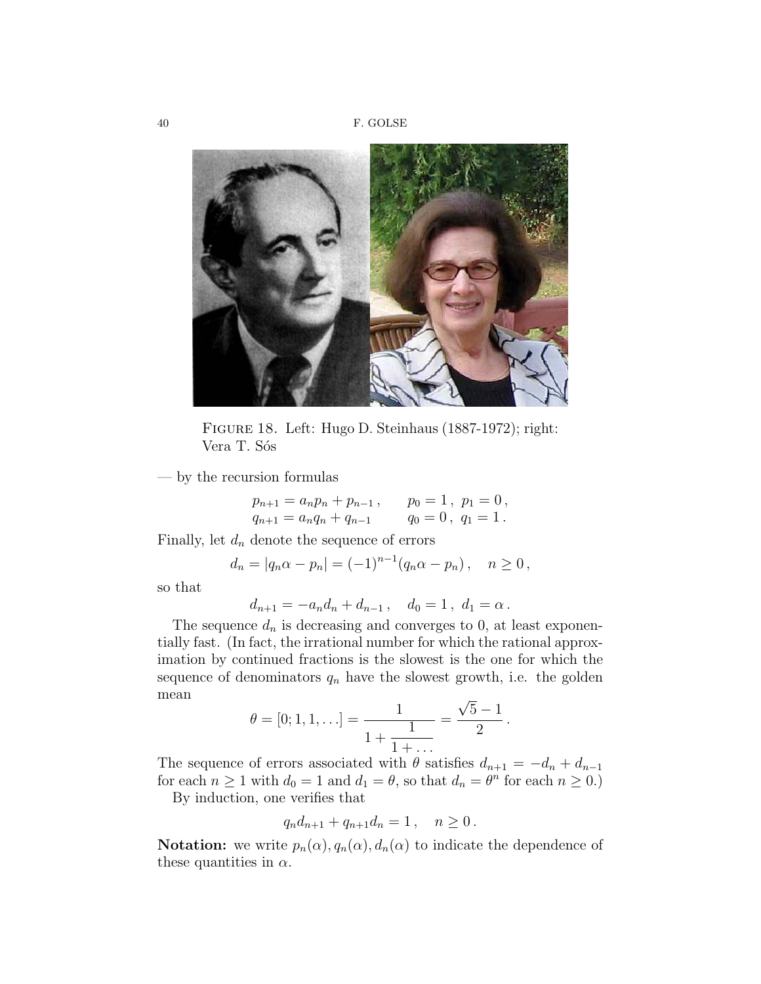40 F. GOLSE



Figure 18. Left: Hugo D. Steinhaus (1887-1972); right: Vera T. Sós

— by the recursion formulas

$$
p_{n+1} = a_n p_n + p_{n-1}, \t p_0 = 1, p_1 = 0,
$$
  

$$
q_{n+1} = a_n q_n + q_{n-1} \t q_0 = 0, q_1 = 1.
$$

Finally, let  $d_n$  denote the sequence of errors

$$
d_n = |q_n \alpha - p_n| = (-1)^{n-1} (q_n \alpha - p_n), \quad n \ge 0,
$$

so that

$$
d_{n+1} = -a_n d_n + d_{n-1} , \quad d_0 = 1 , d_1 = \alpha .
$$

The sequence  $d_n$  is decreasing and converges to 0, at least exponentially fast. (In fact, the irrational number for which the rational approximation by continued fractions is the slowest is the one for which the sequence of denominators  $q_n$  have the slowest growth, i.e. the golden mean √

$$
\theta = [0; 1, 1, \ldots] = \frac{1}{1 + \frac{1}{1 + \ldots}} = \frac{\sqrt{5} - 1}{2}.
$$

The sequence of errors associated with  $\theta$  satisfies  $d_{n+1} = -d_n + d_{n-1}$ for each  $n \ge 1$  with  $d_0 = 1$  and  $d_1 = \theta$ , so that  $d_n = \theta^n$  for each  $n \ge 0$ .)

By induction, one verifies that

$$
q_n d_{n+1} + q_{n+1} d_n = 1, \quad n \ge 0.
$$

**Notation:** we write  $p_n(\alpha)$ ,  $q_n(\alpha)$ ,  $d_n(\alpha)$  to indicate the dependence of these quantities in  $\alpha$ .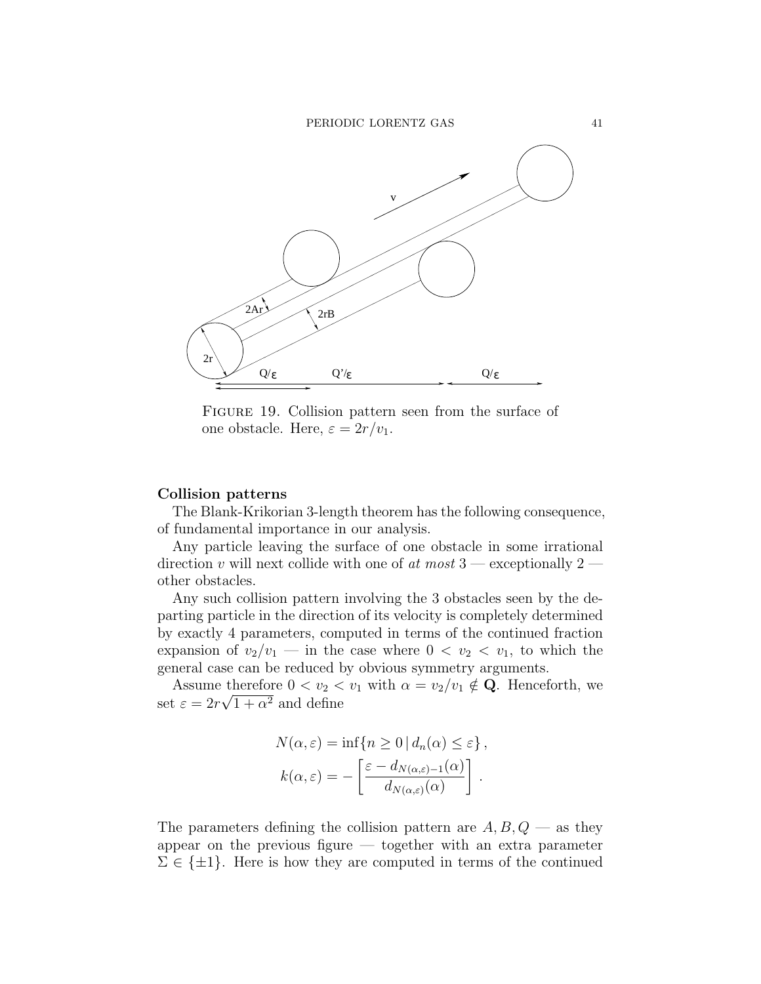

FIGURE 19. Collision pattern seen from the surface of one obstacle. Here,  $\varepsilon = 2r/v_1$ .

#### Collision patterns

The Blank-Krikorian 3-length theorem has the following consequence, of fundamental importance in our analysis.

Any particle leaving the surface of one obstacle in some irrational direction v will next collide with one of at most  $3$  — exceptionally  $2$  other obstacles.

Any such collision pattern involving the 3 obstacles seen by the departing particle in the direction of its velocity is completely determined by exactly 4 parameters, computed in terms of the continued fraction expansion of  $v_2/v_1$  — in the case where  $0 < v_2 < v_1$ , to which the general case can be reduced by obvious symmetry arguments.

Assume therefore  $0 < v_2 < v_1$  with  $\alpha = v_2/v_1 \notin \mathbf{Q}$ . Henceforth, we set  $\varepsilon = 2r\sqrt{1 + \alpha^2}$  and define

$$
N(\alpha, \varepsilon) = \inf \{ n \ge 0 \mid d_n(\alpha) \le \varepsilon \},
$$
  

$$
k(\alpha, \varepsilon) = -\left[ \frac{\varepsilon - d_{N(\alpha, \varepsilon) - 1}(\alpha)}{d_{N(\alpha, \varepsilon)}(\alpha)} \right].
$$

The parameters defining the collision pattern are  $A, B, Q$  — as they appear on the previous figure — together with an extra parameter  $\Sigma \in \{\pm 1\}$ . Here is how they are computed in terms of the continued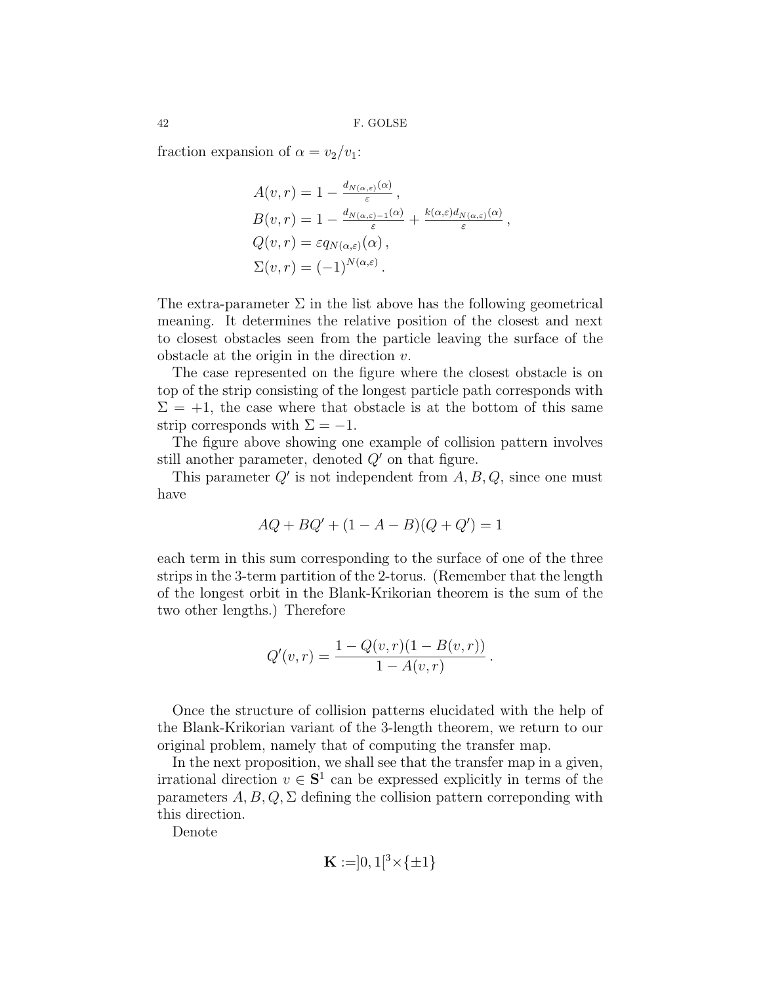fraction expansion of  $\alpha = v_2/v_1$ :

$$
A(v,r) = 1 - \frac{d_{N(\alpha,\varepsilon)}(\alpha)}{\varepsilon},
$$
  
\n
$$
B(v,r) = 1 - \frac{d_{N(\alpha,\varepsilon)-1}(\alpha)}{\varepsilon} + \frac{k(\alpha,\varepsilon)d_{N(\alpha,\varepsilon)}(\alpha)}{\varepsilon},
$$
  
\n
$$
Q(v,r) = \varepsilon q_{N(\alpha,\varepsilon)}(\alpha),
$$
  
\n
$$
\Sigma(v,r) = (-1)^{N(\alpha,\varepsilon)}.
$$

The extra-parameter  $\Sigma$  in the list above has the following geometrical meaning. It determines the relative position of the closest and next to closest obstacles seen from the particle leaving the surface of the obstacle at the origin in the direction v.

The case represented on the figure where the closest obstacle is on top of the strip consisting of the longest particle path corresponds with  $\Sigma = +1$ , the case where that obstacle is at the bottom of this same strip corresponds with  $\Sigma = -1$ .

The figure above showing one example of collision pattern involves still another parameter, denoted  $Q'$  on that figure.

This parameter  $Q'$  is not independent from  $A, B, Q$ , since one must have

$$
AQ + BQ' + (1 - A - B)(Q + Q') = 1
$$

each term in this sum corresponding to the surface of one of the three strips in the 3-term partition of the 2-torus. (Remember that the length of the longest orbit in the Blank-Krikorian theorem is the sum of the two other lengths.) Therefore

$$
Q'(v,r) = \frac{1 - Q(v,r)(1 - B(v,r))}{1 - A(v,r)}
$$

.

Once the structure of collision patterns elucidated with the help of the Blank-Krikorian variant of the 3-length theorem, we return to our original problem, namely that of computing the transfer map.

In the next proposition, we shall see that the transfer map in a given, irrational direction  $v \in S^1$  can be expressed explicitly in terms of the parameters  $A, B, Q, \Sigma$  defining the collision pattern correponding with this direction.

Denote

$$
\mathbf{K} := ]0,1[^3 \times \{\pm 1\}
$$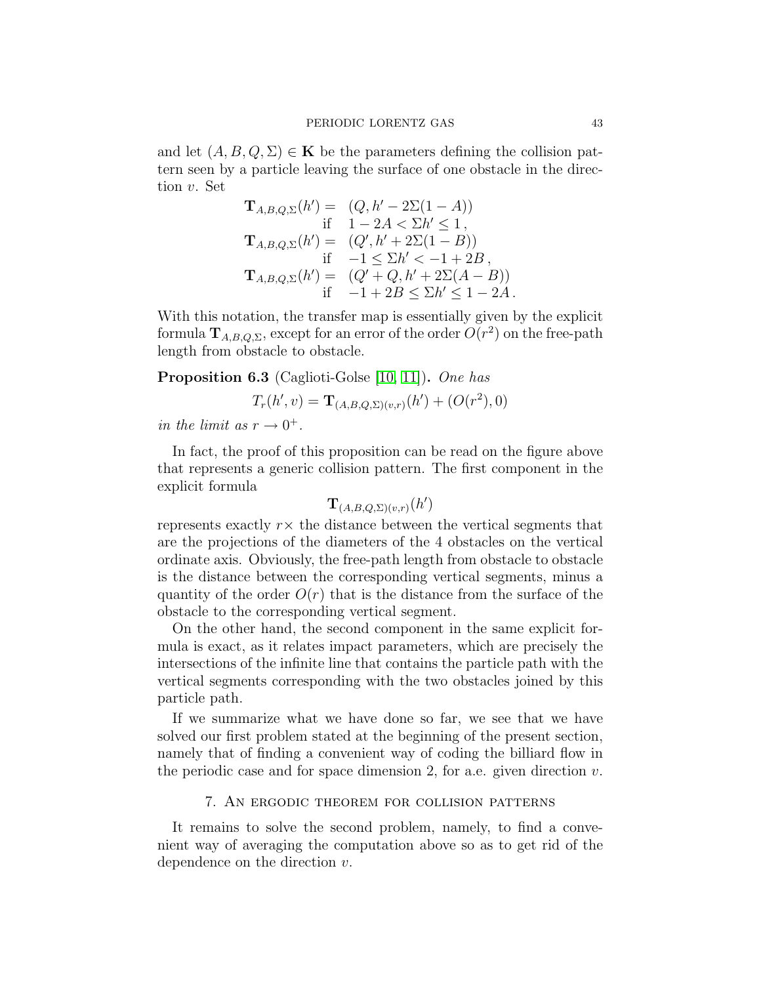and let  $(A, B, Q, \Sigma) \in \mathbf{K}$  be the parameters defining the collision pattern seen by a particle leaving the surface of one obstacle in the direction v. Set

$$
\mathbf{T}_{A,B,Q,\Sigma}(h') = (Q, h' - 2\Sigma(1 - A))
$$
  
if  $1 - 2A < \Sigma h' \le 1$ ,  

$$
\mathbf{T}_{A,B,Q,\Sigma}(h') = (Q', h' + 2\Sigma(1 - B))
$$
  
if  $-1 \le \Sigma h' < -1 + 2B$ ,  

$$
\mathbf{T}_{A,B,Q,\Sigma}(h') = (Q' + Q, h' + 2\Sigma(A - B))
$$
  
if  $-1 + 2B \le \Sigma h' \le 1 - 2A$ .

With this notation, the transfer map is essentially given by the explicit formula  ${\bf T}_{A,B,Q,\Sigma}$ , except for an error of the order  $O(r^2)$  on the free-path length from obstacle to obstacle.

Proposition 6.3 (Caglioti-Golse [\[10,](#page-60-16) [11\]](#page-60-17)). One has

$$
T_r(h', v) = \mathbf{T}_{(A, B, Q, \Sigma)(v, r)}(h') + (O(r^2), 0)
$$

in the limit as  $r \to 0^+$ .

In fact, the proof of this proposition can be read on the figure above that represents a generic collision pattern. The first component in the explicit formula

$$
\mathbf{T}_{(A,B,Q,\Sigma)(v,r)}(h')
$$

represents exactly  $r \times$  the distance between the vertical segments that are the projections of the diameters of the 4 obstacles on the vertical ordinate axis. Obviously, the free-path length from obstacle to obstacle is the distance between the corresponding vertical segments, minus a quantity of the order  $O(r)$  that is the distance from the surface of the obstacle to the corresponding vertical segment.

On the other hand, the second component in the same explicit formula is exact, as it relates impact parameters, which are precisely the intersections of the infinite line that contains the particle path with the vertical segments corresponding with the two obstacles joined by this particle path.

If we summarize what we have done so far, we see that we have solved our first problem stated at the beginning of the present section, namely that of finding a convenient way of coding the billiard flow in the periodic case and for space dimension 2, for a.e. given direction  $v$ .

#### 7. An ergodic theorem for collision patterns

<span id="page-42-0"></span>It remains to solve the second problem, namely, to find a convenient way of averaging the computation above so as to get rid of the dependence on the direction v.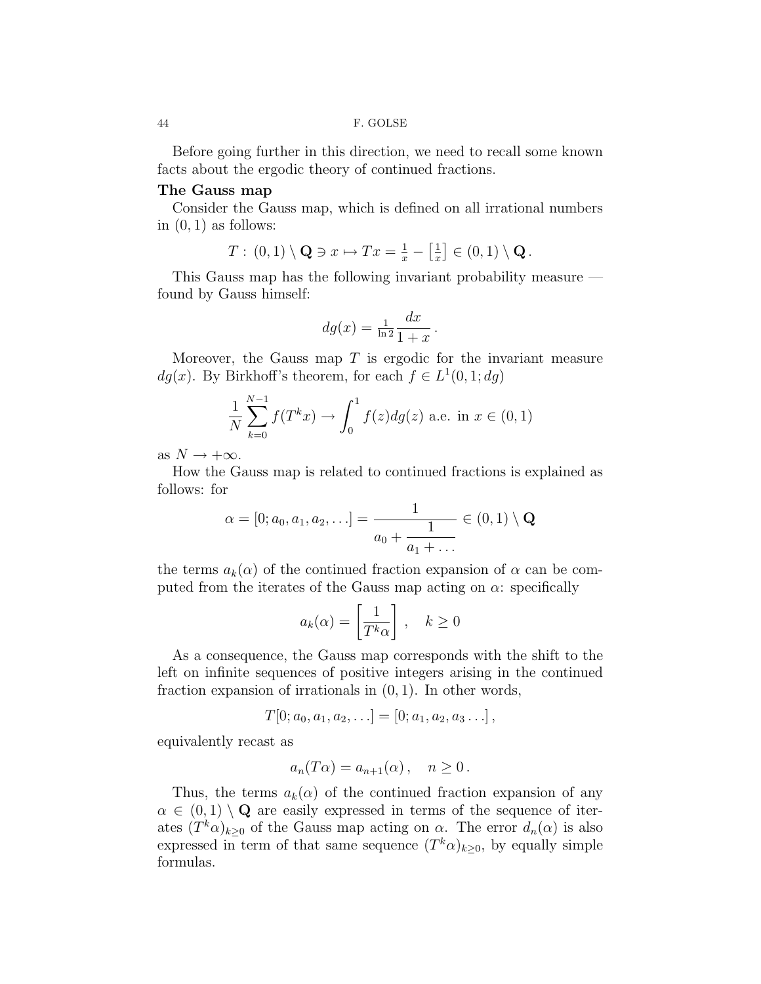#### 44 F. GOLSE

Before going further in this direction, we need to recall some known facts about the ergodic theory of continued fractions.

## The Gauss map

Consider the Gauss map, which is defined on all irrational numbers in  $(0, 1)$  as follows:

$$
T: (0,1) \setminus \mathbf{Q} \ni x \mapsto Tx = \frac{1}{x} - \left[\frac{1}{x}\right] \in (0,1) \setminus \mathbf{Q}.
$$

This Gauss map has the following invariant probability measure found by Gauss himself:

$$
dg(x) = \frac{1}{\ln 2} \frac{dx}{1+x} \, .
$$

Moreover, the Gauss map  $T$  is ergodic for the invariant measure  $dg(x)$ . By Birkhoff's theorem, for each  $f \in L^1(0, 1; dg)$ 

$$
\frac{1}{N} \sum_{k=0}^{N-1} f(T^k x) \to \int_0^1 f(z) dg(z) \text{ a.e. in } x \in (0,1)
$$

as  $N \to +\infty$ .

How the Gauss map is related to continued fractions is explained as follows: for

$$
\alpha = [0; a_0, a_1, a_2, \ldots] = \frac{1}{a_0 + \frac{1}{a_1 + \ldots}} \in (0, 1) \setminus \mathbf{Q}
$$

the terms  $a_k(\alpha)$  of the continued fraction expansion of  $\alpha$  can be computed from the iterates of the Gauss map acting on  $\alpha$ : specifically

$$
a_k(\alpha) = \left[\frac{1}{T^k \alpha}\right], \quad k \ge 0
$$

As a consequence, the Gauss map corresponds with the shift to the left on infinite sequences of positive integers arising in the continued fraction expansion of irrationals in  $(0, 1)$ . In other words,

$$
T[0; a_0, a_1, a_2, \ldots] = [0; a_1, a_2, a_3 \ldots],
$$

equivalently recast as

$$
a_n(T\alpha) = a_{n+1}(\alpha) , \quad n \ge 0 .
$$

Thus, the terms  $a_k(\alpha)$  of the continued fraction expansion of any  $\alpha \in (0,1) \setminus \mathbf{Q}$  are easily expressed in terms of the sequence of iterates  $(T^k\alpha)_{k\geq 0}$  of the Gauss map acting on  $\alpha$ . The error  $d_n(\alpha)$  is also expressed in term of that same sequence  $(T^k\alpha)_{k\geq 0}$ , by equally simple formulas.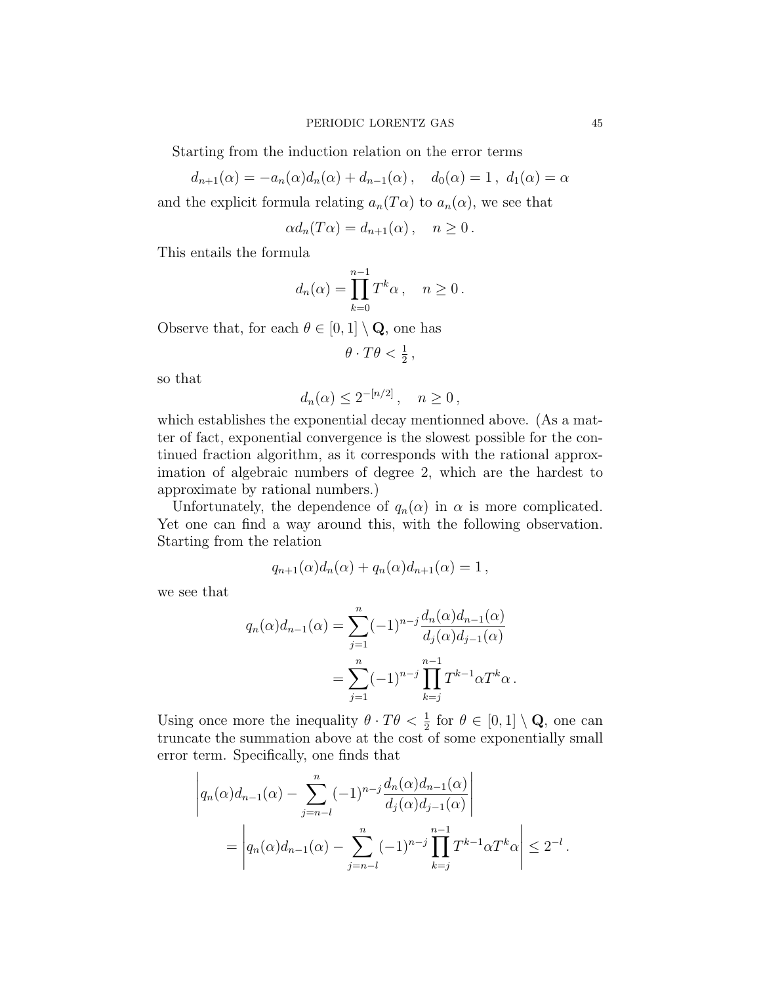Starting from the induction relation on the error terms

$$
d_{n+1}(\alpha) = -a_n(\alpha)d_n(\alpha) + d_{n-1}(\alpha), \quad d_0(\alpha) = 1, \ d_1(\alpha) = \alpha
$$

and the explicit formula relating  $a_n(T\alpha)$  to  $a_n(\alpha)$ , we see that

$$
\alpha d_n(T\alpha) = d_{n+1}(\alpha) , \quad n \ge 0 .
$$

This entails the formula

$$
d_n(\alpha) = \prod_{k=0}^{n-1} T^k \alpha, \quad n \ge 0.
$$

Observe that, for each  $\theta \in [0,1] \setminus \mathbf{Q}$ , one has

 $\theta \cdot T\theta < \frac{1}{2}$ ,

so that

$$
d_n(\alpha) \le 2^{-[n/2]}, \quad n \ge 0,
$$

which establishes the exponential decay mentionned above. (As a matter of fact, exponential convergence is the slowest possible for the continued fraction algorithm, as it corresponds with the rational approximation of algebraic numbers of degree 2, which are the hardest to approximate by rational numbers.)

Unfortunately, the dependence of  $q_n(\alpha)$  in  $\alpha$  is more complicated. Yet one can find a way around this, with the following observation. Starting from the relation

$$
q_{n+1}(\alpha)d_n(\alpha) + q_n(\alpha)d_{n+1}(\alpha) = 1,
$$

we see that

$$
q_n(\alpha)d_{n-1}(\alpha) = \sum_{j=1}^n (-1)^{n-j} \frac{d_n(\alpha)d_{n-1}(\alpha)}{d_j(\alpha)d_{j-1}(\alpha)}
$$
  
= 
$$
\sum_{j=1}^n (-1)^{n-j} \prod_{k=j}^{n-1} T^{k-1} \alpha T^k \alpha.
$$

Using once more the inequality  $\theta \cdot T\theta < \frac{1}{2}$  for  $\theta \in [0,1] \setminus \mathbf{Q}$ , one can truncate the summation above at the cost of some exponentially small error term. Specifically, one finds that

$$
\left| q_n(\alpha)d_{n-1}(\alpha) - \sum_{j=n-l}^n (-1)^{n-j} \frac{d_n(\alpha)d_{n-1}(\alpha)}{d_j(\alpha)d_{j-1}(\alpha)} \right|
$$
  
= 
$$
\left| q_n(\alpha)d_{n-1}(\alpha) - \sum_{j=n-l}^n (-1)^{n-j} \prod_{k=j}^{n-1} T^{k-1} \alpha T^k \alpha \right| \leq 2^{-l}.
$$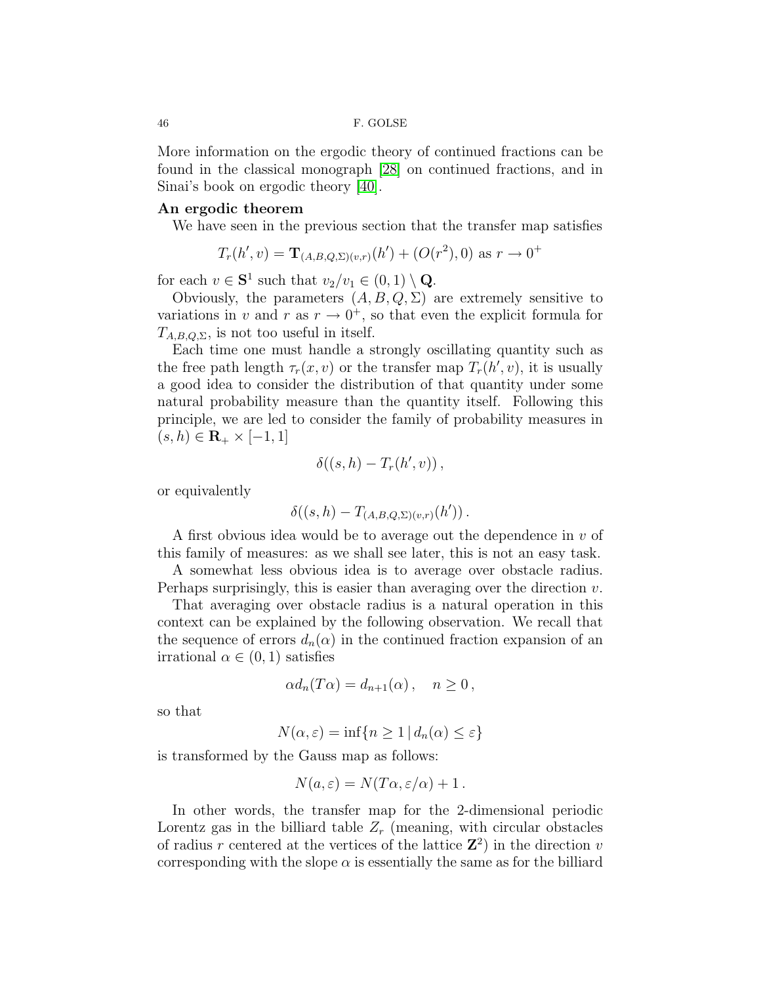More information on the ergodic theory of continued fractions can be found in the classical monograph [\[28\]](#page-61-13) on continued fractions, and in Sinai's book on ergodic theory [\[40\]](#page-61-14).

#### An ergodic theorem

We have seen in the previous section that the transfer map satisfies

$$
T_r(h', v) = \mathbf{T}_{(A, B, Q, \Sigma)(v, r)}(h') + (O(r^2), 0)
$$
 as  $r \to 0^+$ 

for each  $v \in \mathbf{S}^1$  such that  $v_2/v_1 \in (0,1) \setminus \mathbf{Q}$ .

Obviously, the parameters  $(A, B, Q, \Sigma)$  are extremely sensitive to variations in v and r as  $r \to 0^+$ , so that even the explicit formula for  $T_{A,B,Q,\Sigma}$ , is not too useful in itself.

Each time one must handle a strongly oscillating quantity such as the free path length  $\tau_r(x, v)$  or the transfer map  $T_r(h', v)$ , it is usually a good idea to consider the distribution of that quantity under some natural probability measure than the quantity itself. Following this principle, we are led to consider the family of probability measures in  $(s, h) \in \mathbf{R}_{+} \times [-1, 1]$ 

$$
\delta((s,h)-T_r(h',v)),
$$

or equivalently

$$
\delta((s,h)-T_{(A,B,Q,\Sigma)(v,r)}(h')).
$$

A first obvious idea would be to average out the dependence in  $v$  of this family of measures: as we shall see later, this is not an easy task.

A somewhat less obvious idea is to average over obstacle radius. Perhaps surprisingly, this is easier than averaging over the direction  $v$ .

That averaging over obstacle radius is a natural operation in this context can be explained by the following observation. We recall that the sequence of errors  $d_n(\alpha)$  in the continued fraction expansion of an irrational  $\alpha \in (0,1)$  satisfies

$$
\alpha d_n(T\alpha) = d_{n+1}(\alpha) , \quad n \ge 0 ,
$$

so that

$$
N(\alpha, \varepsilon) = \inf\{n \ge 1 \, | \, d_n(\alpha) \le \varepsilon\}
$$

is transformed by the Gauss map as follows:

$$
N(a,\varepsilon) = N(T\alpha,\varepsilon/\alpha) + 1.
$$

In other words, the transfer map for the 2-dimensional periodic Lorentz gas in the billiard table  $Z_r$  (meaning, with circular obstacles of radius r centered at the vertices of the lattice  $\mathbb{Z}^2$  in the direction v corresponding with the slope  $\alpha$  is essentially the same as for the billiard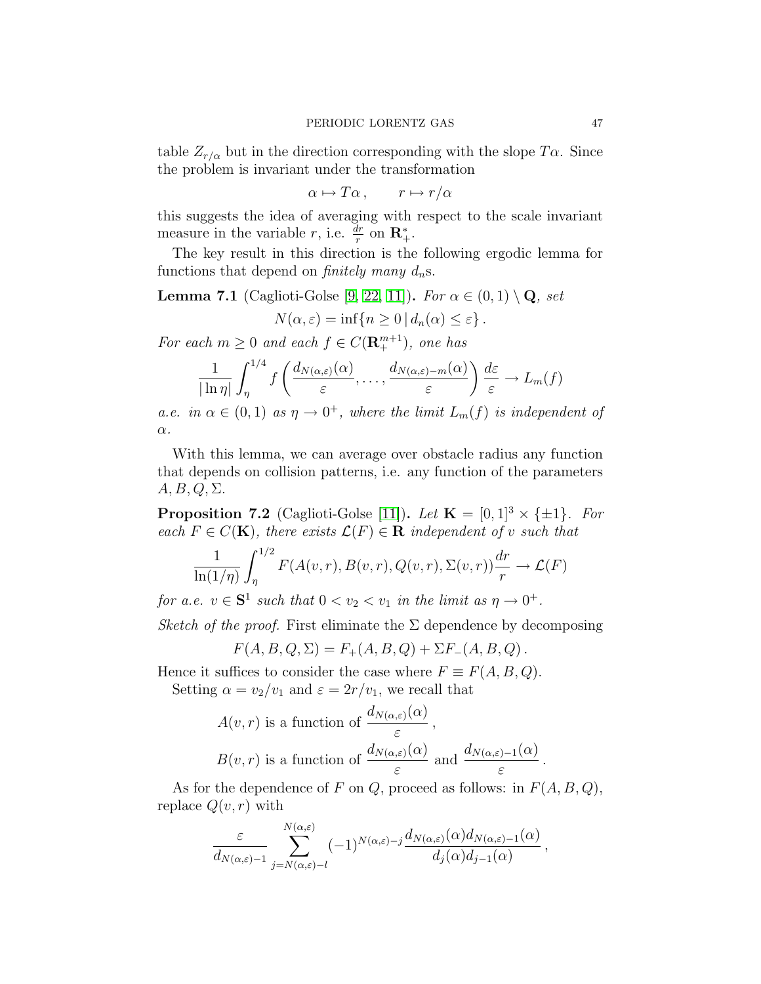table  $Z_{r/\alpha}$  but in the direction corresponding with the slope  $T\alpha$ . Since the problem is invariant under the transformation

$$
\alpha \mapsto T\alpha \,, \qquad r \mapsto r/\alpha
$$

this suggests the idea of averaging with respect to the scale invariant measure in the variable r, i.e.  $\frac{dr}{r}$  on  $\mathbf{R}_{+}^{*}$ .

The key result in this direction is the following ergodic lemma for functions that depend on *finitely many*  $d_n$ s.

**Lemma 7.1** (Caglioti-Golse [\[9,](#page-60-12) [22,](#page-60-18) [11\]](#page-60-17)). For  $\alpha \in (0,1) \setminus \mathbf{Q}$ , set

$$
N(\alpha, \varepsilon) = \inf \{ n \ge 0 \, | \, d_n(\alpha) \le \varepsilon \} .
$$

For each  $m \geq 0$  and each  $f \in C(\mathbf{R}^{m+1}_{+})$ , one has

$$
\frac{1}{|\ln \eta|} \int_{\eta}^{1/4} f\left(\frac{d_{N(\alpha,\varepsilon)}(\alpha)}{\varepsilon}, \dots, \frac{d_{N(\alpha,\varepsilon)-m}(\alpha)}{\varepsilon}\right) \frac{d\varepsilon}{\varepsilon} \to L_m(f)
$$

a.e. in  $\alpha \in (0,1)$  as  $\eta \to 0^+$ , where the limit  $L_m(f)$  is independent of α.

With this lemma, we can average over obstacle radius any function that depends on collision patterns, i.e. any function of the parameters  $A, B, Q, \Sigma.$ 

**Proposition 7.2** (Caglioti-Golse [\[11\]](#page-60-17)). Let  $\mathbf{K} = [0, 1]^3 \times \{\pm 1\}$ . For each  $F \in C(\mathbf{K})$ , there exists  $\mathcal{L}(F) \in \mathbf{R}$  independent of v such that

$$
\frac{1}{\ln(1/\eta)} \int_{\eta}^{1/2} F(A(v,r), B(v,r), Q(v,r), \Sigma(v,r)) \frac{dr}{r} \to \mathcal{L}(F)
$$

for a.e.  $v \in \mathbf{S}^1$  such that  $0 < v_2 < v_1$  in the limit as  $\eta \to 0^+$ .

Sketch of the proof. First eliminate the  $\Sigma$  dependence by decomposing

$$
F(A, B, Q, \Sigma) = F_{+}(A, B, Q) + \Sigma F_{-}(A, B, Q).
$$

Hence it suffices to consider the case where  $F \equiv F(A, B, Q)$ .

Setting  $\alpha = v_2/v_1$  and  $\varepsilon = 2r/v_1$ , we recall that

$$
A(v,r) \text{ is a function of } \frac{d_{N(\alpha,\varepsilon)}(\alpha)}{\varepsilon},
$$
  
 
$$
B(v,r) \text{ is a function of } \frac{d_{N(\alpha,\varepsilon)}(\alpha)}{\varepsilon} \text{ and } \frac{d_{N(\alpha,\varepsilon)-1}(\alpha)}{\varepsilon}.
$$

As for the dependence of F on Q, proceed as follows: in  $F(A, B, Q)$ , replace  $Q(v, r)$  with

$$
\frac{\varepsilon}{d_{N(\alpha,\varepsilon)-1}}\sum_{j=N(\alpha,\varepsilon)-l}^{N(\alpha,\varepsilon)}(-1)^{N(\alpha,\varepsilon)-j}\frac{d_{N(\alpha,\varepsilon)}(\alpha)d_{N(\alpha,\varepsilon)-1}(\alpha)}{d_{j}(\alpha)d_{j-1}(\alpha)},
$$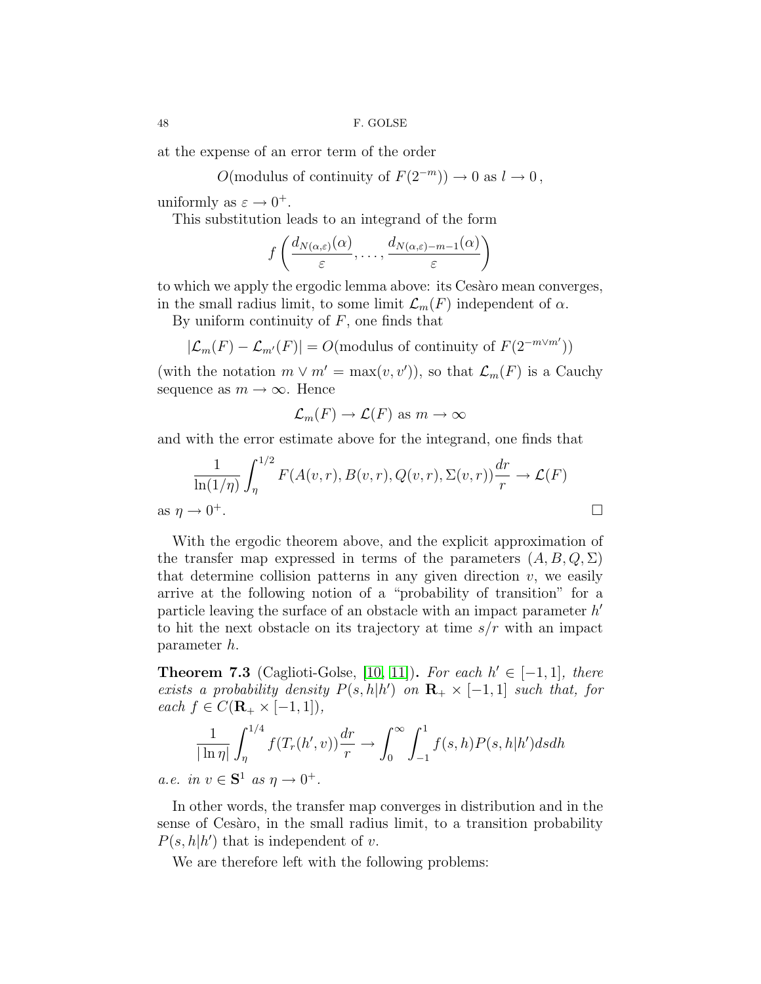at the expense of an error term of the order

 $O(\text{modulus of continuity of } F(2^{-m})) \to 0 \text{ as } l \to 0,$ 

uniformly as  $\varepsilon \to 0^+$ .

This substitution leads to an integrand of the form

$$
f\left(\frac{d_{N(\alpha,\varepsilon)}(\alpha)}{\varepsilon},\ldots,\frac{d_{N(\alpha,\varepsilon)-m-1}(\alpha)}{\varepsilon}\right)
$$

to which we apply the ergodic lemma above: its Cesaro mean converges, in the small radius limit, to some limit  $\mathcal{L}_m(F)$  independent of  $\alpha$ .

By uniform continuity of  $F$ , one finds that

$$
|\mathcal{L}_m(F) - \mathcal{L}_{m'}(F)| = O(\text{modulus of continuity of } F(2^{-m \vee m'}))
$$

(with the notation  $m \vee m' = \max(v, v')$ ), so that  $\mathcal{L}_m(F)$  is a Cauchy sequence as  $m \to \infty$ . Hence

$$
\mathcal{L}_m(F) \to \mathcal{L}(F)
$$
 as  $m \to \infty$ 

and with the error estimate above for the integrand, one finds that

$$
\frac{1}{\ln(1/\eta)} \int_{\eta}^{1/2} F(A(v,r), B(v,r), Q(v,r), \Sigma(v,r)) \frac{dr}{r} \to \mathcal{L}(F)
$$
  
as  $\eta \to 0^+$ .

With the ergodic theorem above, and the explicit approximation of the transfer map expressed in terms of the parameters  $(A, B, Q, \Sigma)$ that determine collision patterns in any given direction  $v$ , we easily arrive at the following notion of a "probability of transition" for a particle leaving the surface of an obstacle with an impact parameter  $h'$ to hit the next obstacle on its trajectory at time  $s/r$  with an impact parameter h.

**Theorem 7.3** (Caglioti-Golse, [\[10,](#page-60-16) [11\]](#page-60-17)). For each  $h' \in [-1, 1]$ , there exists a probability density  $P(s,h|h')$  on  $\mathbf{R}_{+} \times [-1,1]$  such that, for each  $f \in C(\mathbf{R}_{+} \times [-1, 1]),$ 

$$
\frac{1}{|\ln \eta|} \int_{\eta}^{1/4} f(T_r(h', v)) \frac{dr}{r} \to \int_0^{\infty} \int_{-1}^1 f(s, h) P(s, h|h') ds dh
$$

*a.e.* in  $v \in \mathbf{S}^1$  as  $\eta \to 0^+$ .

In other words, the transfer map converges in distribution and in the sense of Cesàro, in the small radius limit, to a transition probability  $P(s, h|h')$  that is independent of v.

We are therefore left with the following problems: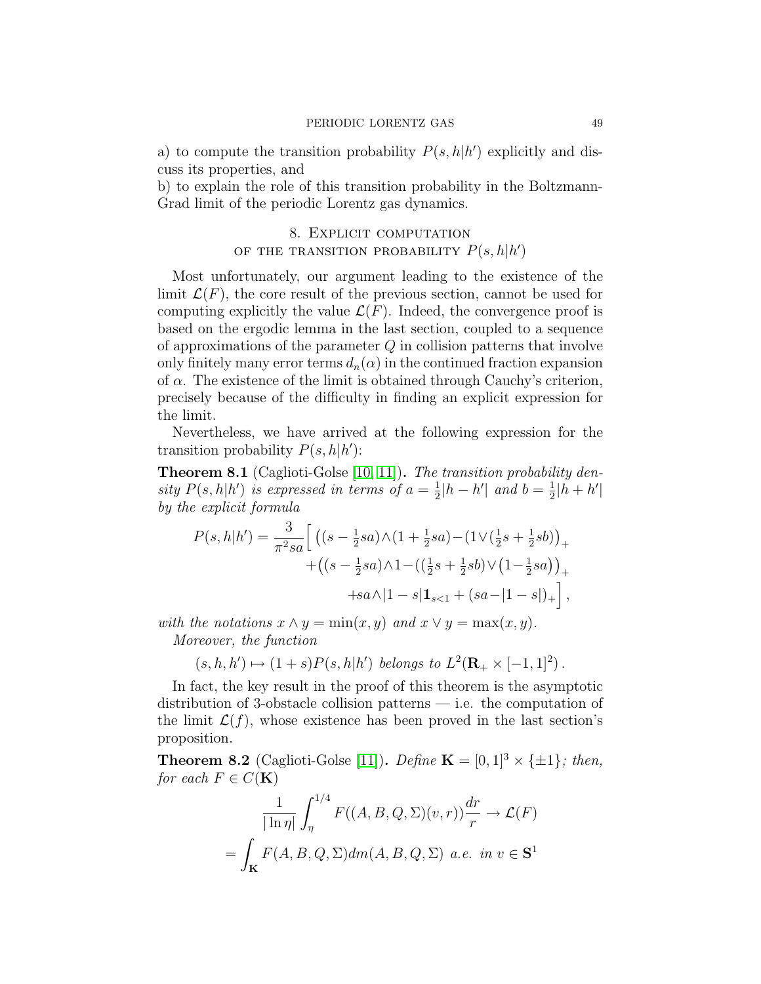a) to compute the transition probability  $P(s, h|h')$  explicitly and discuss its properties, and

<span id="page-48-0"></span>b) to explain the role of this transition probability in the Boltzmann-Grad limit of the periodic Lorentz gas dynamics.

# 8. EXPLICIT COMPUTATION OF THE TRANSITION PROBABILITY  $P(s, h|h')$

Most unfortunately, our argument leading to the existence of the limit  $\mathcal{L}(F)$ , the core result of the previous section, cannot be used for computing explicitly the value  $\mathcal{L}(F)$ . Indeed, the convergence proof is based on the ergodic lemma in the last section, coupled to a sequence of approximations of the parameter Q in collision patterns that involve only finitely many error terms  $d_n(\alpha)$  in the continued fraction expansion of  $\alpha$ . The existence of the limit is obtained through Cauchy's criterion, precisely because of the difficulty in finding an explicit expression for the limit.

Nevertheless, we have arrived at the following expression for the transition probability  $P(s, h|h')$ :

<span id="page-48-2"></span>Theorem 8.1 (Caglioti-Golse [\[10,](#page-60-16) [11\]](#page-60-17)). The transition probability density  $P(s,h|h')$  is expressed in terms of  $a=\frac{1}{2}$  $\frac{1}{2}|h-h'|$  and  $b=\frac{1}{2}$  $\frac{1}{2} |h + h'|$ by the explicit formula

$$
P(s,h|h') = \frac{3}{\pi^2 sa} \left[ \left( (s - \frac{1}{2}sa) \wedge (1 + \frac{1}{2}sa) - (1 \vee (\frac{1}{2}s + \frac{1}{2}sb) \right)_{+} + \left( (s - \frac{1}{2}sa) \wedge 1 - ((\frac{1}{2}s + \frac{1}{2}sb) \vee (1 - \frac{1}{2}sa) \right)_{+} + sa \wedge |1 - s| \mathbf{1}_{s < 1} + (sa - |1 - s|)_{+} \right],
$$

with the notations  $x \wedge y = \min(x, y)$  and  $x \vee y = \max(x, y)$ . Moreover, the function

$$
(s, h, h') \mapsto (1+s)P(s, h|h')
$$
 belongs to  $L^2(\mathbf{R}_+ \times [-1, 1]^2)$ .

In fact, the key result in the proof of this theorem is the asymptotic distribution of 3-obstacle collision patterns — i.e. the computation of the limit  $\mathcal{L}(f)$ , whose existence has been proved in the last section's proposition.

<span id="page-48-1"></span>**Theorem 8.2** (Caglioti-Golse [\[11\]](#page-60-17)). Define  $\mathbf{K} = [0, 1]^3 \times \{\pm 1\}$ ; then, for each  $F \in C(K)$ 

$$
\frac{1}{|\ln \eta|} \int_{\eta}^{1/4} F((A, B, Q, \Sigma)(v, r)) \frac{dr}{r} \to \mathcal{L}(F)
$$

$$
= \int_{\mathbf{K}} F(A, B, Q, \Sigma) dm(A, B, Q, \Sigma) \ a.e. \ in \ v \in \mathbf{S}^1
$$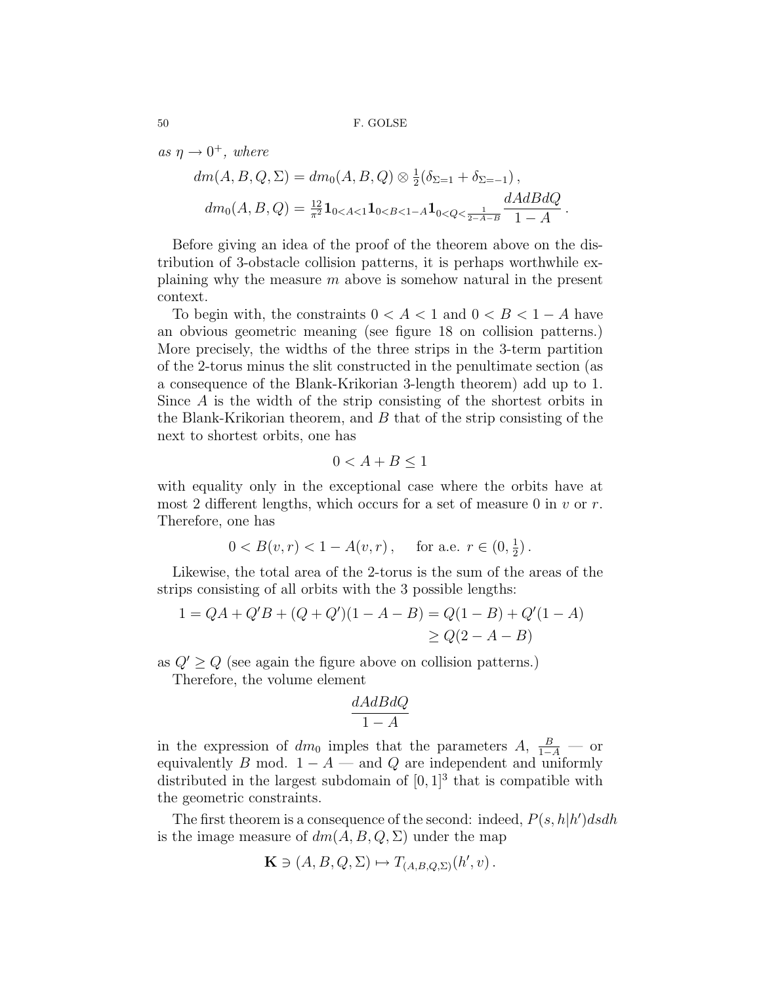as  $\eta \rightarrow 0^+$ , where

$$
dm(A, B, Q, \Sigma) = dm_0(A, B, Q) \otimes \frac{1}{2} (\delta_{\Sigma=1} + \delta_{\Sigma=-1}),
$$
  

$$
dm_0(A, B, Q) = \frac{12}{\pi^2} \mathbf{1}_{0 \le A \le 1} \mathbf{1}_{0 \le B \le 1-A} \mathbf{1}_{0 \le Q \le \frac{1}{2-A-B}} \frac{dA dB dQ}{1-A}.
$$

Before giving an idea of the proof of the theorem above on the distribution of 3-obstacle collision patterns, it is perhaps worthwhile explaining why the measure  $m$  above is somehow natural in the present context.

To begin with, the constraints  $0 < A < 1$  and  $0 < B < 1 - A$  have an obvious geometric meaning (see figure 18 on collision patterns.) More precisely, the widths of the three strips in the 3-term partition of the 2-torus minus the slit constructed in the penultimate section (as a consequence of the Blank-Krikorian 3-length theorem) add up to 1. Since A is the width of the strip consisting of the shortest orbits in the Blank-Krikorian theorem, and  $B$  that of the strip consisting of the next to shortest orbits, one has

$$
0 < A + B \le 1
$$

with equality only in the exceptional case where the orbits have at most 2 different lengths, which occurs for a set of measure 0 in  $v$  or  $r$ . Therefore, one has

$$
0 < B(v, r) < 1 - A(v, r), \quad \text{for a.e. } r \in \left(0, \frac{1}{2}\right).
$$

Likewise, the total area of the 2-torus is the sum of the areas of the strips consisting of all orbits with the 3 possible lengths:

$$
1 = QA + Q'B + (Q + Q')(1 - A - B) = Q(1 - B) + Q'(1 - A)
$$
  
\n
$$
\ge Q(2 - A - B)
$$

as  $Q' \geq Q$  (see again the figure above on collision patterns.)

Therefore, the volume element

$$
\frac{dA dB dQ}{1-A}
$$

in the expression of  $dm_0$  imples that the parameters  $A$ ,  $\frac{B}{1-A}$  — or equivalently B mod.  $1 - A$  — and Q are independent and uniformly distributed in the largest subdomain of  $[0, 1]^3$  that is compatible with the geometric constraints.

The first theorem is a consequence of the second: indeed,  $P(s, h|h')dsdh$ is the image measure of  $dm(A, B, Q, \Sigma)$  under the map

$$
\mathbf{K} \ni (A, B, Q, \Sigma) \mapsto T_{(A, B, Q, \Sigma)}(h', v) .
$$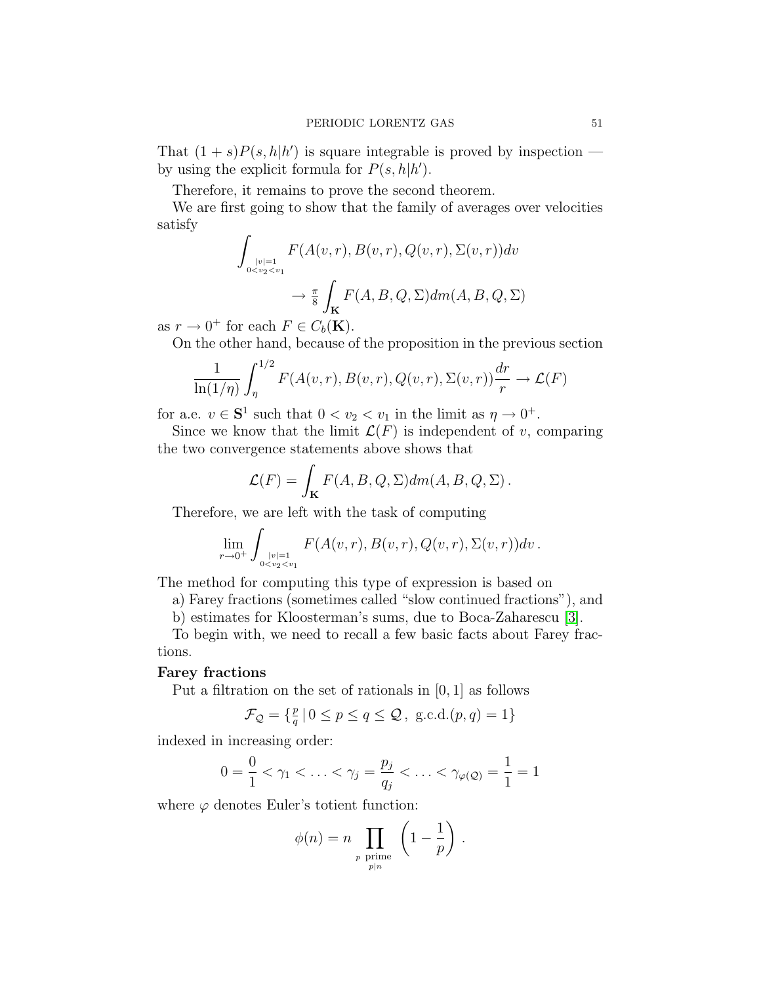That  $(1 + s)P(s, h|h')$  is square integrable is proved by inspection by using the explicit formula for  $P(s, h|h')$ .

Therefore, it remains to prove the second theorem.

We are first going to show that the family of averages over velocities satisfy

$$
\int_{0}^{\lfloor v \rfloor = 1}_{0 < v_2 < v_1} F(A(v, r), B(v, r), Q(v, r), \Sigma(v, r)) dv
$$
\n
$$
\to \frac{\pi}{8} \int_{\mathbf{K}} F(A, B, Q, \Sigma) dm(A, B, Q, \Sigma)
$$

as  $r \to 0^+$  for each  $F \in C_b(\mathbf{K})$ .

On the other hand, because of the proposition in the previous section

$$
\frac{1}{\ln(1/\eta)} \int_{\eta}^{1/2} F(A(v,r), B(v,r), Q(v,r), \Sigma(v,r)) \frac{dr}{r} \to \mathcal{L}(F)
$$

for a.e.  $v \in \mathbf{S}^1$  such that  $0 < v_2 < v_1$  in the limit as  $\eta \to 0^+$ .

Since we know that the limit  $\mathcal{L}(F)$  is independent of v, comparing the two convergence statements above shows that

$$
\mathcal{L}(F) = \int_{\mathbf{K}} F(A, B, Q, \Sigma) dm(A, B, Q, \Sigma).
$$

Therefore, we are left with the task of computing

$$
\lim_{r \to 0^+} \int_{0 \le v_2 < v_1} F(A(v,r), B(v,r), Q(v,r), \Sigma(v,r)) dv.
$$

The method for computing this type of expression is based on

a) Farey fractions (sometimes called "slow continued fractions"), and

b) estimates for Kloosterman's sums, due to Boca-Zaharescu [\[3\]](#page-59-6).

To begin with, we need to recall a few basic facts about Farey fractions.

#### Farey fractions

Put a filtration on the set of rationals in  $[0, 1]$  as follows

$$
\mathcal{F}_{\mathcal{Q}} = \{ \frac{p}{q} \mid 0 \le p \le q \le \mathcal{Q}, \text{ g.c.d.}(p, q) = 1 \}
$$

indexed in increasing order:

$$
0 = \frac{0}{1} < \gamma_1 < \ldots < \gamma_j = \frac{p_j}{q_j} < \ldots < \gamma_{\varphi(\mathcal{Q})} = \frac{1}{1} = 1
$$

where  $\varphi$  denotes Euler's totient function:

$$
\phi(n) = n \prod_{p \text{ prime} \atop p|n} \left(1 - \frac{1}{p}\right).
$$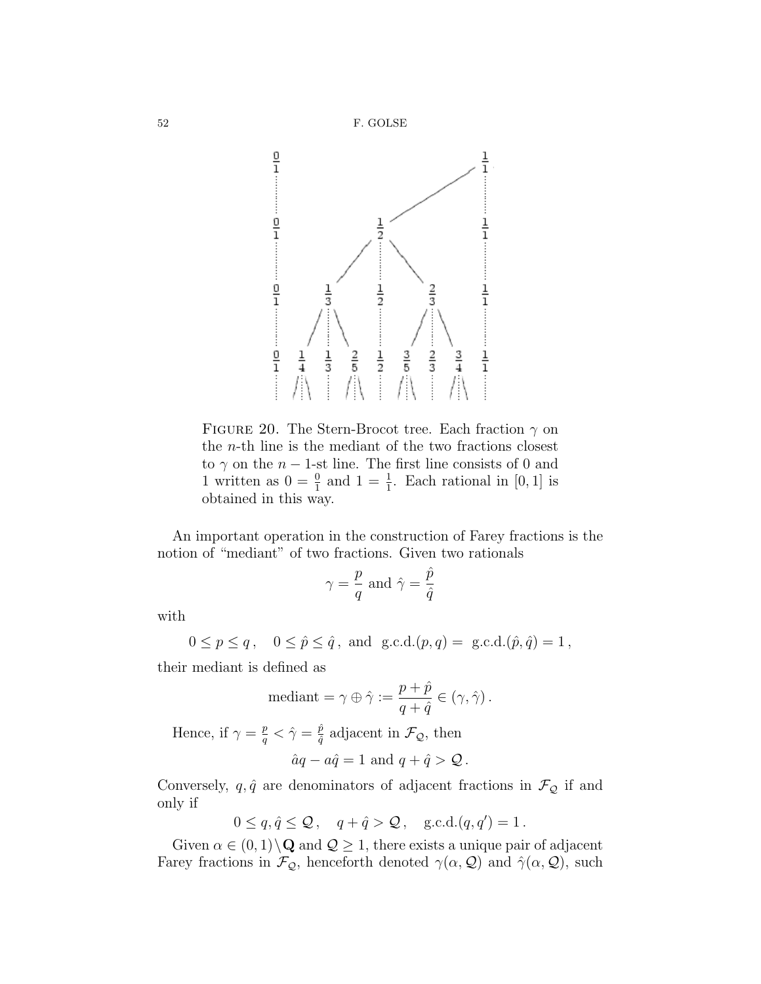



FIGURE 20. The Stern-Brocot tree. Each fraction  $\gamma$  on the n-th line is the mediant of the two fractions closest to  $\gamma$  on the  $n-1$ -st line. The first line consists of 0 and 1 written as  $0 = \frac{0}{1}$  and  $1 = \frac{1}{1}$ . Each rational in [0, 1] is obtained in this way.

An important operation in the construction of Farey fractions is the notion of "mediant" of two fractions. Given two rationals

$$
\gamma = \frac{p}{q} \text{ and } \hat{\gamma} = \frac{\hat{p}}{\hat{q}}
$$

with

$$
0 \le p \le q
$$
,  $0 \le \hat{p} \le \hat{q}$ , and g.c.d. $(p,q) =$  g.c.d. $(\hat{p}, \hat{q}) = 1$ ,

their mediant is defined as

$$
mediant = \gamma \oplus \hat{\gamma} := \frac{p + \hat{p}}{q + \hat{q}} \in (\gamma, \hat{\gamma}).
$$

Hence, if  $\gamma = \frac{p}{q}$  $\frac{p}{q}<\hat{\gamma}=\frac{\hat{p}}{\hat{q}}$  $\frac{\tilde{p}}{\tilde{q}}$  adjacent in  $\mathcal{F}_{\mathcal{Q}}$ , then

$$
\hat{a}q - a\hat{q} = 1 \text{ and } q + \hat{q} > \mathcal{Q}.
$$

Conversely,  $q, \hat{q}$  are denominators of adjacent fractions in  $\mathcal{F}_{\mathcal{Q}}$  if and only if

$$
0 \le q, \hat{q} \le Q, \quad q + \hat{q} > Q, \quad \text{g.c.d.}(q, q') = 1.
$$

Given  $\alpha \in (0,1) \backslash \mathbf{Q}$  and  $\mathbf{Q} \geq 1$ , there exists a unique pair of adjacent Farey fractions in  $\mathcal{F}_{\mathcal{Q}}$ , henceforth denoted  $\gamma(\alpha, \mathcal{Q})$  and  $\hat{\gamma}(\alpha, \mathcal{Q})$ , such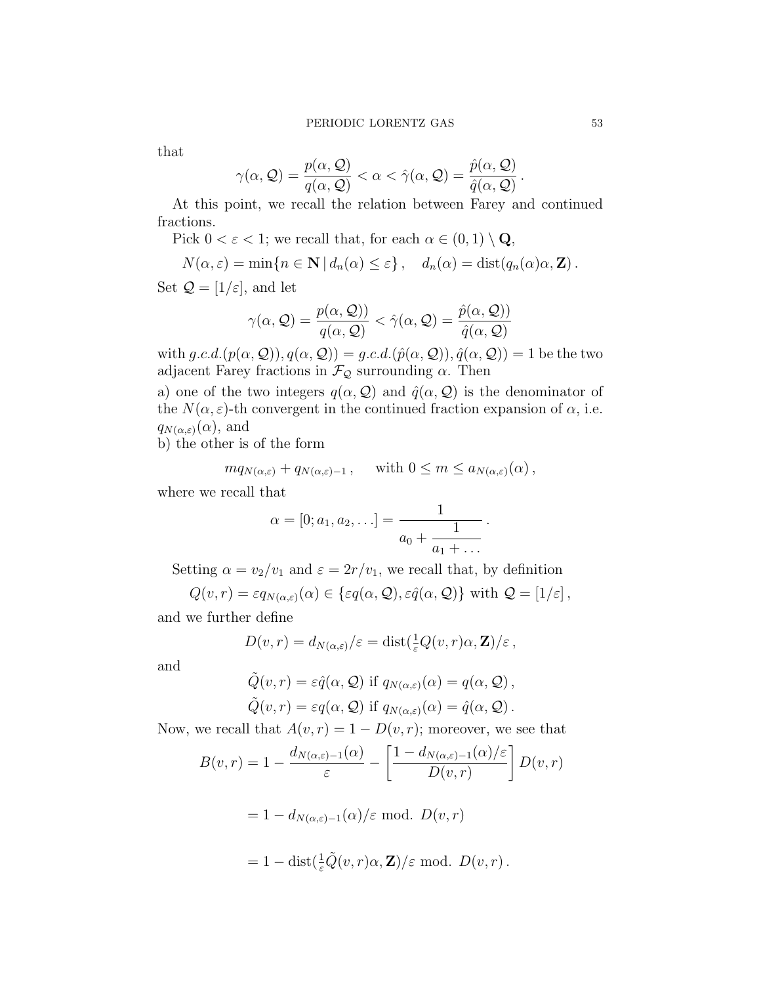that

$$
\gamma(\alpha, \mathcal{Q}) = \frac{p(\alpha, \mathcal{Q})}{q(\alpha, \mathcal{Q})} < \alpha < \hat{\gamma}(\alpha, \mathcal{Q}) = \frac{\hat{p}(\alpha, \mathcal{Q})}{\hat{q}(\alpha, \mathcal{Q})}.
$$

At this point, we recall the relation between Farey and continued fractions.

Pick  $0 < \varepsilon < 1$ ; we recall that, for each  $\alpha \in (0,1) \setminus \mathbf{Q}$ ,

$$
N(\alpha,\varepsilon) = \min\{n \in \mathbf{N} \,|\, d_n(\alpha) \leq \varepsilon\}, \quad d_n(\alpha) = \text{dist}(q_n(\alpha)\alpha, \mathbf{Z}).
$$

Set  $\mathcal{Q} = [1/\varepsilon]$ , and let

$$
\gamma(\alpha, \mathcal{Q}) = \frac{p(\alpha, \mathcal{Q}))}{q(\alpha, \mathcal{Q})} < \hat{\gamma}(\alpha, \mathcal{Q}) = \frac{\hat{p}(\alpha, \mathcal{Q}))}{\hat{q}(\alpha, \mathcal{Q})}
$$

with  $g.c.d.(p(\alpha, Q)), q(\alpha, Q)) = g.c.d.(\hat{p}(\alpha, Q)), \hat{q}(\alpha, Q)) = 1$  be the two adjacent Farey fractions in  $\mathcal{F}_{\mathcal{Q}}$  surrounding  $\alpha$ . Then

a) one of the two integers  $q(\alpha, \mathcal{Q})$  and  $\hat{q}(\alpha, \mathcal{Q})$  is the denominator of the  $N(\alpha, \varepsilon)$ -th convergent in the continued fraction expansion of  $\alpha$ , i.e.  $q_{N(\alpha,\varepsilon)}(\alpha)$ , and

b) the other is of the form

$$
m q_{N(\alpha,\varepsilon)} + q_{N(\alpha,\varepsilon)-1}
$$
, with  $0 \leq m \leq a_{N(\alpha,\varepsilon)}(\alpha)$ ,

where we recall that

$$
\alpha = [0; a_1, a_2, \ldots] = \frac{1}{a_0 + \frac{1}{a_1 + \ldots}}.
$$

Setting  $\alpha = v_2/v_1$  and  $\varepsilon = 2r/v_1$ , we recall that, by definition

 $Q(v, r) = \varepsilon q_{N(\alpha, \varepsilon)}(\alpha) \in {\varepsilon q(\alpha, \mathcal{Q}), \varepsilon \hat{q}(\alpha, \mathcal{Q})}$  with  $\mathcal{Q} = [1/\varepsilon],$ 

and we further define

$$
D(v,r) = d_{N(\alpha,\varepsilon)}/\varepsilon = \text{dist}(\tfrac{1}{\varepsilon}Q(v,r)\alpha,\mathbf{Z})/\varepsilon,
$$

and

$$
\tilde{Q}(v,r) = \varepsilon \hat{q}(\alpha, \mathcal{Q}) \text{ if } q_{N(\alpha,\varepsilon)}(\alpha) = q(\alpha, \mathcal{Q}),
$$
  

$$
\tilde{Q}(v,r) = \varepsilon q(\alpha, \mathcal{Q}) \text{ if } q_{N(\alpha,\varepsilon)}(\alpha) = \hat{q}(\alpha, \mathcal{Q}).
$$

Now, we recall that  $A(v, r) = 1 - D(v, r)$ ; moreover, we see that

$$
B(v,r) = 1 - \frac{d_{N(\alpha,\varepsilon)-1}(\alpha)}{\varepsilon} - \left[ \frac{1 - d_{N(\alpha,\varepsilon)-1}(\alpha)/\varepsilon}{D(v,r)} \right] D(v,r)
$$

$$
= 1 - d_{N(\alpha,\varepsilon)-1}(\alpha)/\varepsilon \text{ mod. } D(v,r)
$$

$$
= 1 - \text{dist}(\tfrac{1}{\varepsilon}\tilde{Q}(v,r)\alpha, \mathbf{Z})/\varepsilon \text{ mod. } D(v,r).
$$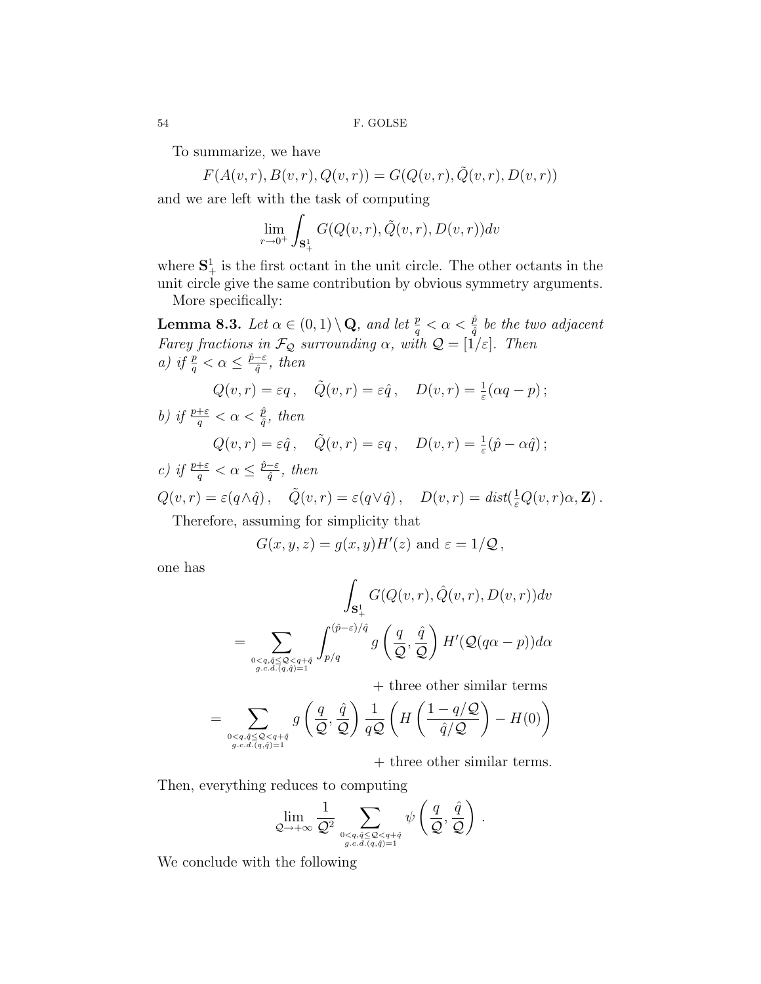To summarize, we have

$$
F(A(v,r), B(v,r), Q(v,r)) = G(Q(v,r), \tilde{Q}(v,r), D(v,r))
$$

and we are left with the task of computing

$$
\lim_{r \to 0^+} \int_{\mathbf{S}_+^1} G(Q(v,r), \tilde{Q}(v,r), D(v,r)) dv
$$

where  $S^1_+$  is the first octant in the unit circle. The other octants in the unit circle give the same contribution by obvious symmetry arguments.

More specifically:

**Lemma 8.3.** Let  $\alpha \in (0,1) \setminus \mathbf{Q}$ , and let  $\frac{p}{q} < \alpha < \frac{\hat{p}}{\hat{q}}$  be the two adjacent Farey fractions in  $\mathcal{F}_{\mathcal{Q}}$  surrounding  $\alpha$ , with  $\mathcal{Q} = [1/\varepsilon]$ . Then a) if  $\frac{p}{q} < \alpha \leq \frac{\hat{p}-\varepsilon}{\hat{q}}$  $\frac{-\varepsilon}{\hat{q}}$ , then

$$
Q(v,r) = \varepsilon q, \quad \tilde{Q}(v,r) = \varepsilon \hat{q}, \quad D(v,r) = \frac{1}{\varepsilon} (\alpha q - p);
$$

b) if 
$$
\frac{p+\varepsilon}{q} < \alpha < \frac{\hat{p}}{\hat{q}}
$$
, then

$$
Q(v,r) = \varepsilon \hat{q}, \quad \tilde{Q}(v,r) = \varepsilon q, \quad D(v,r) = \frac{1}{\varepsilon} (\hat{p} - \alpha \hat{q});
$$

c) if 
$$
\frac{p+\varepsilon}{q} < \alpha \le \frac{\hat{p}-\varepsilon}{\hat{q}}
$$
, then  
\n $Q(v,r) = \varepsilon(q \wedge \hat{q}), \quad \tilde{Q}(v,r) = \varepsilon(q \vee \hat{q}), \quad D(v,r) = dist(\frac{1}{\varepsilon}Q(v,r)\alpha, \mathbf{Z}).$ 

Therefore, assuming for simplicity that

$$
G(x, y, z) = g(x, y)H'(z) \text{ and } \varepsilon = 1/Q,
$$

one has

$$
\int_{\mathbf{S}_+^1} G(Q(v,r), \hat{Q}(v,r), D(v,r)) dv
$$
\n
$$
= \sum_{0 < q, \hat{q} \le 2 < q+\hat{q} \atop g.c.d.(q,\hat{q})=1} \int_{p/q}^{(\hat{p}-\varepsilon)/\hat{q}} g\left(\frac{q}{Q}, \frac{\hat{q}}{Q}\right) H'(\mathcal{Q}(q\alpha - p)) d\alpha
$$

+ three other similar terms

$$
= \sum_{0 < q, \hat{q} \le Q < q + \hat{q} \atop g.c.d.(q, \hat{q})=1} g\left(\frac{q}{Q}, \frac{\hat{q}}{Q}\right) \frac{1}{qQ} \left( H\left(\frac{1-q/Q}{\hat{q}/Q}\right) - H(0)\right)
$$

+ three other similar terms.

Then, everything reduces to computing

$$
\lim_{\mathcal{Q}\to +\infty}\frac{1}{\mathcal{Q}^2}\sum_{\substack{0\leq q,\hat{q}\leq \mathcal{Q}\leq q+\hat{q}\\ g.c.d.(q,\hat{q})=1}}\psi\left(\frac{q}{\mathcal{Q}},\frac{\hat{q}}{\mathcal{Q}}\right).
$$

We conclude with the following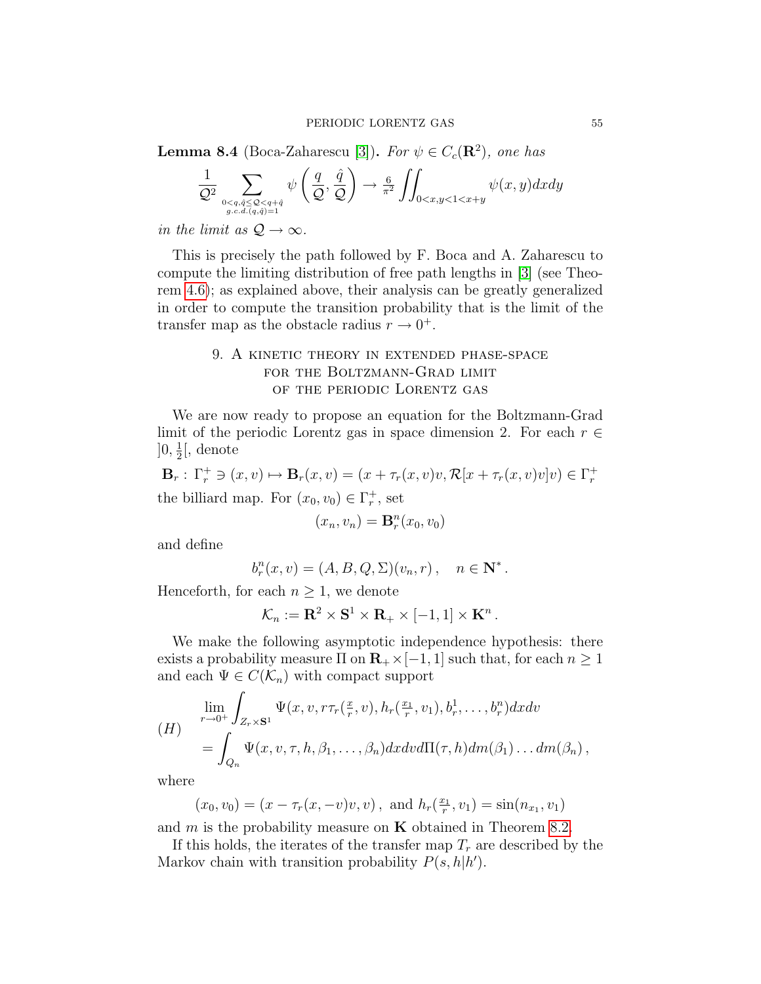**Lemma 8.4** (Boca-Zaharescu [\[3\]](#page-59-6)). For  $\psi \in C_c(\mathbf{R}^2)$ , one has

$$
\frac{1}{\mathcal{Q}^2} \sum_{\substack{0 < q, \hat{q} \le \mathcal{Q} < q + \hat{q} \\ g.c.d.(q, \hat{q}) = 1}} \psi\left(\frac{q}{\mathcal{Q}}, \frac{\hat{q}}{\mathcal{Q}}\right) \to \frac{6}{\pi^2} \iint_{0 < x, y < 1 < x+y} \psi(x, y) dx dy
$$

in the limit as  $\mathcal{Q} \to \infty$ .

This is precisely the path followed by F. Boca and A. Zaharescu to compute the limiting distribution of free path lengths in [\[3\]](#page-59-6) (see Theorem [4.6\)](#page-29-0); as explained above, their analysis can be greatly generalized in order to compute the transition probability that is the limit of the transfer map as the obstacle radius  $r \to 0^+$ .

## <span id="page-54-0"></span>9. A kinetic theory in extended phase-space FOR THE BOLTZMANN-GRAD LIMIT of the periodic Lorentz gas

We are now ready to propose an equation for the Boltzmann-Grad limit of the periodic Lorentz gas in space dimension 2. For each  $r \in$  $]0,\frac{1}{2}$  $\frac{1}{2}$ [, denote

 $\mathbf{B}_r : \Gamma_r^+ \ni (x, v) \mapsto \mathbf{B}_r(x, v) = (x + \tau_r(x, v)v, \mathcal{R}[x + \tau_r(x, v)v]v) \in \Gamma_r^+$ the billiard map. For  $(x_0, v_0) \in \Gamma_r^+$ , set

$$
(x_n,v_n) = \mathbf{B}_r^n(x_0,v_0)
$$

and define

$$
b_r^n(x,v) = (A, B, Q, \Sigma)(v_n, r), \quad n \in \mathbb{N}^*.
$$

Henceforth, for each  $n \geq 1$ , we denote

$$
\mathcal{K}_n := \mathbf{R}^2 \times \mathbf{S}^1 \times \mathbf{R}_+ \times [-1,1] \times \mathbf{K}^n.
$$

We make the following asymptotic independence hypothesis: there exists a probability measure  $\Pi$  on  $\mathbb{R}_+ \times [-1, 1]$  such that, for each  $n \geq 1$ and each  $\Psi \in C(\mathcal{K}_n)$  with compact support

$$
(H) \qquad \lim_{r \to 0^+} \int_{Z_r \times \mathbf{S}^1} \Psi(x, v, r\tau_r(\frac{x}{r}, v), h_r(\frac{x_1}{r}, v_1), b_r^1, \dots, b_r^n) dx dv
$$

$$
= \int_{Q_n} \Psi(x, v, \tau, h, \beta_1, \dots, \beta_n) dx dv d\Pi(\tau, h) dm(\beta_1) \dots dm(\beta_n),
$$

where

$$
(x_0, v_0) = (x - \tau_r(x, -v)v, v)
$$
, and  $h_r(\frac{x_1}{r}, v_1) = \sin(n_{x_1}, v_1)$ 

and  $m$  is the probability measure on  $\bf{K}$  obtained in Theorem [8.2.](#page-48-1)

If this holds, the iterates of the transfer map  $T_r$  are described by the Markov chain with transition probability  $P(s, h|h')$ .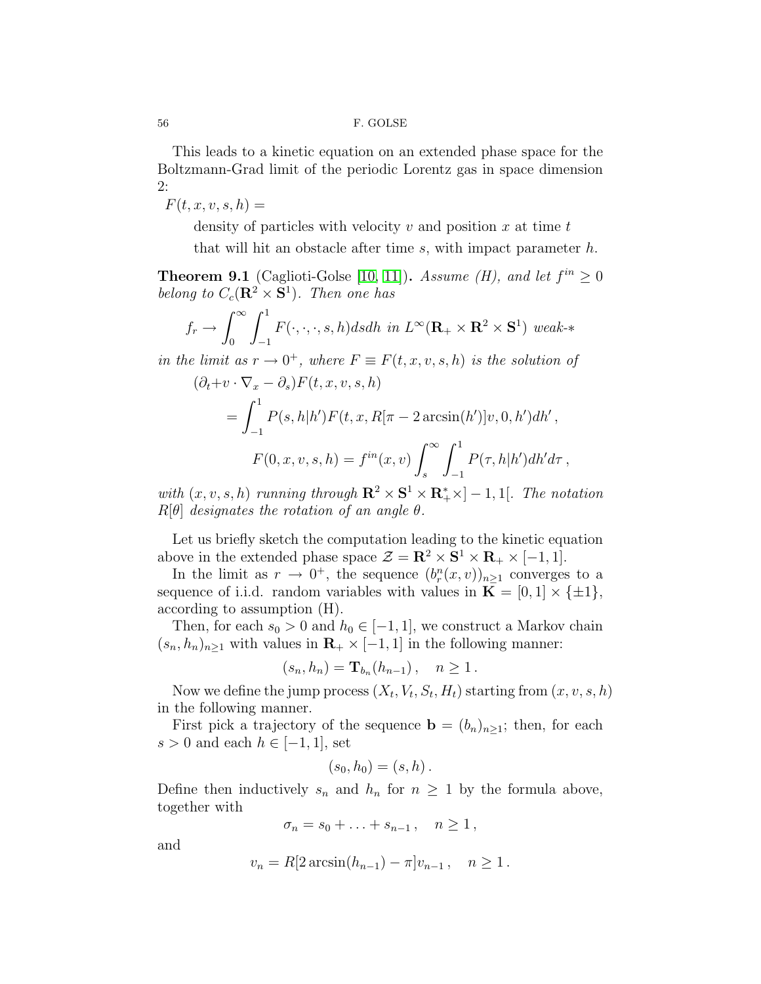This leads to a kinetic equation on an extended phase space for the Boltzmann-Grad limit of the periodic Lorentz gas in space dimension 2:

 $F(t, x, v, s, h) =$ 

density of particles with velocity  $v$  and position  $x$  at time  $t$ 

that will hit an obstacle after time s, with impact parameter h.

<span id="page-55-0"></span>**Theorem 9.1** (Caglioti-Golse [\[10,](#page-60-16) [11\]](#page-60-17)). Assume (H), and let  $f^{in} \ge 0$ belong to  $C_c(\mathbf{R}^2 \times \mathbf{S}^1)$ . Then one has

$$
f_r \to \int_0^\infty \int_{-1}^1 F(\cdot,\cdot,\cdot,s,h) ds dh
$$
 in  $L^\infty(\mathbf{R}_+ \times \mathbf{R}^2 \times \mathbf{S}^1)$  weak-\*

in the limit as  $r \to 0^+$ , where  $F \equiv F(t, x, v, s, h)$  is the solution of

$$
(\partial_t + v \cdot \nabla_x - \partial_s) F(t, x, v, s, h)
$$
  
= 
$$
\int_{-1}^1 P(s, h|h') F(t, x, R[\pi - 2\arcsin(h')]v, 0, h') dh',
$$
  

$$
F(0, x, v, s, h) = f^{in}(x, v) \int_s^\infty \int_{-1}^1 P(\tau, h|h') dh' d\tau,
$$

with  $(x, v, s, h)$  running through  $\mathbb{R}^2 \times \mathbb{S}^1 \times \mathbb{R}^*_+ \times ]-1, 1[$ . The notation  $R[\theta]$  designates the rotation of an angle  $\theta$ .

Let us briefly sketch the computation leading to the kinetic equation above in the extended phase space  $\mathcal{Z} = \mathbb{R}^2 \times \mathbb{S}^1 \times \mathbb{R}_+ \times [-1, 1].$ 

In the limit as  $r \to 0^+$ , the sequence  $(b_r^n(x,v))_{n\geq 1}$  converges to a sequence of i.i.d. random variables with values in  $\mathbf{K} = [0, 1] \times \{\pm 1\},\$ according to assumption (H).

Then, for each  $s_0 > 0$  and  $h_0 \in [-1, 1]$ , we construct a Markov chain  $(s_n, h_n)_{n\geq 1}$  with values in  $\mathbf{R}_+ \times [-1, 1]$  in the following manner:

$$
(s_n, h_n) = \mathbf{T}_{b_n}(h_{n-1}), \quad n \ge 1.
$$

Now we define the jump process  $(X_t, V_t, S_t, H_t)$  starting from  $(x, v, s, h)$ in the following manner.

First pick a trajectory of the sequence  $\mathbf{b} = (b_n)_{n \geq 1}$ ; then, for each  $s > 0$  and each  $h \in [-1, 1]$ , set

$$
(s_0, h_0) = (s, h).
$$

Define then inductively  $s_n$  and  $h_n$  for  $n \geq 1$  by the formula above, together with

$$
\sigma_n = s_0 + \ldots + s_{n-1}, \quad n \ge 1,
$$

and

$$
v_n = R[2 \arcsin(h_{n-1}) - \pi]v_{n-1}, \quad n \ge 1.
$$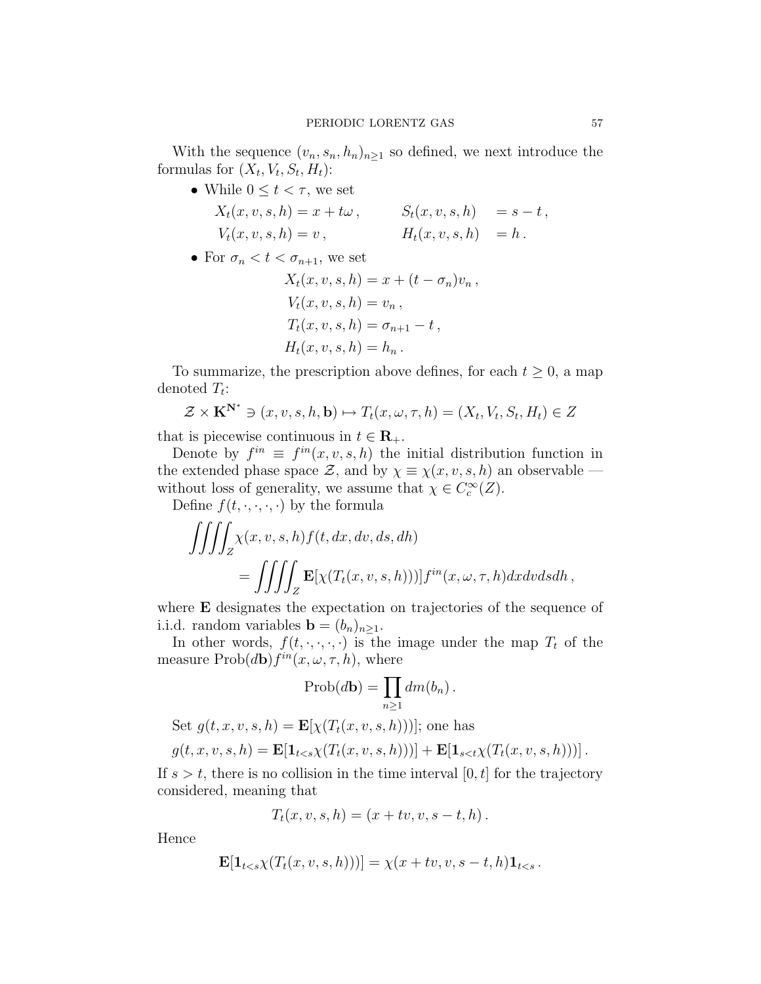With the sequence  $(v_n, s_n, h_n)_{n\geq 1}$  so defined, we next introduce the formulas for  $(X_t, V_t, S_t, H_t)$ :

• While  $0 \leq t < \tau$ , we set

$$
X_t(x, v, s, h) = x + t\omega,
$$
  
\n
$$
S_t(x, v, s, h) = s - t,
$$
  
\n
$$
Y_t(x, v, s, h) = v,
$$
  
\n
$$
H_t(x, v, s, h) = h.
$$

• For  $\sigma_n < t < \sigma_{n+1}$ , we set

$$
X_t(x, v, s, h) = x + (t - \sigma_n)v_n,
$$
  
\n
$$
V_t(x, v, s, h) = v_n,
$$
  
\n
$$
T_t(x, v, s, h) = \sigma_{n+1} - t,
$$
  
\n
$$
H_t(x, v, s, h) = h_n.
$$

To summarize, the prescription above defines, for each  $t \geq 0$ , a map denoted  $T_t$ :

$$
\mathcal{Z} \times \mathbf{K}^{\mathbf{N}^*} \ni (x, v, s, h, \mathbf{b}) \mapsto T_t(x, \omega, \tau, h) = (X_t, V_t, S_t, H_t) \in Z
$$

that is piecewise continuous in  $t \in \mathbf{R}_+$ .

Denote by  $f^{in} \equiv f^{in}(x, v, s, h)$  the initial distribution function in the extended phase space  $\mathcal{Z}$ , and by  $\chi \equiv \chi(x, v, s, h)$  an observable without loss of generality, we assume that  $\chi \in C_c^{\infty}(Z)$ .

Define  $f(t, \cdot, \cdot, \cdot, \cdot)$  by the formula

$$
\iiint_Z \chi(x, v, s, h) f(t, dx, dv, ds, dh)
$$
  
= 
$$
\iiint_Z \mathbf{E}[\chi(T_t(x, v, s, h)))] f^{in}(x, \omega, \tau, h) dx dv ds dh,
$$

where **E** designates the expectation on trajectories of the sequence of i.i.d. random variables **b** =  $(b_n)_{n\geq 1}$ .

In other words,  $f(t, \cdot, \cdot, \cdot, \cdot)$  is the image under the map  $T_t$  of the measure  $\text{Prob}(d\mathbf{b})f^{in}(x,\omega,\tau,h)$ , where

$$
Prob(d\mathbf{b}) = \prod_{n\geq 1} dm(b_n).
$$

Set  $g(t, x, v, s, h) = \mathbf{E}[\chi(T_t(x, v, s, h)))]$ ; one has

$$
g(t, x, v, s, h) = \mathbf{E}[\mathbf{1}_{t
$$

If  $s > t$ , there is no collision in the time interval [0, t] for the trajectory considered, meaning that

$$
T_t(x, v, s, h) = (x + tv, v, s - t, h).
$$

Hence

$$
\mathbf{E}[\mathbf{1}_{t
$$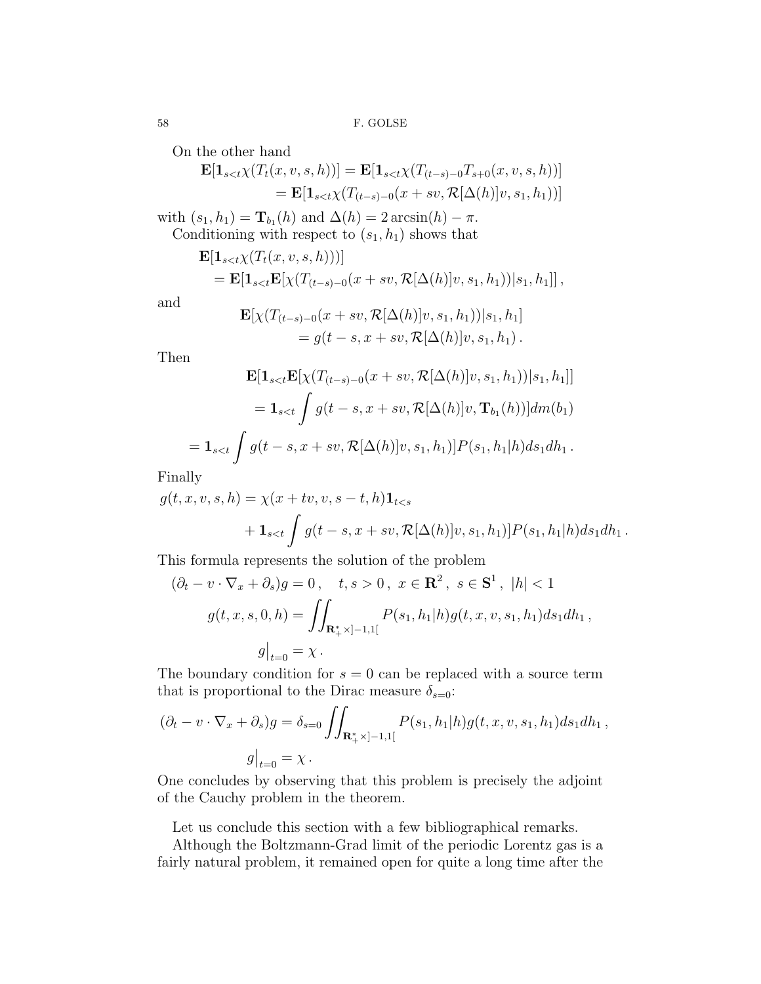On the other hand

$$
\mathbf{E}[\mathbf{1}_{s  
=  $\mathbf{E}[\mathbf{1}_{s$
$$

with  $(s_1, h_1) = \mathbf{T}_{b_1}(h)$  and  $\Delta(h) = 2 \arcsin(h) - \pi$ .

Conditioning with respect to  $(s_1, h_1)$  shows that

$$
\mathbf{E}[\mathbf{1}_{s  
=  $\mathbf{E}[\mathbf{1}_{s,$
$$

and

$$
\mathbf{E}[\chi(T_{(t-s)-0}(x+sv,\mathcal{R}[\Delta(h)]v,s_1,h_1))|s_1,h_1] = g(t-s,x+sv,\mathcal{R}[\Delta(h)]v,s_1,h_1).
$$

Then

$$
\mathbf{E}[\mathbf{1}_{s  
=  $\mathbf{1}_{s  
=  $\mathbf{1}_{s$$
$$

Finally

$$
g(t, x, v, s, h) = \chi(x + tv, v, s - t, h) \mathbf{1}_{t < s}
$$
  
+  $\mathbf{1}_{s < t} \int g(t - s, x + sv, \mathcal{R}[\Delta(h)]v, s_1, h_1] P(s_1, h_1|h) ds_1 dh_1.$ 

This formula represents the solution of the problem

$$
(\partial_t - v \cdot \nabla_x + \partial_s)g = 0, \quad t, s > 0, \ x \in \mathbb{R}^2, \ s \in \mathbb{S}^1, \ |h| < 1
$$

$$
g(t, x, s, 0, h) = \iint_{\mathbb{R}^*_+ \times ]-1,1[} P(s_1, h_1|h)g(t, x, v, s_1, h_1)ds_1 dh_1,
$$

$$
g\big|_{t=0} = \chi.
$$

The boundary condition for  $s = 0$  can be replaced with a source term that is proportional to the Dirac measure  $\delta_{s=0}$ :

$$
(\partial_t - v \cdot \nabla_x + \partial_s)g = \delta_{s=0} \iint_{\mathbf{R}_+^* \times ]-1,1[} P(s_1, h_1|h)g(t, x, v, s_1, h_1)ds_1dh_1,
$$
  

$$
g\big|_{t=0} = \chi.
$$

One concludes by observing that this problem is precisely the adjoint of the Cauchy problem in the theorem.

Let us conclude this section with a few bibliographical remarks.

Although the Boltzmann-Grad limit of the periodic Lorentz gas is a fairly natural problem, it remained open for quite a long time after the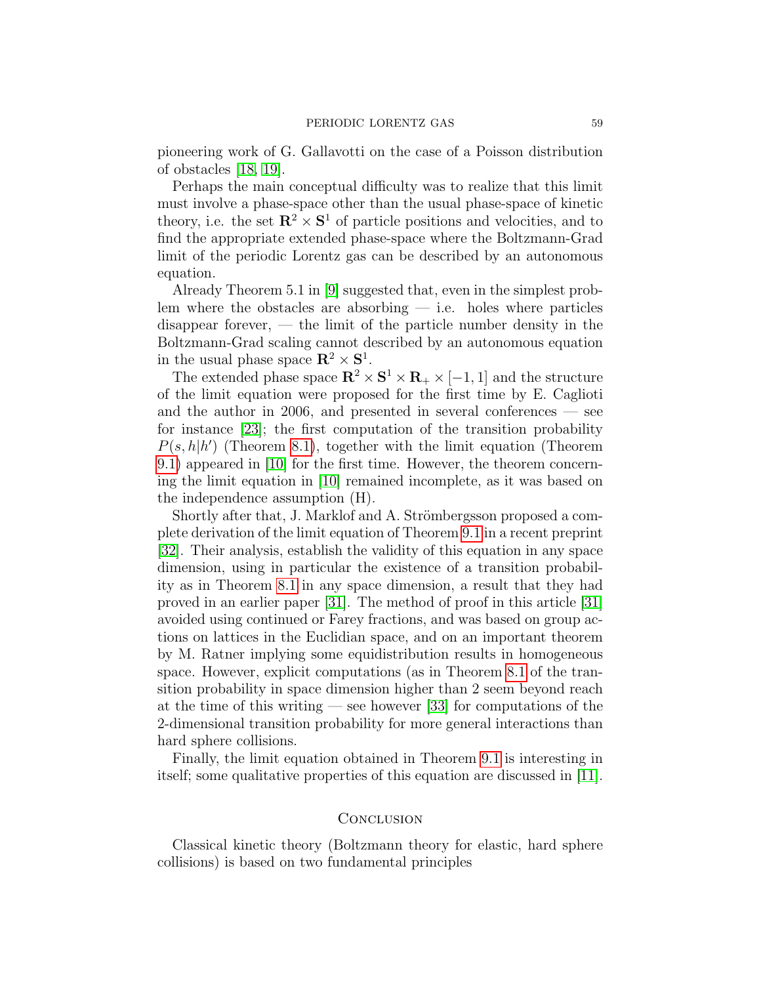pioneering work of G. Gallavotti on the case of a Poisson distribution of obstacles [\[18,](#page-60-5) [19\]](#page-60-3).

Perhaps the main conceptual difficulty was to realize that this limit must involve a phase-space other than the usual phase-space of kinetic theory, i.e. the set  $\mathbb{R}^2 \times \mathbb{S}^1$  of particle positions and velocities, and to find the appropriate extended phase-space where the Boltzmann-Grad limit of the periodic Lorentz gas can be described by an autonomous equation.

Already Theorem 5.1 in [\[9\]](#page-60-12) suggested that, even in the simplest problem where the obstacles are absorbing  $-$  i.e. holes where particles disappear forever, — the limit of the particle number density in the Boltzmann-Grad scaling cannot described by an autonomous equation in the usual phase space  $\mathbb{R}^2 \times \mathbb{S}^1$ .

The extended phase space  $\mathbb{R}^2 \times \mathbb{S}^1 \times \mathbb{R}_+ \times [-1,1]$  and the structure of the limit equation were proposed for the first time by E. Caglioti and the author in 2006, and presented in several conferences — see for instance [\[23\]](#page-60-19); the first computation of the transition probability  $P(s,h|h')$  (Theorem [8.1\)](#page-48-2), together with the limit equation (Theorem [9.1\)](#page-55-0) appeared in [\[10\]](#page-60-16) for the first time. However, the theorem concerning the limit equation in [\[10\]](#page-60-16) remained incomplete, as it was based on the independence assumption (H).

Shortly after that, J. Marklof and A. Strömbergsson proposed a complete derivation of the limit equation of Theorem [9.1](#page-55-0) in a recent preprint [\[32\]](#page-61-15). Their analysis, establish the validity of this equation in any space dimension, using in particular the existence of a transition probability as in Theorem [8.1](#page-48-2) in any space dimension, a result that they had proved in an earlier paper [\[31\]](#page-61-16). The method of proof in this article [\[31\]](#page-61-16) avoided using continued or Farey fractions, and was based on group actions on lattices in the Euclidian space, and on an important theorem by M. Ratner implying some equidistribution results in homogeneous space. However, explicit computations (as in Theorem [8.1](#page-48-2) of the transition probability in space dimension higher than 2 seem beyond reach at the time of this writing — see however [\[33\]](#page-61-17) for computations of the 2-dimensional transition probability for more general interactions than hard sphere collisions.

Finally, the limit equation obtained in Theorem [9.1](#page-55-0) is interesting in itself; some qualitative properties of this equation are discussed in [\[11\]](#page-60-17).

#### **CONCLUSION**

<span id="page-58-0"></span>Classical kinetic theory (Boltzmann theory for elastic, hard sphere collisions) is based on two fundamental principles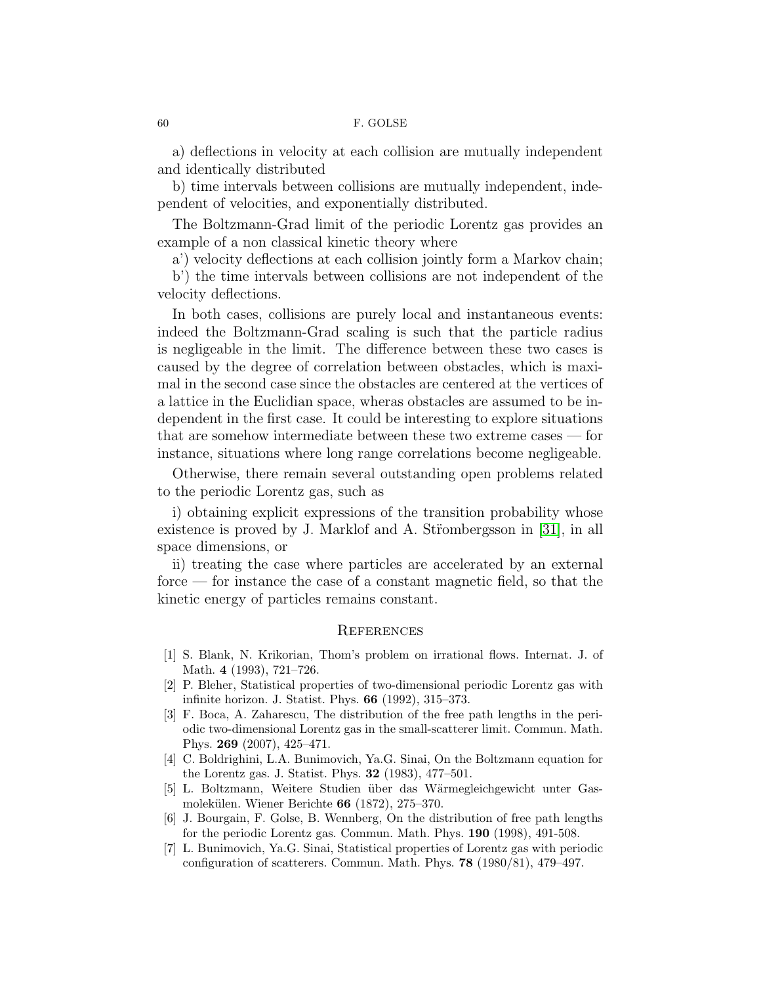a) deflections in velocity at each collision are mutually independent and identically distributed

b) time intervals between collisions are mutually independent, independent of velocities, and exponentially distributed.

The Boltzmann-Grad limit of the periodic Lorentz gas provides an example of a non classical kinetic theory where

a') velocity deflections at each collision jointly form a Markov chain;

b') the time intervals between collisions are not independent of the velocity deflections.

In both cases, collisions are purely local and instantaneous events: indeed the Boltzmann-Grad scaling is such that the particle radius is negligeable in the limit. The difference between these two cases is caused by the degree of correlation between obstacles, which is maximal in the second case since the obstacles are centered at the vertices of a lattice in the Euclidian space, wheras obstacles are assumed to be independent in the first case. It could be interesting to explore situations that are somehow intermediate between these two extreme cases — for instance, situations where long range correlations become negligeable.

Otherwise, there remain several outstanding open problems related to the periodic Lorentz gas, such as

i) obtaining explicit expressions of the transition probability whose existence is proved by J. Marklof and A. Strombergsson in [\[31\]](#page-61-16), in all space dimensions, or

ii) treating the case where particles are accelerated by an external force — for instance the case of a constant magnetic field, so that the kinetic energy of particles remains constant.

#### **REFERENCES**

- <span id="page-59-0"></span>[1] S. Blank, N. Krikorian, Thom's problem on irrational flows. Internat. J. of Math. 4 (1993), 721–726.
- <span id="page-59-5"></span>[2] P. Bleher, Statistical properties of two-dimensional periodic Lorentz gas with infinite horizon. J. Statist. Phys. 66 (1992), 315–373.
- <span id="page-59-6"></span>[3] F. Boca, A. Zaharescu, The distribution of the free path lengths in the periodic two-dimensional Lorentz gas in the small-scatterer limit. Commun. Math. Phys. 269 (2007), 425–471.
- <span id="page-59-2"></span>[4] C. Boldrighini, L.A. Bunimovich, Ya.G. Sinai, On the Boltzmann equation for the Lorentz gas. J. Statist. Phys. 32 (1983), 477–501.
- <span id="page-59-1"></span>[5] L. Boltzmann, Weitere Studien ¨uber das W¨armegleichgewicht unter Gasmolekülen. Wiener Berichte **66** (1872), 275–370.
- <span id="page-59-4"></span>[6] J. Bourgain, F. Golse, B. Wennberg, On the distribution of free path lengths for the periodic Lorentz gas. Commun. Math. Phys. 190 (1998), 491-508.
- <span id="page-59-3"></span>[7] L. Bunimovich, Ya.G. Sinai, Statistical properties of Lorentz gas with periodic configuration of scatterers. Commun. Math. Phys. 78 (1980/81), 479–497.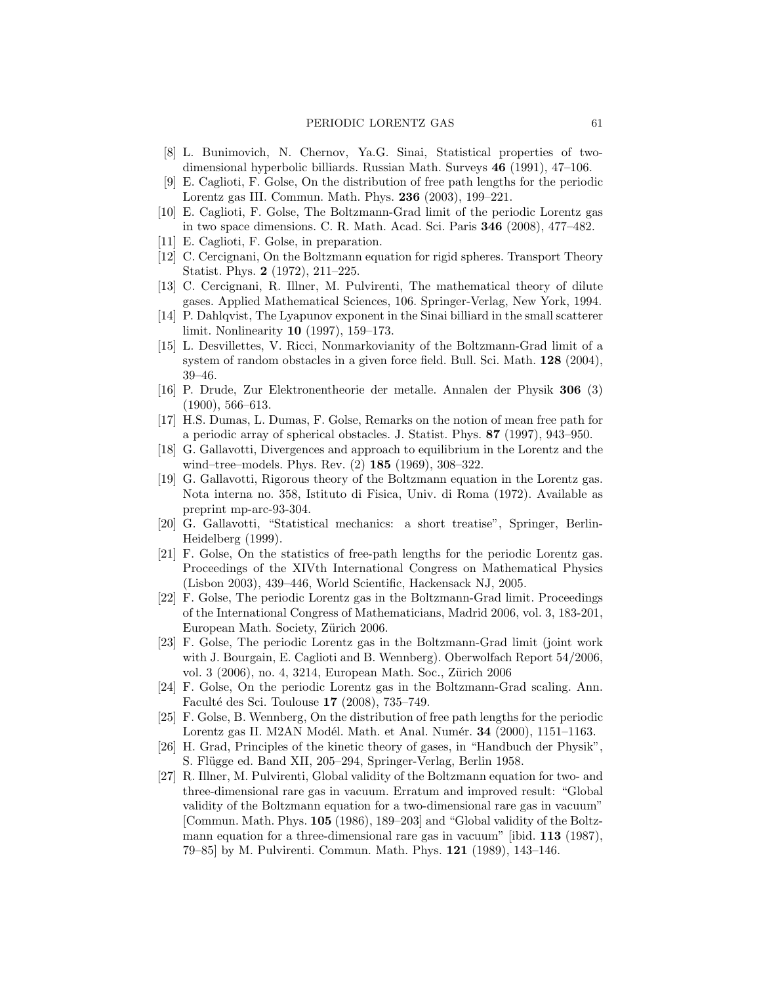- <span id="page-60-6"></span>[8] L. Bunimovich, N. Chernov, Ya.G. Sinai, Statistical properties of twodimensional hyperbolic billiards. Russian Math. Surveys 46 (1991), 47–106.
- <span id="page-60-12"></span>[9] E. Caglioti, F. Golse, On the distribution of free path lengths for the periodic Lorentz gas III. Commun. Math. Phys. 236 (2003), 199–221.
- <span id="page-60-16"></span>[10] E. Caglioti, F. Golse, The Boltzmann-Grad limit of the periodic Lorentz gas in two space dimensions. C. R. Math. Acad. Sci. Paris 346 (2008), 477–482.
- <span id="page-60-17"></span>[11] E. Caglioti, F. Golse, in preparation.
- <span id="page-60-1"></span>[12] C. Cercignani, On the Boltzmann equation for rigid spheres. Transport Theory Statist. Phys. 2 (1972), 211–225.
- <span id="page-60-9"></span>[13] C. Cercignani, R. Illner, M. Pulvirenti, The mathematical theory of dilute gases. Applied Mathematical Sciences, 106. Springer-Verlag, New York, 1994.
- <span id="page-60-13"></span>[14] P. Dahlqvist, The Lyapunov exponent in the Sinai billiard in the small scatterer limit. Nonlinearity 10 (1997), 159–173.
- <span id="page-60-8"></span>[15] L. Desvillettes, V. Ricci, Nonmarkovianity of the Boltzmann-Grad limit of a system of random obstacles in a given force field. Bull. Sci. Math. **128** (2004), 39–46.
- <span id="page-60-4"></span>[16] P. Drude, Zur Elektronentheorie der metalle. Annalen der Physik 306 (3) (1900), 566–613.
- <span id="page-60-10"></span>[17] H.S. Dumas, L. Dumas, F. Golse, Remarks on the notion of mean free path for a periodic array of spherical obstacles. J. Statist. Phys. 87 (1997), 943–950.
- <span id="page-60-5"></span>[18] G. Gallavotti, Divergences and approach to equilibrium in the Lorentz and the wind–tree–models. Phys. Rev. (2) 185 (1969), 308–322.
- <span id="page-60-3"></span>[19] G. Gallavotti, Rigorous theory of the Boltzmann equation in the Lorentz gas. Nota interna no. 358, Istituto di Fisica, Univ. di Roma (1972). Available as preprint mp-arc-93-304.
- <span id="page-60-7"></span>[20] G. Gallavotti, "Statistical mechanics: a short treatise", Springer, Berlin-Heidelberg (1999).
- <span id="page-60-14"></span>[21] F. Golse, On the statistics of free-path lengths for the periodic Lorentz gas. Proceedings of the XIVth International Congress on Mathematical Physics (Lisbon 2003), 439–446, World Scientific, Hackensack NJ, 2005.
- <span id="page-60-18"></span>[22] F. Golse, The periodic Lorentz gas in the Boltzmann-Grad limit. Proceedings of the International Congress of Mathematicians, Madrid 2006, vol. 3, 183-201, European Math. Society, Zürich 2006.
- <span id="page-60-19"></span>[23] F. Golse, The periodic Lorentz gas in the Boltzmann-Grad limit (joint work with J. Bourgain, E. Caglioti and B. Wennberg). Oberwolfach Report 54/2006, vol. 3 (2006), no. 4, 3214, European Math. Soc., Zürich 2006
- <span id="page-60-15"></span>[24] F. Golse, On the periodic Lorentz gas in the Boltzmann-Grad scaling. Ann. Faculté des Sci. Toulouse **17** (2008), 735–749.
- <span id="page-60-11"></span>[25] F. Golse, B. Wennberg, On the distribution of free path lengths for the periodic Lorentz gas II. M2AN Modél. Math. et Anal. Numér. 34 (2000), 1151–1163.
- <span id="page-60-0"></span>[26] H. Grad, Principles of the kinetic theory of gases, in "Handbuch der Physik", S. Flügge ed. Band XII, 205–294, Springer-Verlag, Berlin 1958.
- <span id="page-60-2"></span>[27] R. Illner, M. Pulvirenti, Global validity of the Boltzmann equation for two- and three-dimensional rare gas in vacuum. Erratum and improved result: "Global validity of the Boltzmann equation for a two-dimensional rare gas in vacuum" [Commun. Math. Phys. 105 (1986), 189–203] and "Global validity of the Boltzmann equation for a three-dimensional rare gas in vacuum" [ibid. 113 (1987), 79–85] by M. Pulvirenti. Commun. Math. Phys. 121 (1989), 143–146.